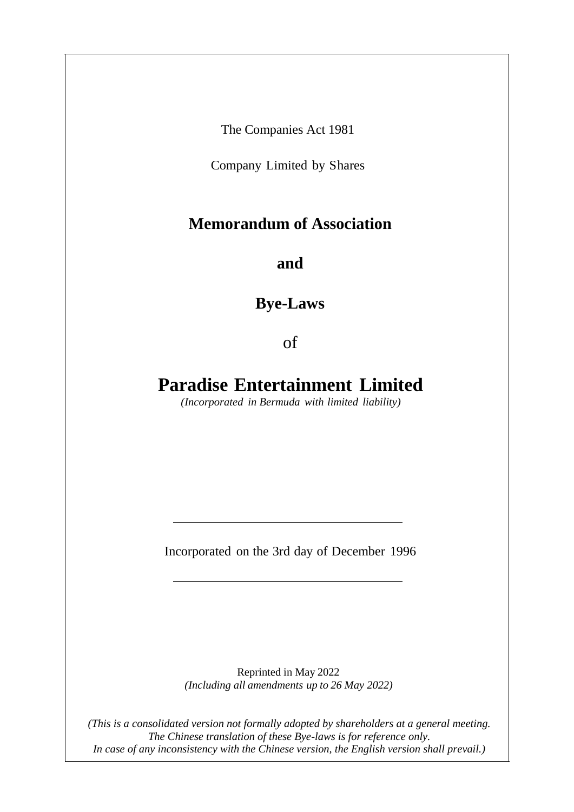The Companies Act 1981

Company Limited by Shares

# **Memorandum of Association**

**and**

**Bye-Laws**

of

# **Paradise Entertainment Limited**

*(Incorporated in Bermuda with limited liability)*

Incorporated on the 3rd day of December 1996

Reprinted in May 2022 *(Including all amendments up to 26 May 2022)*

*(This is a consolidated version not formally adopted by shareholders at a general meeting. The Chinese translation of these Bye-laws is for reference only. In case of any inconsistency with the Chinese version, the English version shall prevail.)*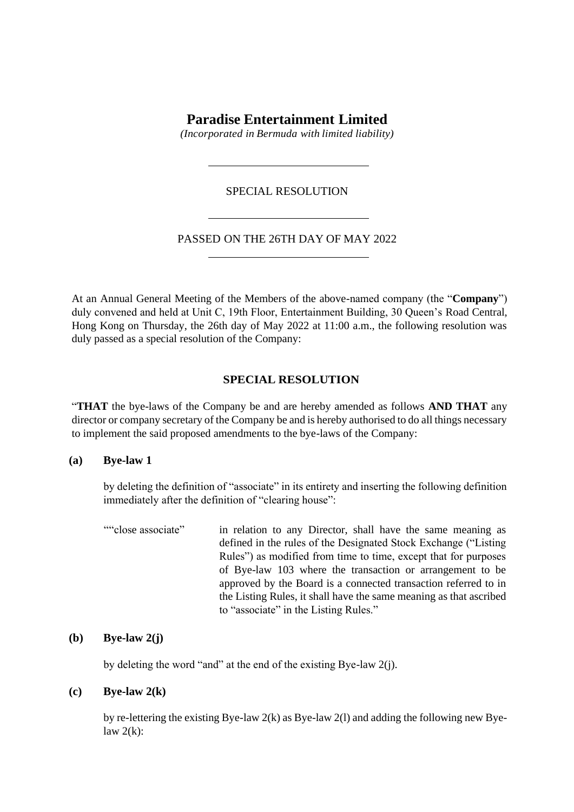# **Paradise Entertainment Limited**

*(Incorporated in Bermuda with limited liability)*

## SPECIAL RESOLUTION

# PASSED ON THE 26TH DAY OF MAY 2022

At an Annual General Meeting of the Members of the above-named company (the "**Company**") duly convened and held at Unit C, 19th Floor, Entertainment Building, 30 Queen's Road Central, Hong Kong on Thursday, the 26th day of May 2022 at 11:00 a.m., the following resolution was duly passed as a special resolution of the Company:

#### **SPECIAL RESOLUTION**

"**THAT** the bye-laws of the Company be and are hereby amended as follows **AND THAT** any director or company secretary of the Company be and is hereby authorised to do all things necessary to implement the said proposed amendments to the bye-laws of the Company:

#### **(a) Bye-law 1**

by deleting the definition of "associate" in its entirety and inserting the following definition immediately after the definition of "clearing house":

""close associate" in relation to any Director, shall have the same meaning as defined in the rules of the Designated Stock Exchange ("Listing Rules") as modified from time to time, except that for purposes of Bye-law 103 where the transaction or arrangement to be approved by the Board is a connected transaction referred to in the Listing Rules, it shall have the same meaning as that ascribed to "associate" in the Listing Rules."

## **(b) Bye-law 2(j)**

by deleting the word "and" at the end of the existing Bye-law 2(j).

# **(c) Bye-law 2(k)**

by re-lettering the existing Bye-law 2(k) as Bye-law 2(l) and adding the following new Byelaw  $2(k)$ :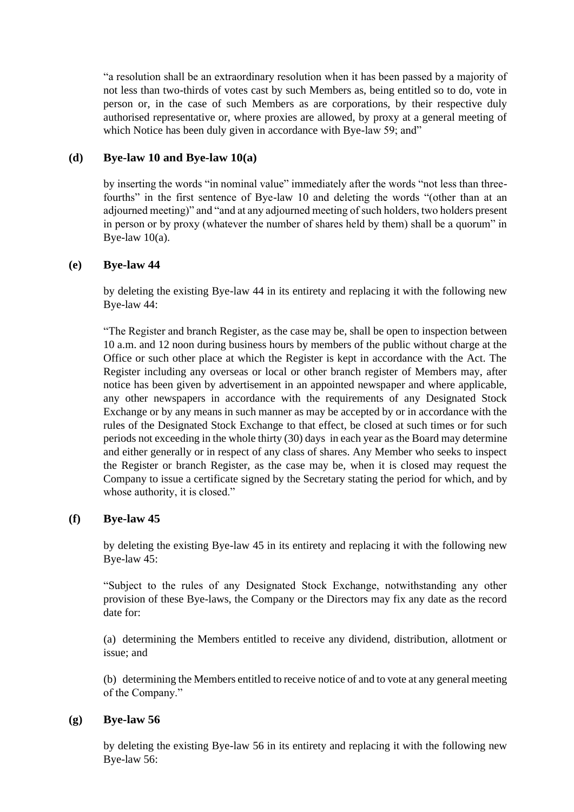"a resolution shall be an extraordinary resolution when it has been passed by a majority of not less than two-thirds of votes cast by such Members as, being entitled so to do, vote in person or, in the case of such Members as are corporations, by their respective duly authorised representative or, where proxies are allowed, by proxy at a general meeting of which Notice has been duly given in accordance with Bye-law 59; and"

# **(d) Bye-law 10 and Bye-law 10(a)**

by inserting the words "in nominal value" immediately after the words "not less than threefourths" in the first sentence of Bye-law 10 and deleting the words "(other than at an adjourned meeting)" and "and at any adjourned meeting of such holders, two holders present in person or by proxy (whatever the number of shares held by them) shall be a quorum" in Bye-law  $10(a)$ .

# **(e) Bye-law 44**

by deleting the existing Bye-law 44 in its entirety and replacing it with the following new Bye-law 44:

"The Register and branch Register, as the case may be, shall be open to inspection between 10 a.m. and 12 noon during business hours by members of the public without charge at the Office or such other place at which the Register is kept in accordance with the Act. The Register including any overseas or local or other branch register of Members may, after notice has been given by advertisement in an appointed newspaper and where applicable, any other newspapers in accordance with the requirements of any Designated Stock Exchange or by any means in such manner as may be accepted by or in accordance with the rules of the Designated Stock Exchange to that effect, be closed at such times or for such periods not exceeding in the whole thirty (30) days in each year as the Board may determine and either generally or in respect of any class of shares. Any Member who seeks to inspect the Register or branch Register, as the case may be, when it is closed may request the Company to issue a certificate signed by the Secretary stating the period for which, and by whose authority, it is closed."

# **(f) Bye-law 45**

by deleting the existing Bye-law 45 in its entirety and replacing it with the following new Bye-law 45:

"Subject to the rules of any Designated Stock Exchange, notwithstanding any other provision of these Bye-laws, the Company or the Directors may fix any date as the record date for:

(a) determining the Members entitled to receive any dividend, distribution, allotment or issue; and

(b) determining the Members entitled to receive notice of and to vote at any general meeting of the Company."

# **(g) Bye-law 56**

by deleting the existing Bye-law 56 in its entirety and replacing it with the following new Bye-law 56: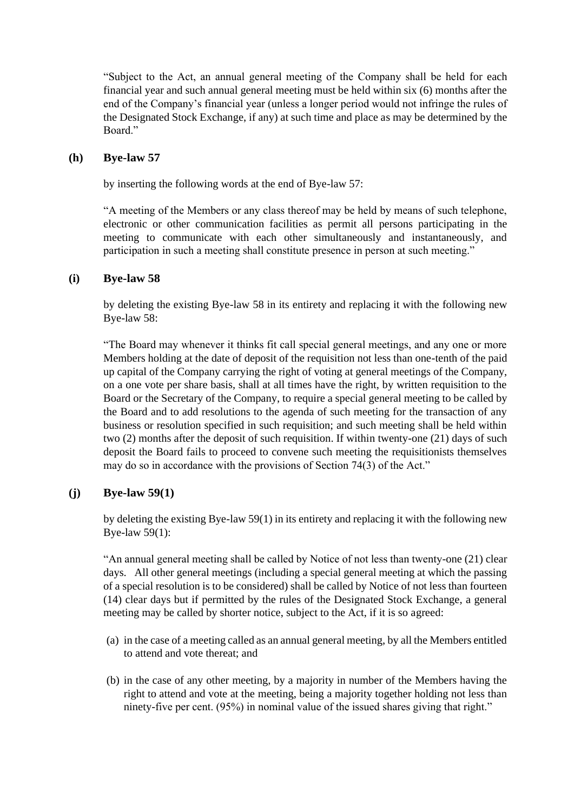"Subject to the Act, an annual general meeting of the Company shall be held for each financial year and such annual general meeting must be held within six (6) months after the end of the Company's financial year (unless a longer period would not infringe the rules of the Designated Stock Exchange, if any) at such time and place as may be determined by the Board."

## **(h) Bye-law 57**

by inserting the following words at the end of Bye-law 57:

"A meeting of the Members or any class thereof may be held by means of such telephone, electronic or other communication facilities as permit all persons participating in the meeting to communicate with each other simultaneously and instantaneously, and participation in such a meeting shall constitute presence in person at such meeting."

## **(i) Bye-law 58**

by deleting the existing Bye-law 58 in its entirety and replacing it with the following new Bye-law 58:

"The Board may whenever it thinks fit call special general meetings, and any one or more Members holding at the date of deposit of the requisition not less than one-tenth of the paid up capital of the Company carrying the right of voting at general meetings of the Company, on a one vote per share basis, shall at all times have the right, by written requisition to the Board or the Secretary of the Company, to require a special general meeting to be called by the Board and to add resolutions to the agenda of such meeting for the transaction of any business or resolution specified in such requisition; and such meeting shall be held within two (2) months after the deposit of such requisition. If within twenty-one (21) days of such deposit the Board fails to proceed to convene such meeting the requisitionists themselves may do so in accordance with the provisions of Section 74(3) of the Act."

# **(j) Bye-law 59(1)**

by deleting the existing Bye-law 59(1) in its entirety and replacing it with the following new Bye-law 59(1):

"An annual general meeting shall be called by Notice of not less than twenty-one (21) clear days. All other general meetings (including a special general meeting at which the passing of a special resolution is to be considered) shall be called by Notice of not less than fourteen (14) clear days but if permitted by the rules of the Designated Stock Exchange, a general meeting may be called by shorter notice, subject to the Act, if it is so agreed:

- (a) in the case of a meeting called as an annual general meeting, by all the Members entitled to attend and vote thereat; and
- (b) in the case of any other meeting, by a majority in number of the Members having the right to attend and vote at the meeting, being a majority together holding not less than ninety-five per cent. (95%) in nominal value of the issued shares giving that right."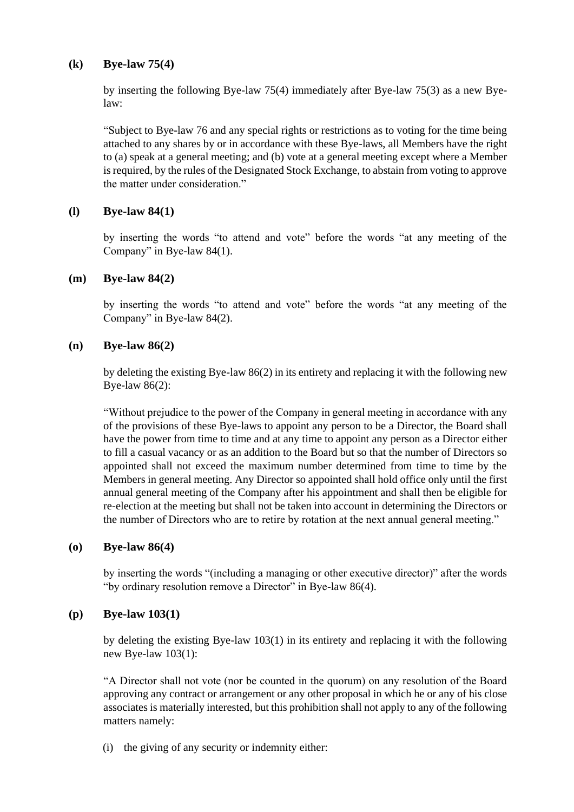# **(k) Bye-law 75(4)**

by inserting the following Bye-law 75(4) immediately after Bye-law 75(3) as a new Byelaw:

"Subject to Bye-law 76 and any special rights or restrictions as to voting for the time being attached to any shares by or in accordance with these Bye-laws, all Members have the right to (a) speak at a general meeting; and (b) vote at a general meeting except where a Member is required, by the rules of the Designated Stock Exchange, to abstain from voting to approve the matter under consideration."

# **(l) Bye-law 84(1)**

by inserting the words "to attend and vote" before the words "at any meeting of the Company" in Bye-law 84(1).

# **(m) Bye-law 84(2)**

by inserting the words "to attend and vote" before the words "at any meeting of the Company" in Bye-law 84(2).

# **(n) Bye-law 86(2)**

by deleting the existing Bye-law 86(2) in its entirety and replacing it with the following new Bye-law 86(2):

"Without prejudice to the power of the Company in general meeting in accordance with any of the provisions of these Bye-laws to appoint any person to be a Director, the Board shall have the power from time to time and at any time to appoint any person as a Director either to fill a casual vacancy or as an addition to the Board but so that the number of Directors so appointed shall not exceed the maximum number determined from time to time by the Members in general meeting. Any Director so appointed shall hold office only until the first annual general meeting of the Company after his appointment and shall then be eligible for re-election at the meeting but shall not be taken into account in determining the Directors or the number of Directors who are to retire by rotation at the next annual general meeting."

# **(o) Bye-law 86(4)**

by inserting the words "(including a managing or other executive director)" after the words "by ordinary resolution remove a Director" in Bye-law 86(4).

# **(p) Bye-law 103(1)**

by deleting the existing Bye-law 103(1) in its entirety and replacing it with the following new Bye-law 103(1):

"A Director shall not vote (nor be counted in the quorum) on any resolution of the Board approving any contract or arrangement or any other proposal in which he or any of his close associates is materially interested, but this prohibition shall not apply to any of the following matters namely:

(i) the giving of any security or indemnity either: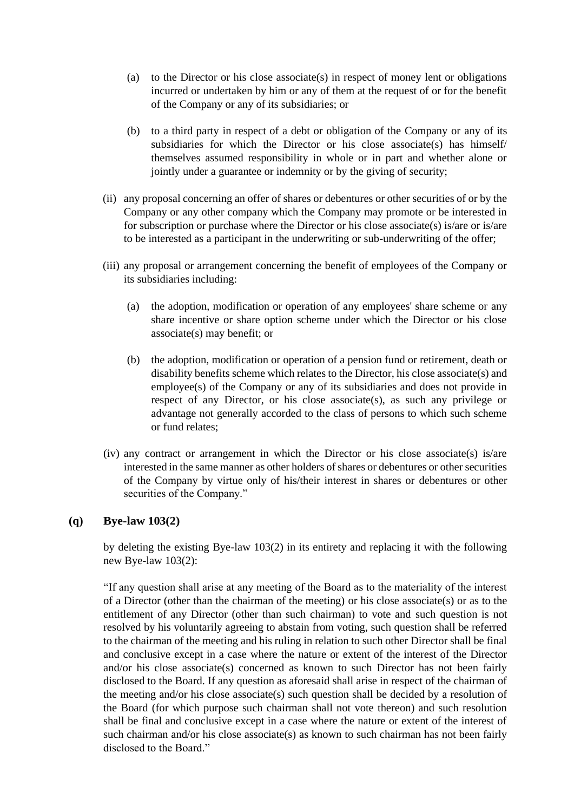- (a) to the Director or his close associate(s) in respect of money lent or obligations incurred or undertaken by him or any of them at the request of or for the benefit of the Company or any of its subsidiaries; or
- (b) to a third party in respect of a debt or obligation of the Company or any of its subsidiaries for which the Director or his close associate(s) has himself/ themselves assumed responsibility in whole or in part and whether alone or jointly under a guarantee or indemnity or by the giving of security;
- (ii) any proposal concerning an offer of shares or debentures or other securities of or by the Company or any other company which the Company may promote or be interested in for subscription or purchase where the Director or his close associate(s) is/are or is/are to be interested as a participant in the underwriting or sub-underwriting of the offer;
- (iii) any proposal or arrangement concerning the benefit of employees of the Company or its subsidiaries including:
	- (a) the adoption, modification or operation of any employees' share scheme or any share incentive or share option scheme under which the Director or his close associate(s) may benefit; or
	- (b) the adoption, modification or operation of a pension fund or retirement, death or disability benefits scheme which relates to the Director, his close associate(s) and employee(s) of the Company or any of its subsidiaries and does not provide in respect of any Director, or his close associate(s), as such any privilege or advantage not generally accorded to the class of persons to which such scheme or fund relates;
- (iv) any contract or arrangement in which the Director or his close associate(s) is/are interested in the same manner as other holders of shares or debentures or other securities of the Company by virtue only of his/their interest in shares or debentures or other securities of the Company."

# **(q) Bye-law 103(2)**

by deleting the existing Bye-law 103(2) in its entirety and replacing it with the following new Bye-law 103(2):

"If any question shall arise at any meeting of the Board as to the materiality of the interest of a Director (other than the chairman of the meeting) or his close associate(s) or as to the entitlement of any Director (other than such chairman) to vote and such question is not resolved by his voluntarily agreeing to abstain from voting, such question shall be referred to the chairman of the meeting and his ruling in relation to such other Director shall be final and conclusive except in a case where the nature or extent of the interest of the Director and/or his close associate(s) concerned as known to such Director has not been fairly disclosed to the Board. If any question as aforesaid shall arise in respect of the chairman of the meeting and/or his close associate(s) such question shall be decided by a resolution of the Board (for which purpose such chairman shall not vote thereon) and such resolution shall be final and conclusive except in a case where the nature or extent of the interest of such chairman and/or his close associate(s) as known to such chairman has not been fairly disclosed to the Board."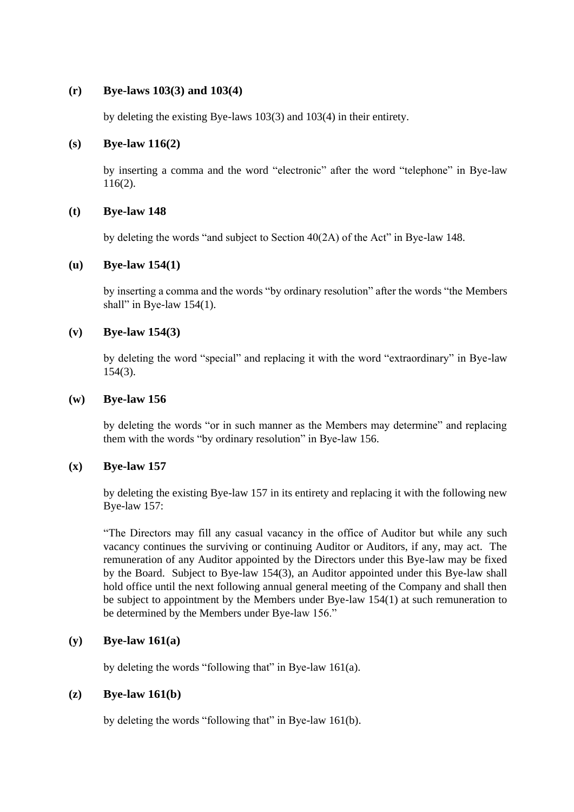# **(r) Bye-laws 103(3) and 103(4)**

by deleting the existing Bye-laws 103(3) and 103(4) in their entirety.

## **(s) Bye-law 116(2)**

by inserting a comma and the word "electronic" after the word "telephone" in Bye-law 116(2).

## **(t) Bye-law 148**

by deleting the words "and subject to Section 40(2A) of the Act" in Bye-law 148.

## **(u) Bye-law 154(1)**

by inserting a comma and the words "by ordinary resolution" after the words "the Members shall" in Bye-law 154(1).

## **(v) Bye-law 154(3)**

by deleting the word "special" and replacing it with the word "extraordinary" in Bye-law 154(3).

## **(w) Bye-law 156**

by deleting the words "or in such manner as the Members may determine" and replacing them with the words "by ordinary resolution" in Bye-law 156.

# **(x) Bye-law 157**

by deleting the existing Bye-law 157 in its entirety and replacing it with the following new Bye-law 157:

"The Directors may fill any casual vacancy in the office of Auditor but while any such vacancy continues the surviving or continuing Auditor or Auditors, if any, may act. The remuneration of any Auditor appointed by the Directors under this Bye-law may be fixed by the Board. Subject to Bye-law 154(3), an Auditor appointed under this Bye-law shall hold office until the next following annual general meeting of the Company and shall then be subject to appointment by the Members under Bye-law 154(1) at such remuneration to be determined by the Members under Bye-law 156."

# **(y) Bye-law 161(a)**

by deleting the words "following that" in Bye-law 161(a).

# **(z) Bye-law 161(b)**

by deleting the words "following that" in Bye-law 161(b).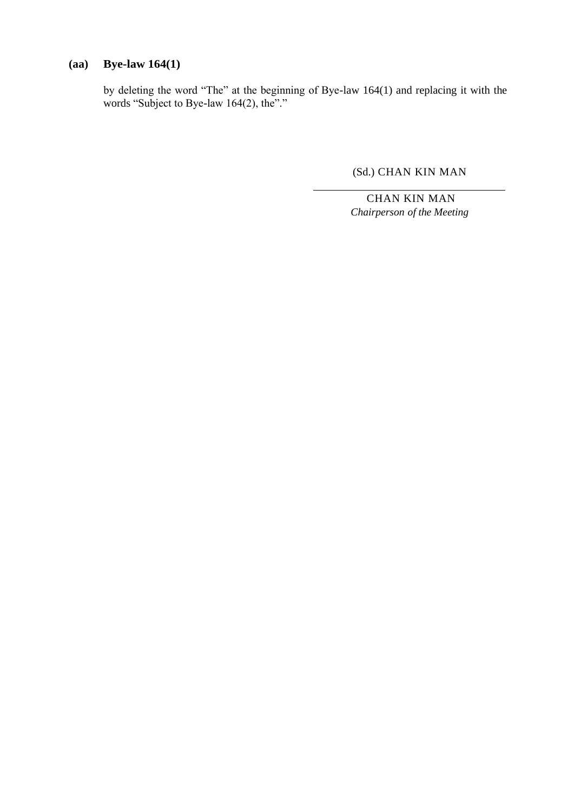# **(aa) Bye-law 164(1)**

by deleting the word "The" at the beginning of Bye-law 164(1) and replacing it with the words "Subject to Bye-law 164(2), the"."

(Sd.) CHAN KIN MAN

CHAN KIN MAN *Chairperson of the Meeting*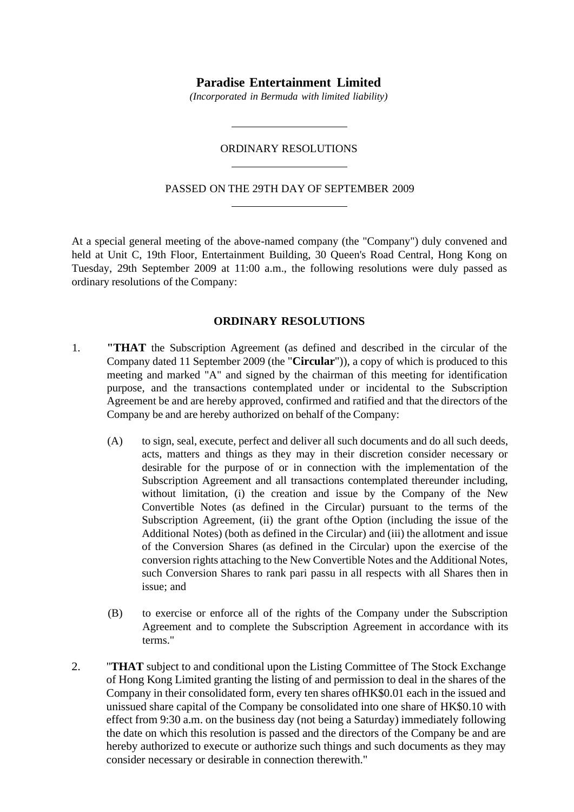# **Paradise Entertainment Limited**

*(Incorporated in Bermuda with limited liability)*

#### ORDINARY RESOLUTIONS

#### PASSED ON THE 29TH DAY OF SEPTEMBER 2009

At a special general meeting of the above-named company (the "Company") duly convened and held at Unit C, 19th Floor, Entertainment Building, 30 Queen's Road Central, Hong Kong on Tuesday, 29th September 2009 at 11:00 a.m., the following resolutions were duly passed as ordinary resolutions of the Company:

## **ORDINARY RESOLUTIONS**

- 1. **"THAT** the Subscription Agreement (as defined and described in the circular of the Company dated 11 September 2009 (the "**Circular**")), a copy of which is produced to this meeting and marked "A" and signed by the chairman of this meeting for identification purpose, and the transactions contemplated under or incidental to the Subscription Agreement be and are hereby approved, confirmed and ratified and that the directors of the Company be and are hereby authorized on behalf of the Company:
	- (A) to sign, seal, execute, perfect and deliver all such documents and do all such deeds, acts, matters and things as they may in their discretion consider necessary or desirable for the purpose of or in connection with the implementation of the Subscription Agreement and all transactions contemplated thereunder including, without limitation, (i) the creation and issue by the Company of the New Convertible Notes (as defined in the Circular) pursuant to the terms of the Subscription Agreement, (ii) the grant ofthe Option (including the issue of the Additional Notes) (both as defined in the Circular) and (iii) the allotment and issue of the Conversion Shares (as defined in the Circular) upon the exercise of the conversion rights attaching to the New Convertible Notes and the Additional Notes, such Conversion Shares to rank pari passu in all respects with all Shares then in issue; and
	- (B) to exercise or enforce all of the rights of the Company under the Subscription Agreement and to complete the Subscription Agreement in accordance with its terms."
- 2. "**THAT** subject to and conditional upon the Listing Committee of The Stock Exchange of Hong Kong Limited granting the listing of and permission to deal in the shares of the Company in their consolidated form, every ten shares ofHK\$0.01 each in the issued and unissued share capital of the Company be consolidated into one share of HK\$0.10 with effect from 9:30 a.m. on the business day (not being a Saturday) immediately following the date on which this resolution is passed and the directors of the Company be and are hereby authorized to execute or authorize such things and such documents as they may consider necessary or desirable in connection therewith."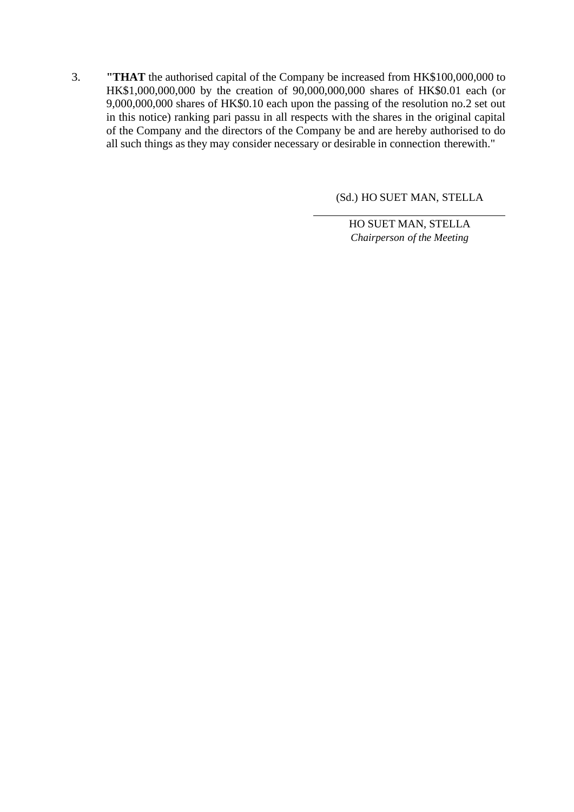3. **"THAT** the authorised capital of the Company be increased from HK\$100,000,000 to HK\$1,000,000,000 by the creation of 90,000,000,000 shares of HK\$0.01 each (or 9,000,000,000 shares of HK\$0.10 each upon the passing of the resolution no.2 set out in this notice) ranking pari passu in all respects with the shares in the original capital of the Company and the directors of the Company be and are hereby authorised to do all such things as they may consider necessary or desirable in connection therewith."

(Sd.) HO SUET MAN, STELLA

HO SUET MAN, STELLA *Chairperson of the Meeting*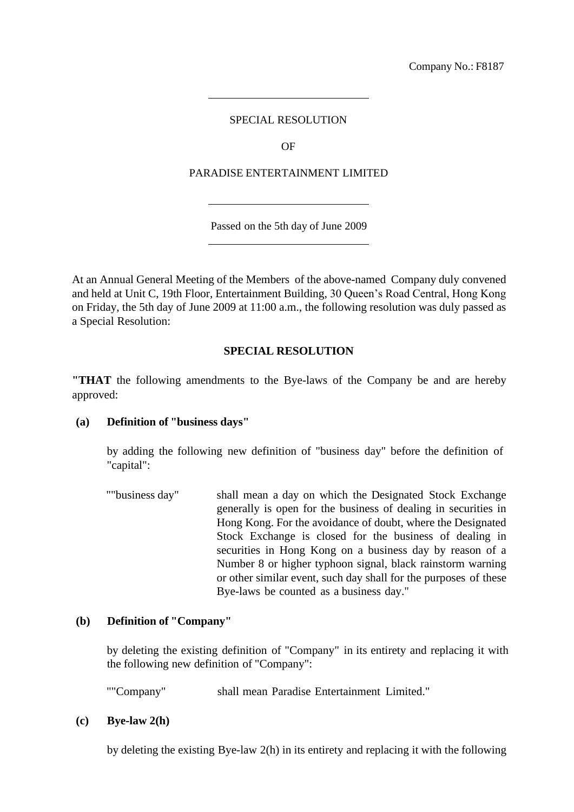Company No.: F8187

# SPECIAL RESOLUTION

OF

## PARADISE ENTERTAINMENT LIMITED

Passed on the 5th day of June 2009

At an Annual General Meeting of the Members of the above-named Company duly convened and held at Unit C, 19th Floor, Entertainment Building, 30 Queen's Road Central, Hong Kong on Friday, the 5th day of June 2009 at 11:00 a.m., the following resolution was duly passed as a Special Resolution:

## **SPECIAL RESOLUTION**

**"THAT** the following amendments to the Bye-laws of the Company be and are hereby approved:

#### **(a) Definition of "business days"**

by adding the following new definition of "business day" before the definition of "capital":

""business day" shall mean a day on which the Designated Stock Exchange generally is open for the business of dealing in securities in Hong Kong. For the avoidance of doubt, where the Designated Stock Exchange is closed for the business of dealing in securities in Hong Kong on a business day by reason of a Number 8 or higher typhoon signal, black rainstorm warning or other similar event, such day shall for the purposes of these Bye-laws be counted as a business day."

# **(b) Definition of "Company"**

by deleting the existing definition of "Company" in its entirety and replacing it with the following new definition of "Company":

""Company" shall mean Paradise Entertainment Limited."

#### **(c) Bye-law 2(h)**

by deleting the existing Bye-law 2(h) in its entirety and replacing it with the following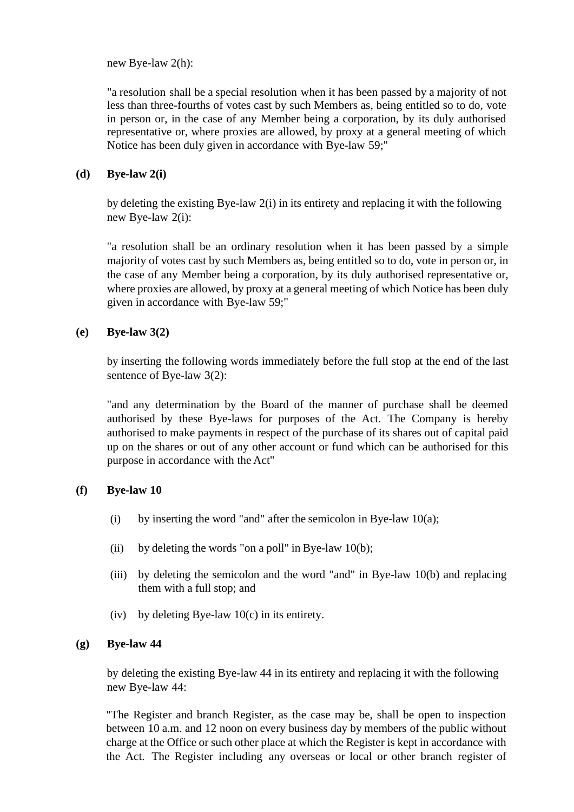new Bye-law 2(h):

"a resolution shall be a special resolution when it has been passed by a majority of not less than three-fourths of votes cast by such Members as, being entitled so to do, vote in person or, in the case of any Member being a corporation, by its duly authorised representative or, where proxies are allowed, by proxy at a general meeting of which Notice has been duly given in accordance with Bye-law 59;"

# **(d) Bye-law 2(i)**

by deleting the existing Bye-law 2(i) in its entirety and replacing it with the following new Bye-law 2(i):

"a resolution shall be an ordinary resolution when it has been passed by a simple majority of votes cast by such Members as, being entitled so to do, vote in person or, in the case of any Member being a corporation, by its duly authorised representative or, where proxies are allowed, by proxy at a general meeting of which Notice has been duly given in accordance with Bye-law 59;"

# **(e) Bye-law 3(2)**

by inserting the following words immediately before the full stop at the end of the last sentence of Bye-law 3(2):

"and any determination by the Board of the manner of purchase shall be deemed authorised by these Bye-laws for purposes of the Act. The Company is hereby authorised to make payments in respect of the purchase of its shares out of capital paid up on the shares or out of any other account or fund which can be authorised for this purpose in accordance with the Act"

# **(f) Bye-law 10**

- (i) by inserting the word "and" after the semicolon in Bye-law  $10(a)$ ;
- (ii) by deleting the words "on a poll" in Bye-law 10(b);
- (iii) by deleting the semicolon and the word "and" in Bye-law 10(b) and replacing them with a full stop; and
- (iv) by deleting Bye-law  $10(c)$  in its entirety.

# **(g) Bye-law 44**

by deleting the existing Bye-law 44 in its entirety and replacing it with the following new Bye-law 44:

"The Register and branch Register, as the case may be, shall be open to inspection between 10 a.m. and 12 noon on every business day by members of the public without charge at the Office or such other place at which the Register is kept in accordance with the Act. The Register including any overseas or local or other branch register of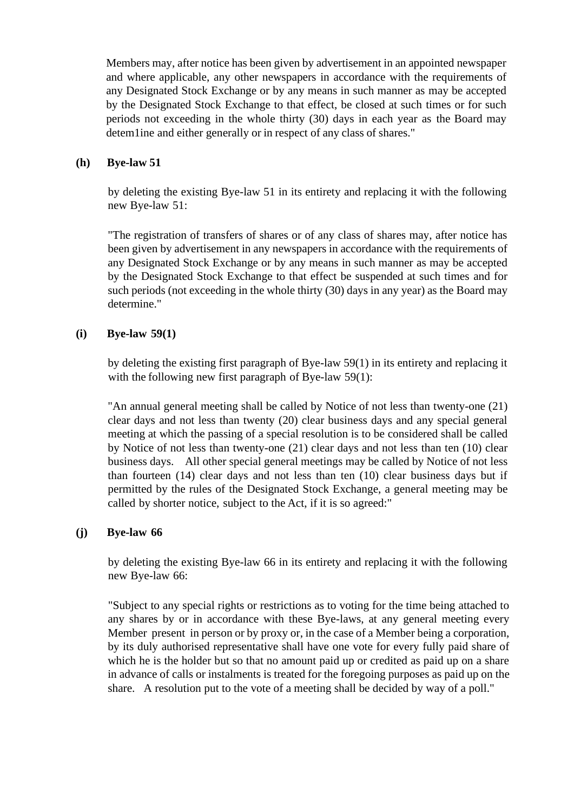Members may, after notice has been given by advertisement in an appointed newspaper and where applicable, any other newspapers in accordance with the requirements of any Designated Stock Exchange or by any means in such manner as may be accepted by the Designated Stock Exchange to that effect, be closed at such times or for such periods not exceeding in the whole thirty (30) days in each year as the Board may detem1ine and either generally or in respect of any class of shares."

## **(h) Bye-law 51**

by deleting the existing Bye-law 51 in its entirety and replacing it with the following new Bye-law 51:

"The registration of transfers of shares or of any class of shares may, after notice has been given by advertisement in any newspapers in accordance with the requirements of any Designated Stock Exchange or by any means in such manner as may be accepted by the Designated Stock Exchange to that effect be suspended at such times and for such periods (not exceeding in the whole thirty (30) days in any year) as the Board may determine."

# **(i) Bye-law 59(1)**

by deleting the existing first paragraph of Bye-law 59(1) in its entirety and replacing it with the following new first paragraph of Bye-law 59(1):

"An annual general meeting shall be called by Notice of not less than twenty-one (21) clear days and not less than twenty (20) clear business days and any special general meeting at which the passing of a special resolution is to be considered shall be called by Notice of not less than twenty-one (21) clear days and not less than ten (10) clear business days. All other special general meetings may be called by Notice of not less than fourteen (14) clear days and not less than ten (10) clear business days but if permitted by the rules of the Designated Stock Exchange, a general meeting may be called by shorter notice, subject to the Act, if it is so agreed:"

# **(j) Bye-law 66**

by deleting the existing Bye-law 66 in its entirety and replacing it with the following new Bye-law 66:

"Subject to any special rights or restrictions as to voting for the time being attached to any shares by or in accordance with these Bye-laws, at any general meeting every Member present in person or by proxy or, in the case of a Member being a corporation, by its duly authorised representative shall have one vote for every fully paid share of which he is the holder but so that no amount paid up or credited as paid up on a share in advance of calls or instalments is treated for the foregoing purposes as paid up on the share. A resolution put to the vote of a meeting shall be decided by way of a poll."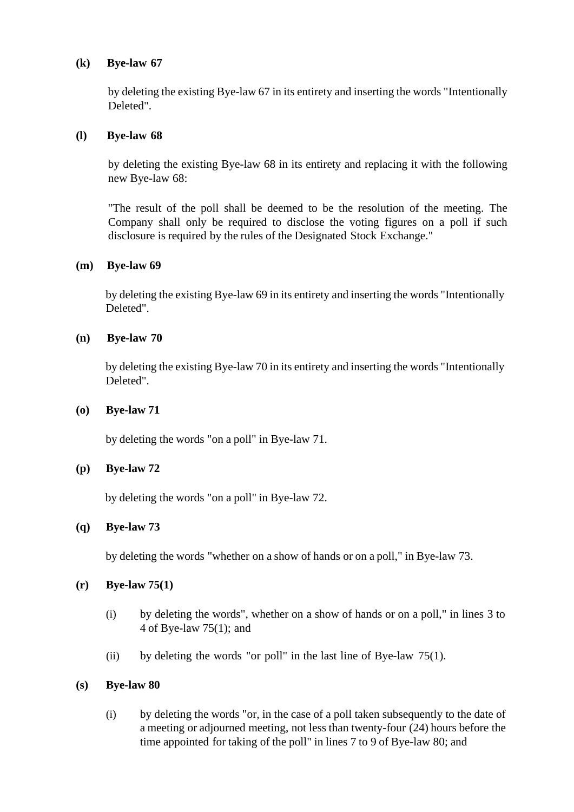# **(k) Bye-law 67**

by deleting the existing Bye-law 67 in its entirety and inserting the words "Intentionally Deleted".

# **(l) Bye-law 68**

by deleting the existing Bye-law 68 in its entirety and replacing it with the following new Bye-law 68:

"The result of the poll shall be deemed to be the resolution of the meeting. The Company shall only be required to disclose the voting figures on a poll if such disclosure is required by the rules of the Designated Stock Exchange."

# **(m) Bye-law 69**

by deleting the existing Bye-law 69 in its entirety and inserting the words "Intentionally Deleted".

# **(n) Bye-law 70**

by deleting the existing Bye-law 70 in its entirety and inserting the words "Intentionally Deleted".

## **(o) Bye-law 71**

by deleting the words "on a poll" in Bye-law 71.

# **(p) Bye-law 72**

by deleting the words "on a poll" in Bye-law 72.

# **(q) Bye-law 73**

by deleting the words "whether on a show of hands or on a poll," in Bye-law 73.

# **(r) Bye-law 75(1)**

- (i) by deleting the words", whether on a show of hands or on a poll," in lines 3 to 4 of Bye-law 75(1); and
- (ii) by deleting the words "or poll" in the last line of Bye-law  $75(1)$ .

#### **(s) Bye-law 80**

(i) by deleting the words "or, in the case of a poll taken subsequently to the date of a meeting or adjourned meeting, not less than twenty-four (24) hours before the time appointed for taking of the poll" in lines 7 to 9 of Bye-law 80; and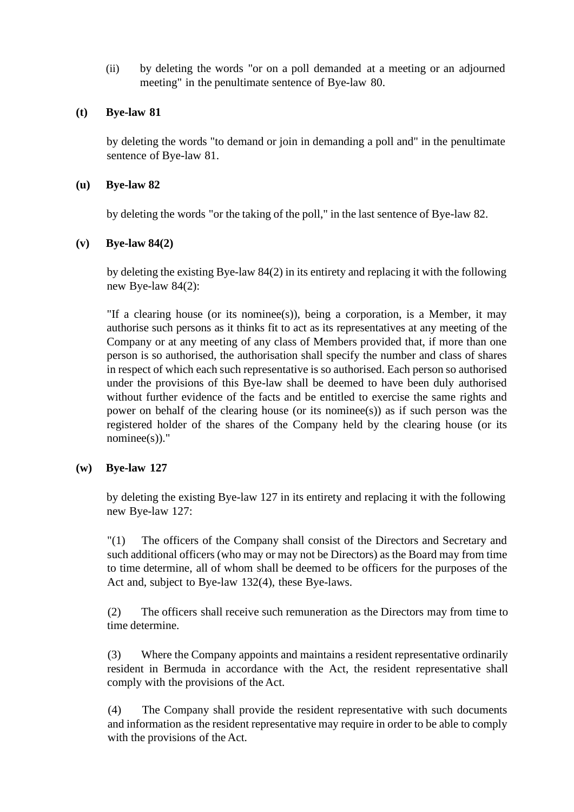(ii) by deleting the words "or on a poll demanded at a meeting or an adjourned meeting" in the penultimate sentence of Bye-law 80.

# **(t) Bye-law 81**

by deleting the words "to demand or join in demanding a poll and" in the penultimate sentence of Bye-law 81.

# **(u) Bye-law 82**

by deleting the words "or the taking of the poll," in the last sentence of Bye-law 82.

# **(v) Bye-law 84(2)**

by deleting the existing Bye-law 84(2) in its entirety and replacing it with the following new Bye-law 84(2):

"If a clearing house (or its nominee(s)), being a corporation, is a Member, it may authorise such persons as it thinks fit to act as its representatives at any meeting of the Company or at any meeting of any class of Members provided that, if more than one person is so authorised, the authorisation shall specify the number and class of shares in respect of which each such representative is so authorised. Each person so authorised under the provisions of this Bye-law shall be deemed to have been duly authorised without further evidence of the facts and be entitled to exercise the same rights and power on behalf of the clearing house (or its nomines)) as if such person was the registered holder of the shares of the Company held by the clearing house (or its  $nominee(s)$ ."

# **(w) Bye-law 127**

by deleting the existing Bye-law 127 in its entirety and replacing it with the following new Bye-law 127:

"(1) The officers of the Company shall consist of the Directors and Secretary and such additional officers (who may or may not be Directors) as the Board may from time to time determine, all of whom shall be deemed to be officers for the purposes of the Act and, subject to Bye-law 132(4), these Bye-laws.

(2) The officers shall receive such remuneration as the Directors may from time to time determine.

(3) Where the Company appoints and maintains a resident representative ordinarily resident in Bermuda in accordance with the Act, the resident representative shall comply with the provisions of the Act.

(4) The Company shall provide the resident representative with such documents and information as the resident representative may require in order to be able to comply with the provisions of the Act.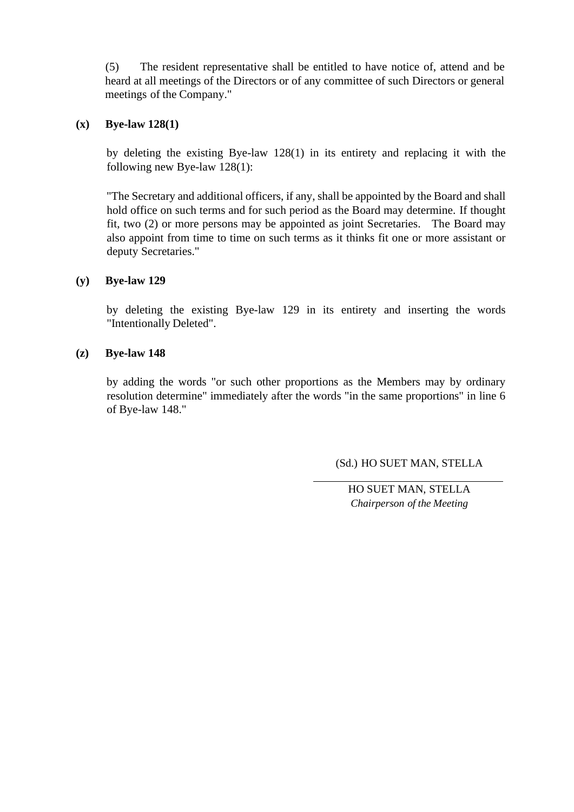(5) The resident representative shall be entitled to have notice of, attend and be heard at all meetings of the Directors or of any committee of such Directors or general meetings of the Company."

# **(x) Bye-law 128(1)**

by deleting the existing Bye-law 128(1) in its entirety and replacing it with the following new Bye-law 128(1):

"The Secretary and additional officers, if any, shall be appointed by the Board and shall hold office on such terms and for such period as the Board may determine. If thought fit, two (2) or more persons may be appointed as joint Secretaries. The Board may also appoint from time to time on such terms as it thinks fit one or more assistant or deputy Secretaries."

# **(y) Bye-law 129**

by deleting the existing Bye-law 129 in its entirety and inserting the words "Intentionally Deleted".

# **(z) Bye-law 148**

by adding the words "or such other proportions as the Members may by ordinary resolution determine" immediately after the words "in the same proportions" in line 6 of Bye-law 148."

(Sd.) HO SUET MAN, STELLA

HO SUET MAN, STELLA *Chairperson of the Meeting*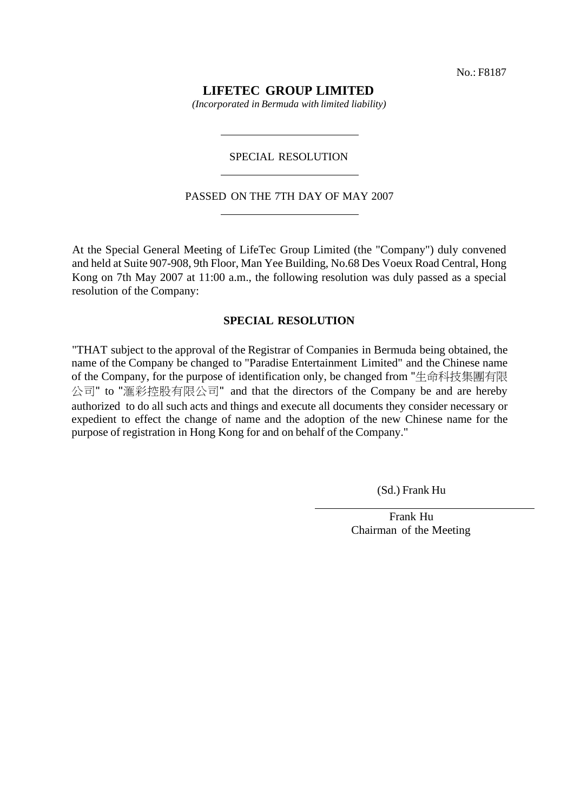# **LIFETEC GROUP LIMITED**

*(Incorporated in Bermuda with limited liability)*

#### SPECIAL RESOLUTION

#### PASSED ON THE 7TH DAY OF MAY 2007

At the Special General Meeting of LifeTec Group Limited (the "Company") duly convened and held at Suite 907-908, 9th Floor, Man Yee Building, No.68 Des Voeux Road Central, Hong Kong on 7th May 2007 at 11:00 a.m., the following resolution was duly passed as a special resolution of the Company:

#### **SPECIAL RESOLUTION**

"THAT subject to the approval of the Registrar of Companies in Bermuda being obtained, the name of the Company be changed to "Paradise Entertainment Limited" and the Chinese name of the Company, for the purpose of identification only, be changed from "生命科技集團有限 公司" to "滙彩控股有限公司" and that the directors of the Company be and are hereby authorized to do all such acts and things and execute all documents they consider necessary or expedient to effect the change of name and the adoption of the new Chinese name for the purpose of registration in Hong Kong for and on behalf of the Company."

(Sd.) Frank Hu

Frank Hu Chairman of the Meeting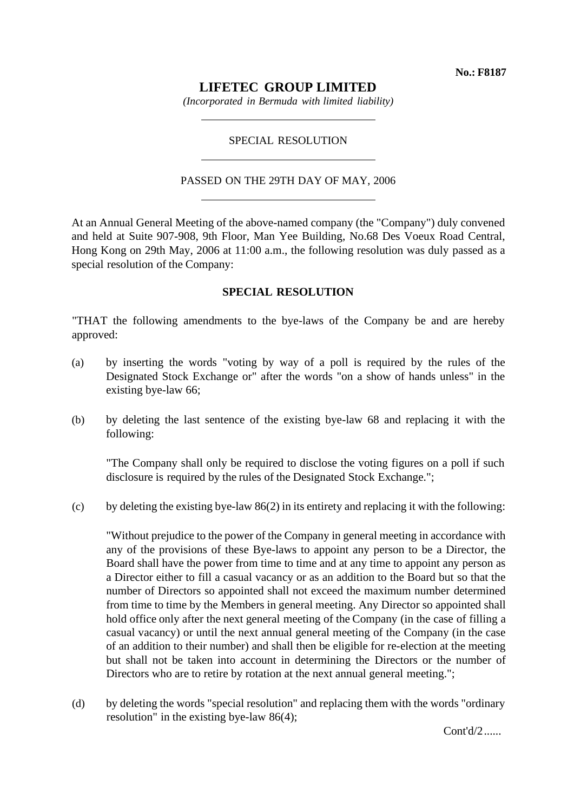# **LIFETEC GROUP LIMITED**

*(Incorporated in Bermuda with limited liability)*

## SPECIAL RESOLUTION

#### PASSED ON THE 29TH DAY OF MAY, 2006

At an Annual General Meeting of the above-named company (the "Company") duly convened and held at Suite 907-908, 9th Floor, Man Yee Building, No.68 Des Voeux Road Central, Hong Kong on 29th May, 2006 at 11:00 a.m., the following resolution was duly passed as a special resolution of the Company:

## **SPECIAL RESOLUTION**

"THAT the following amendments to the bye-laws of the Company be and are hereby approved:

- (a) by inserting the words "voting by way of a poll is required by the rules of the Designated Stock Exchange or" after the words "on a show of hands unless" in the existing bye-law 66;
- (b) by deleting the last sentence of the existing bye-law 68 and replacing it with the following:

"The Company shall only be required to disclose the voting figures on a poll if such disclosure is required by the rules of the Designated Stock Exchange.";

(c) by deleting the existing bye-law 86(2) in its entirety and replacing it with the following:

"Without prejudice to the power of the Company in general meeting in accordance with any of the provisions of these Bye-laws to appoint any person to be a Director, the Board shall have the power from time to time and at any time to appoint any person as a Director either to fill a casual vacancy or as an addition to the Board but so that the number of Directors so appointed shall not exceed the maximum number determined from time to time by the Members in general meeting. Any Director so appointed shall hold office only after the next general meeting of the Company (in the case of filling a casual vacancy) or until the next annual general meeting of the Company (in the case of an addition to their number) and shall then be eligible for re-election at the meeting but shall not be taken into account in determining the Directors or the number of Directors who are to retire by rotation at the next annual general meeting.";

(d) by deleting the words "special resolution" and replacing them with the words "ordinary resolution" in the existing bye-law 86(4);

Cont'd/2......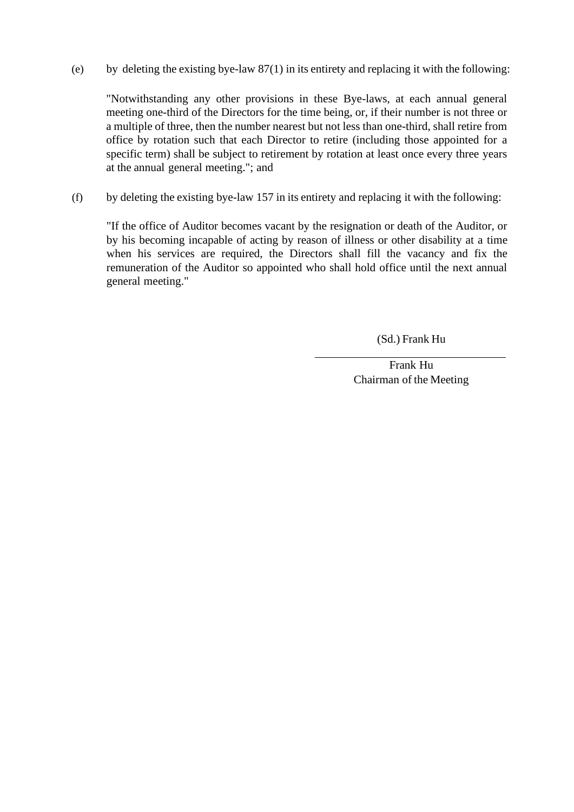(e) by deleting the existing bye-law  $87(1)$  in its entirety and replacing it with the following:

"Notwithstanding any other provisions in these Bye-laws, at each annual general meeting one-third of the Directors for the time being, or, if their number is not three or a multiple of three, then the number nearest but not less than one-third, shall retire from office by rotation such that each Director to retire (including those appointed for a specific term) shall be subject to retirement by rotation at least once every three years at the annual general meeting."; and

(f) by deleting the existing bye-law 157 in its entirety and replacing it with the following:

"If the office of Auditor becomes vacant by the resignation or death of the Auditor, or by his becoming incapable of acting by reason of illness or other disability at a time when his services are required, the Directors shall fill the vacancy and fix the remuneration of the Auditor so appointed who shall hold office until the next annual general meeting."

(Sd.) Frank Hu

Frank Hu Chairman of the Meeting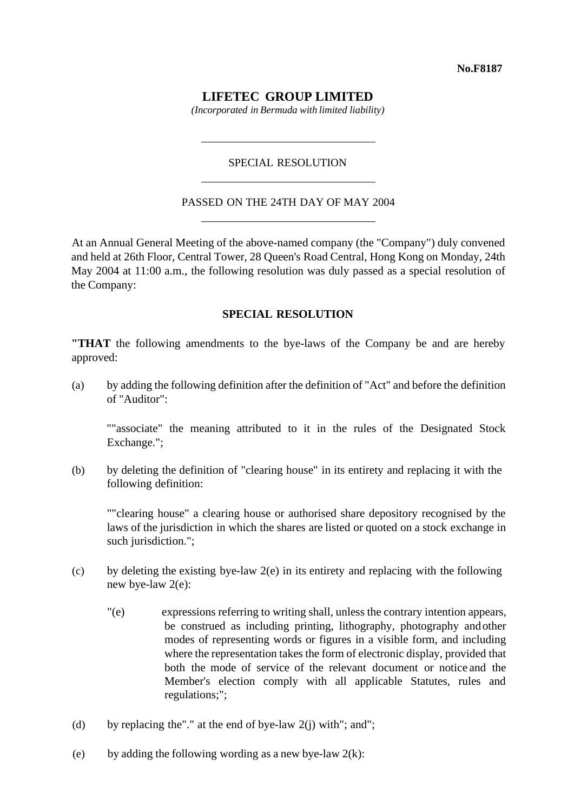# **LIFETEC GROUP LIMITED**

*(Incorporated in Bermuda with limited liability)*

## SPECIAL RESOLUTION

#### PASSED ON THE 24TH DAY OF MAY 2004

At an Annual General Meeting of the above-named company (the "Company") duly convened and held at 26th Floor, Central Tower, 28 Queen's Road Central, Hong Kong on Monday, 24th May 2004 at 11:00 a.m., the following resolution was duly passed as a special resolution of the Company:

## **SPECIAL RESOLUTION**

**"THAT** the following amendments to the bye-laws of the Company be and are hereby approved:

(a) by adding the following definition after the definition of "Act" and before the definition of "Auditor":

""associate" the meaning attributed to it in the rules of the Designated Stock Exchange.";

(b) by deleting the definition of "clearing house" in its entirety and replacing it with the following definition:

""clearing house" a clearing house or authorised share depository recognised by the laws of the jurisdiction in which the shares are listed or quoted on a stock exchange in such jurisdiction.";

- (c) by deleting the existing bye-law 2(e) in its entirety and replacing with the following new bye-law 2(e):
	- "(e) expressions referring to writing shall, unless the contrary intention appears, be construed as including printing, lithography, photography andother modes of representing words or figures in a visible form, and including where the representation takes the form of electronic display, provided that both the mode of service of the relevant document or notice and the Member's election comply with all applicable Statutes, rules and regulations;";
- (d) by replacing the"." at the end of bye-law  $2(j)$  with"; and";
- (e) by adding the following wording as a new bye-law  $2(k)$ :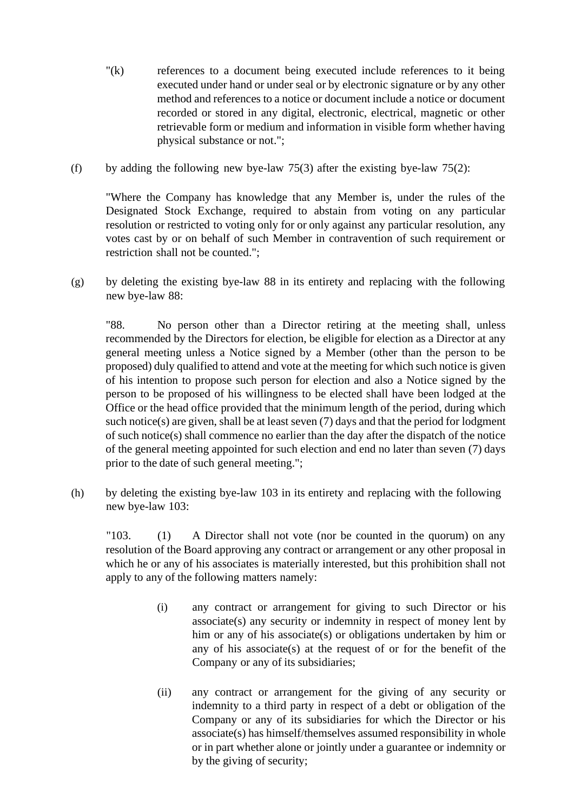- "(k) references to a document being executed include references to it being executed under hand or under seal or by electronic signature or by any other method and references to a notice or document include a notice or document recorded or stored in any digital, electronic, electrical, magnetic or other retrievable form or medium and information in visible form whether having physical substance or not.";
- (f) by adding the following new bye-law 75(3) after the existing bye-law 75(2):

"Where the Company has knowledge that any Member is, under the rules of the Designated Stock Exchange, required to abstain from voting on any particular resolution or restricted to voting only for or only against any particular resolution, any votes cast by or on behalf of such Member in contravention of such requirement or restriction shall not be counted.";

(g) by deleting the existing bye-law 88 in its entirety and replacing with the following new bye-law 88:

"88. No person other than a Director retiring at the meeting shall, unless recommended by the Directors for election, be eligible for election as a Director at any general meeting unless a Notice signed by a Member (other than the person to be proposed) duly qualified to attend and vote at the meeting for which such notice is given of his intention to propose such person for election and also a Notice signed by the person to be proposed of his willingness to be elected shall have been lodged at the Office or the head office provided that the minimum length of the period, during which such notice(s) are given, shall be at least seven (7) days and that the period for lodgment of such notice(s) shall commence no earlier than the day after the dispatch of the notice of the general meeting appointed for such election and end no later than seven (7) days prior to the date of such general meeting.";

(h) by deleting the existing bye-law 103 in its entirety and replacing with the following new bye-law 103:

"103. (1) A Director shall not vote (nor be counted in the quorum) on any resolution of the Board approving any contract or arrangement or any other proposal in which he or any of his associates is materially interested, but this prohibition shall not apply to any of the following matters namely:

- (i) any contract or arrangement for giving to such Director or his associate(s) any security or indemnity in respect of money lent by him or any of his associate(s) or obligations undertaken by him or any of his associate(s) at the request of or for the benefit of the Company or any of its subsidiaries;
- (ii) any contract or arrangement for the giving of any security or indemnity to a third party in respect of a debt or obligation of the Company or any of its subsidiaries for which the Director or his associate(s) has himself/themselves assumed responsibility in whole or in part whether alone or jointly under a guarantee or indemnity or by the giving of security;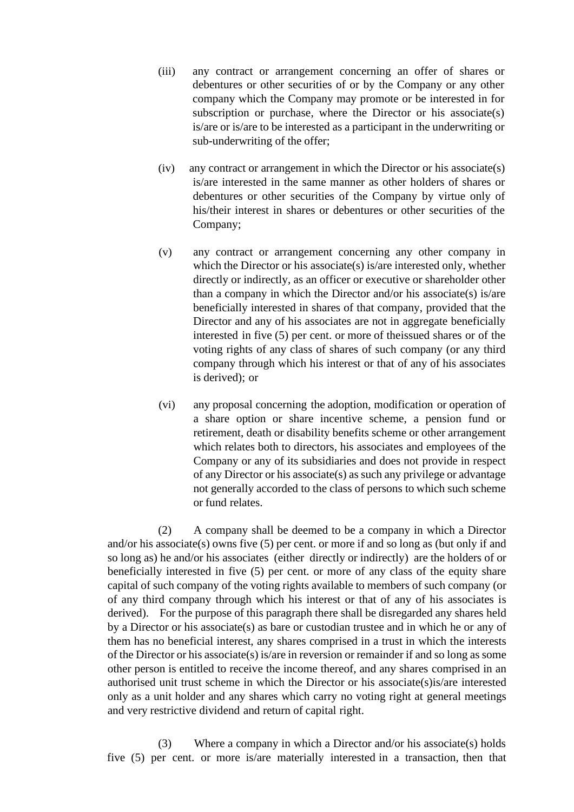- (iii) any contract or arrangement concerning an offer of shares or debentures or other securities of or by the Company or any other company which the Company may promote or be interested in for subscription or purchase, where the Director or his associate(s) is/are or is/are to be interested as a participant in the underwriting or sub-underwriting of the offer;
- (iv) any contract or arrangement in which the Director or his associate(s) is/are interested in the same manner as other holders of shares or debentures or other securities of the Company by virtue only of his/their interest in shares or debentures or other securities of the Company;
- (v) any contract or arrangement concerning any other company in which the Director or his associate(s) is/are interested only, whether directly or indirectly, as an officer or executive or shareholder other than a company in which the Director and/or his associate(s) is/are beneficially interested in shares of that company, provided that the Director and any of his associates are not in aggregate beneficially interested in five (5) per cent. or more of theissued shares or of the voting rights of any class of shares of such company (or any third company through which his interest or that of any of his associates is derived); or
- (vi) any proposal concerning the adoption, modification or operation of a share option or share incentive scheme, a pension fund or retirement, death or disability benefits scheme or other arrangement which relates both to directors, his associates and employees of the Company or any of its subsidiaries and does not provide in respect of any Director or his associate(s) as such any privilege or advantage not generally accorded to the class of persons to which such scheme or fund relates.

(2) A company shall be deemed to be a company in which a Director and/or his associate(s) owns five (5) per cent. or more if and so long as (but only if and so long as) he and/or his associates (either directly or indirectly) are the holders of or beneficially interested in five (5) per cent. or more of any class of the equity share capital of such company of the voting rights available to members of such company (or of any third company through which his interest or that of any of his associates is derived). For the purpose of this paragraph there shall be disregarded any shares held by a Director or his associate(s) as bare or custodian trustee and in which he or any of them has no beneficial interest, any shares comprised in a trust in which the interests of the Director or his associate(s) is/are in reversion or remainder if and so long as some other person is entitled to receive the income thereof, and any shares comprised in an authorised unit trust scheme in which the Director or his associate(s)is/are interested only as a unit holder and any shares which carry no voting right at general meetings and very restrictive dividend and return of capital right.

(3) Where a company in which a Director and/or his associate(s) holds five (5) per cent. or more is/are materially interested in a transaction, then that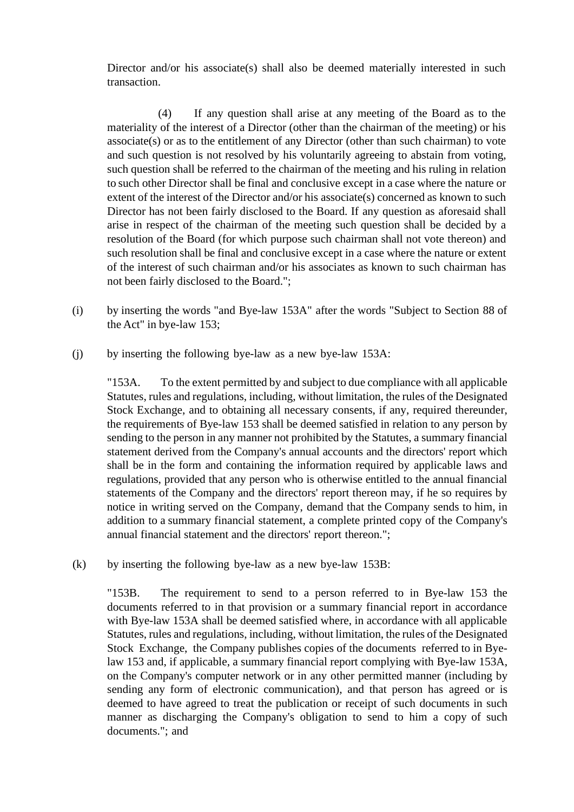Director and/or his associate(s) shall also be deemed materially interested in such transaction.

(4) If any question shall arise at any meeting of the Board as to the materiality of the interest of a Director (other than the chairman of the meeting) or his associate(s) or as to the entitlement of any Director (other than such chairman) to vote and such question is not resolved by his voluntarily agreeing to abstain from voting, such question shall be referred to the chairman of the meeting and his ruling in relation to such other Director shall be final and conclusive except in a case where the nature or extent of the interest of the Director and/or his associate(s) concerned as known to such Director has not been fairly disclosed to the Board. If any question as aforesaid shall arise in respect of the chairman of the meeting such question shall be decided by a resolution of the Board (for which purpose such chairman shall not vote thereon) and such resolution shall be final and conclusive except in a case where the nature or extent of the interest of such chairman and/or his associates as known to such chairman has not been fairly disclosed to the Board.";

- (i) by inserting the words "and Bye-law 153A" after the words "Subject to Section 88 of the Act" in bye-law 153;
- (j) by inserting the following bye-law as a new bye-law 153A:

"153A. To the extent permitted by and subject to due compliance with all applicable Statutes, rules and regulations, including, without limitation, the rules of the Designated Stock Exchange, and to obtaining all necessary consents, if any, required thereunder, the requirements of Bye-law 153 shall be deemed satisfied in relation to any person by sending to the person in any manner not prohibited by the Statutes, a summary financial statement derived from the Company's annual accounts and the directors' report which shall be in the form and containing the information required by applicable laws and regulations, provided that any person who is otherwise entitled to the annual financial statements of the Company and the directors' report thereon may, if he so requires by notice in writing served on the Company, demand that the Company sends to him, in addition to a summary financial statement, a complete printed copy of the Company's annual financial statement and the directors' report thereon.";

(k) by inserting the following bye-law as a new bye-law 153B:

"153B. The requirement to send to a person referred to in Bye-law 153 the documents referred to in that provision or a summary financial report in accordance with Bye-law 153A shall be deemed satisfied where, in accordance with all applicable Statutes, rules and regulations, including, without limitation, the rules of the Designated Stock Exchange, the Company publishes copies of the documents referred to in Byelaw 153 and, if applicable, a summary financial report complying with Bye-law 153A, on the Company's computer network or in any other permitted manner (including by sending any form of electronic communication), and that person has agreed or is deemed to have agreed to treat the publication or receipt of such documents in such manner as discharging the Company's obligation to send to him a copy of such documents."; and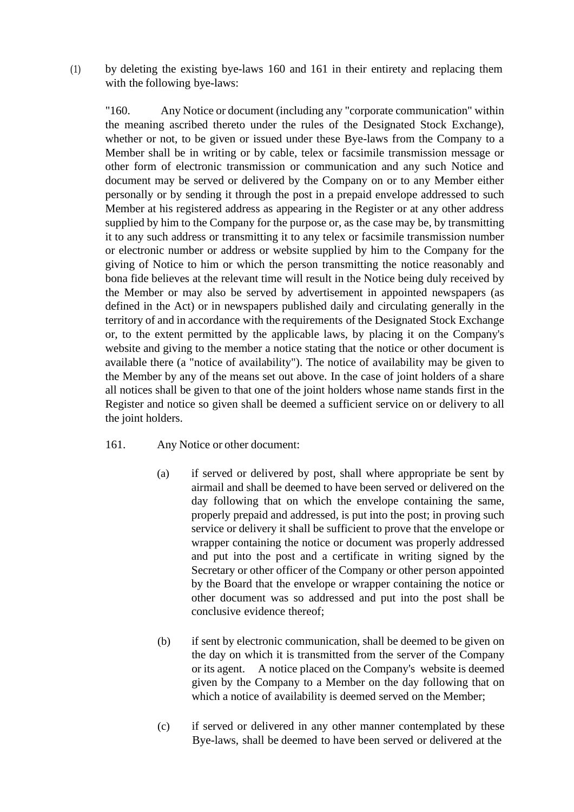(1) by deleting the existing bye-laws 160 and 161 in their entirety and replacing them with the following bye-laws:

"160. Any Notice or document (including any "corporate communication" within the meaning ascribed thereto under the rules of the Designated Stock Exchange), whether or not, to be given or issued under these Bye-laws from the Company to a Member shall be in writing or by cable, telex or facsimile transmission message or other form of electronic transmission or communication and any such Notice and document may be served or delivered by the Company on or to any Member either personally or by sending it through the post in a prepaid envelope addressed to such Member at his registered address as appearing in the Register or at any other address supplied by him to the Company for the purpose or, as the case may be, by transmitting it to any such address or transmitting it to any telex or facsimile transmission number or electronic number or address or website supplied by him to the Company for the giving of Notice to him or which the person transmitting the notice reasonably and bona fide believes at the relevant time will result in the Notice being duly received by the Member or may also be served by advertisement in appointed newspapers (as defined in the Act) or in newspapers published daily and circulating generally in the territory of and in accordance with the requirements of the Designated Stock Exchange or, to the extent permitted by the applicable laws, by placing it on the Company's website and giving to the member a notice stating that the notice or other document is available there (a "notice of availability"). The notice of availability may be given to the Member by any of the means set out above. In the case of joint holders of a share all notices shall be given to that one of the joint holders whose name stands first in the Register and notice so given shall be deemed a sufficient service on or delivery to all the joint holders.

- 161. Any Notice or other document:
	- (a) if served or delivered by post, shall where appropriate be sent by airmail and shall be deemed to have been served or delivered on the day following that on which the envelope containing the same, properly prepaid and addressed, is put into the post; in proving such service or delivery it shall be sufficient to prove that the envelope or wrapper containing the notice or document was properly addressed and put into the post and a certificate in writing signed by the Secretary or other officer of the Company or other person appointed by the Board that the envelope or wrapper containing the notice or other document was so addressed and put into the post shall be conclusive evidence thereof;
	- (b) if sent by electronic communication, shall be deemed to be given on the day on which it is transmitted from the server of the Company or its agent. A notice placed on the Company's website is deemed given by the Company to a Member on the day following that on which a notice of availability is deemed served on the Member;
	- (c) if served or delivered in any other manner contemplated by these Bye-laws, shall be deemed to have been served or delivered at the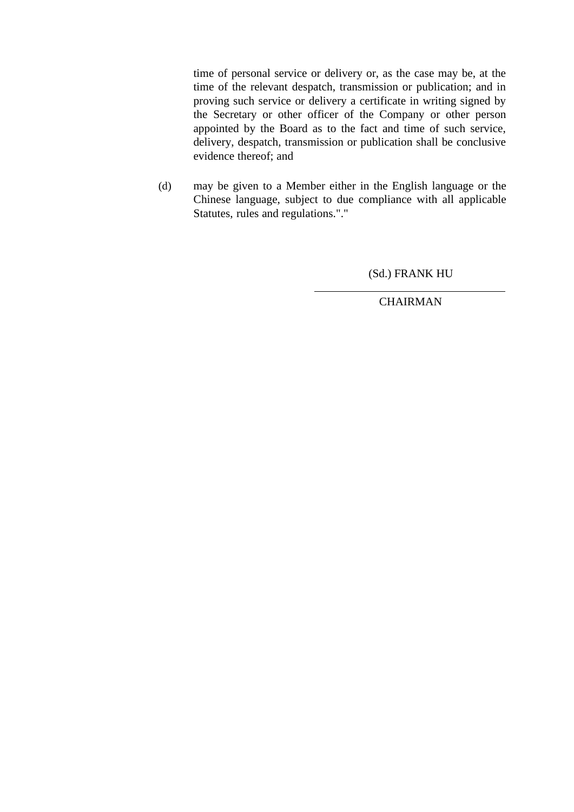time of personal service or delivery or, as the case may be, at the time of the relevant despatch, transmission or publication; and in proving such service or delivery a certificate in writing signed by the Secretary or other officer of the Company or other person appointed by the Board as to the fact and time of such service, delivery, despatch, transmission or publication shall be conclusive evidence thereof; and

(d) may be given to a Member either in the English language or the Chinese language, subject to due compliance with all applicable Statutes, rules and regulations."."

(Sd.) FRANK HU

**CHAIRMAN**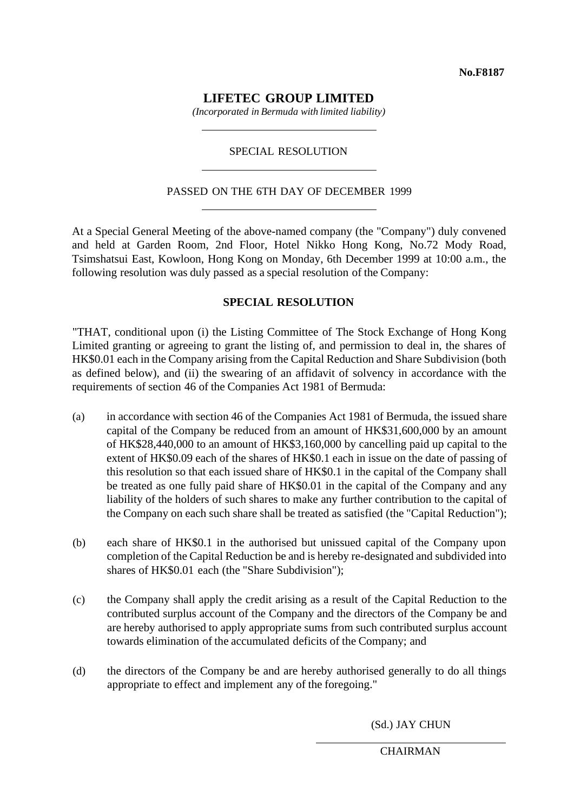**No.F8187**

# **LIFETEC GROUP LIMITED**

*(Incorporated in Bermuda with limited liability)*

# SPECIAL RESOLUTION

# PASSED ON THE 6TH DAY OF DECEMBER 1999

At a Special General Meeting of the above-named company (the "Company") duly convened and held at Garden Room, 2nd Floor, Hotel Nikko Hong Kong, No.72 Mody Road, Tsimshatsui East, Kowloon, Hong Kong on Monday, 6th December 1999 at 10:00 a.m., the following resolution was duly passed as a special resolution of the Company:

# **SPECIAL RESOLUTION**

"THAT, conditional upon (i) the Listing Committee of The Stock Exchange of Hong Kong Limited granting or agreeing to grant the listing of, and permission to deal in, the shares of HK\$0.01 each in the Company arising from the Capital Reduction and Share Subdivision (both as defined below), and (ii) the swearing of an affidavit of solvency in accordance with the requirements of section 46 of the Companies Act 1981 of Bermuda:

- (a) in accordance with section 46 of the Companies Act 1981 of Bermuda, the issued share capital of the Company be reduced from an amount of HK\$31,600,000 by an amount of HK\$28,440,000 to an amount of HK\$3,160,000 by cancelling paid up capital to the extent of HK\$0.09 each of the shares of HK\$0.1 each in issue on the date of passing of this resolution so that each issued share of HK\$0.1 in the capital of the Company shall be treated as one fully paid share of HK\$0.01 in the capital of the Company and any liability of the holders of such shares to make any further contribution to the capital of the Company on each such share shall be treated as satisfied (the "Capital Reduction");
- (b) each share of HK\$0.1 in the authorised but unissued capital of the Company upon completion of the Capital Reduction be and is hereby re-designated and subdivided into shares of HK\$0.01 each (the "Share Subdivision");
- (c) the Company shall apply the credit arising as a result of the Capital Reduction to the contributed surplus account of the Company and the directors of the Company be and are hereby authorised to apply appropriate sums from such contributed surplus account towards elimination of the accumulated deficits of the Company; and
- (d) the directors of the Company be and are hereby authorised generally to do all things appropriate to effect and implement any of the foregoing."

(Sd.) JAY CHUN

**CHAIRMAN**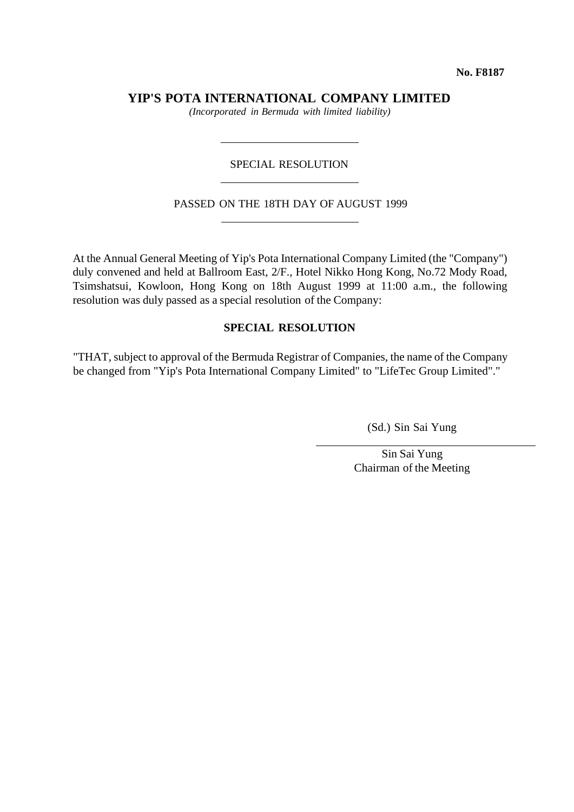**No. F8187**

**YIP'S POTA INTERNATIONAL COMPANY LIMITED**

*(Incorporated in Bermuda with limited liability)*

# SPECIAL RESOLUTION

#### PASSED ON THE 18TH DAY OF AUGUST 1999

At the Annual General Meeting of Yip's Pota International Company Limited (the "Company") duly convened and held at Ballroom East, 2/F., Hotel Nikko Hong Kong, No.72 Mody Road, Tsimshatsui, Kowloon, Hong Kong on 18th August 1999 at 11:00 a.m., the following resolution was duly passed as a special resolution of the Company:

# **SPECIAL RESOLUTION**

"THAT, subject to approval of the Bermuda Registrar of Companies, the name of the Company be changed from "Yip's Pota International Company Limited" to "LifeTec Group Limited"."

(Sd.) Sin Sai Yung

Sin Sai Yung Chairman of the Meeting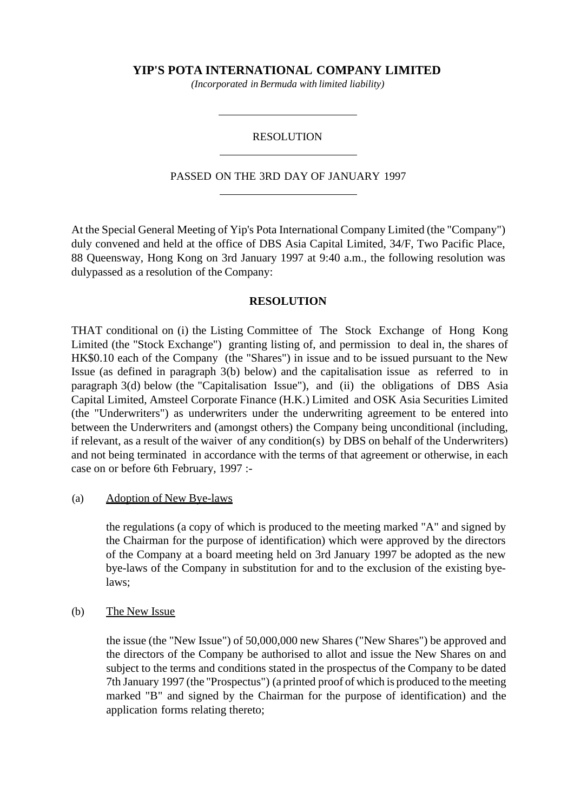**YIP'S POTA INTERNATIONAL COMPANY LIMITED**

*(Incorporated in Bermuda with limited liability)*

## RESOLUTION

## PASSED ON THE 3RD DAY OF JANUARY 1997

At the Special General Meeting of Yip's Pota International Company Limited (the "Company") duly convened and held at the office of DBS Asia Capital Limited, 34/F, Two Pacific Place, 88 Queensway, Hong Kong on 3rd January 1997 at 9:40 a.m., the following resolution was dulypassed as a resolution of the Company:

# **RESOLUTION**

THAT conditional on (i) the Listing Committee of The Stock Exchange of Hong Kong Limited (the "Stock Exchange") granting listing of, and permission to deal in, the shares of HK\$0.10 each of the Company (the "Shares") in issue and to be issued pursuant to the New Issue (as defined in paragraph 3(b) below) and the capitalisation issue as referred to in paragraph 3(d) below (the "Capitalisation Issue"), and (ii) the obligations of DBS Asia Capital Limited, Amsteel Corporate Finance (H.K.) Limited and OSK Asia Securities Limited (the "Underwriters") as underwriters under the underwriting agreement to be entered into between the Underwriters and (amongst others) the Company being unconditional (including, if relevant, as a result of the waiver of any condition(s) by DBS on behalf of the Underwriters) and not being terminated in accordance with the terms of that agreement or otherwise, in each case on or before 6th February, 1997 :-

(a) Adoption of New Bye-laws

the regulations (a copy of which is produced to the meeting marked "A" and signed by the Chairman for the purpose of identification) which were approved by the directors of the Company at a board meeting held on 3rd January 1997 be adopted as the new bye-laws of the Company in substitution for and to the exclusion of the existing byelaws;

(b) The New Issue

the issue (the "New Issue") of 50,000,000 new Shares ("New Shares") be approved and the directors of the Company be authorised to allot and issue the New Shares on and subject to the terms and conditions stated in the prospectus of the Company to be dated 7th January 1997 (the "Prospectus") (a printed proof of which is produced to the meeting marked "B" and signed by the Chairman for the purpose of identification) and the application forms relating thereto;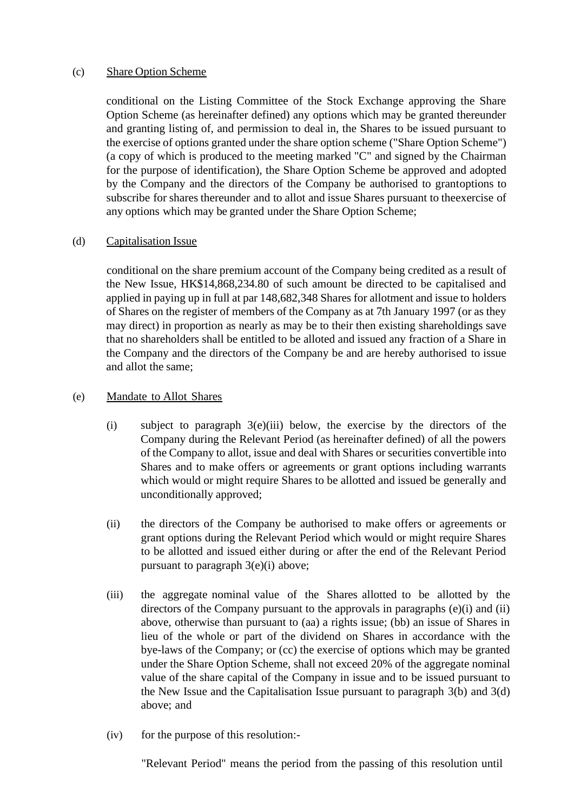# (c) Share Option Scheme

conditional on the Listing Committee of the Stock Exchange approving the Share Option Scheme (as hereinafter defined) any options which may be granted thereunder and granting listing of, and permission to deal in, the Shares to be issued pursuant to the exercise of options granted under the share option scheme ("Share Option Scheme") (a copy of which is produced to the meeting marked "C" and signed by the Chairman for the purpose of identification), the Share Option Scheme be approved and adopted by the Company and the directors of the Company be authorised to grantoptions to subscribe for shares thereunder and to allot and issue Shares pursuant to theexercise of any options which may be granted under the Share Option Scheme;

# (d) Capitalisation Issue

conditional on the share premium account of the Company being credited as a result of the New Issue, HK\$14,868,234.80 of such amount be directed to be capitalised and applied in paying up in full at par 148,682,348 Shares for allotment and issue to holders of Shares on the register of members of the Company as at 7th January 1997 (or as they may direct) in proportion as nearly as may be to their then existing shareholdings save that no shareholders shall be entitled to be alloted and issued any fraction of a Share in the Company and the directors of the Company be and are hereby authorised to issue and allot the same;

# (e) Mandate to Allot Shares

- (i) subject to paragraph 3(e)(iii) below, the exercise by the directors of the Company during the Relevant Period (as hereinafter defined) of all the powers of the Company to allot, issue and deal with Shares or securities convertible into Shares and to make offers or agreements or grant options including warrants which would or might require Shares to be allotted and issued be generally and unconditionally approved;
- (ii) the directors of the Company be authorised to make offers or agreements or grant options during the Relevant Period which would or might require Shares to be allotted and issued either during or after the end of the Relevant Period pursuant to paragraph 3(e)(i) above;
- (iii) the aggregate nominal value of the Shares allotted to be allotted by the directors of the Company pursuant to the approvals in paragraphs (e)(i) and (ii) above, otherwise than pursuant to (aa) a rights issue; (bb) an issue of Shares in lieu of the whole or part of the dividend on Shares in accordance with the bye-laws of the Company; or (cc) the exercise of options which may be granted under the Share Option Scheme, shall not exceed 20% of the aggregate nominal value of the share capital of the Company in issue and to be issued pursuant to the New Issue and the Capitalisation Issue pursuant to paragraph 3(b) and 3(d) above; and
- (iv) for the purpose of this resolution:-

"Relevant Period" means the period from the passing of this resolution until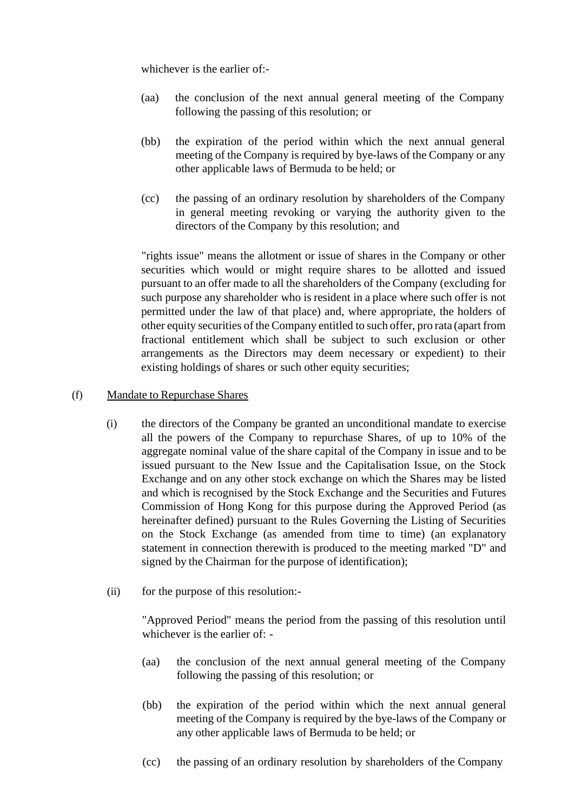whichever is the earlier of:-

- (aa) the conclusion of the next annual general meeting of the Company following the passing of this resolution; or
- (bb) the expiration of the period within which the next annual general meeting of the Company is required by bye-laws of the Company or any other applicable laws of Bermuda to be held; or
- (cc) the passing of an ordinary resolution by shareholders of the Company in general meeting revoking or varying the authority given to the directors of the Company by this resolution; and

"rights issue" means the allotment or issue of shares in the Company or other securities which would or might require shares to be allotted and issued pursuant to an offer made to all the shareholders of the Company (excluding for such purpose any shareholder who is resident in a place where such offer is not permitted under the law of that place) and, where appropriate, the holders of other equity securities of the Company entitled to such offer, pro rata (apart from fractional entitlement which shall be subject to such exclusion or other arrangements as the Directors may deem necessary or expedient) to their existing holdings of shares or such other equity securities;

# (f) Mandate to Repurchase Shares

- (i) the directors of the Company be granted an unconditional mandate to exercise all the powers of the Company to repurchase Shares, of up to 10% of the aggregate nominal value of the share capital of the Company in issue and to be issued pursuant to the New Issue and the Capitalisation Issue, on the Stock Exchange and on any other stock exchange on which the Shares may be listed and which is recognised by the Stock Exchange and the Securities and Futures Commission of Hong Kong for this purpose during the Approved Period (as hereinafter defined) pursuant to the Rules Governing the Listing of Securities on the Stock Exchange (as amended from time to time) (an explanatory statement in connection therewith is produced to the meeting marked "D" and signed by the Chairman for the purpose of identification);
- (ii) for the purpose of this resolution:-

"Approved Period" means the period from the passing of this resolution until whichever is the earlier of: -

- (aa) the conclusion of the next annual general meeting of the Company following the passing of this resolution; or
- (bb) the expiration of the period within which the next annual general meeting of the Company is required by the bye-laws of the Company or any other applicable laws of Bermuda to be held; or
- (cc) the passing of an ordinary resolution by shareholders of the Company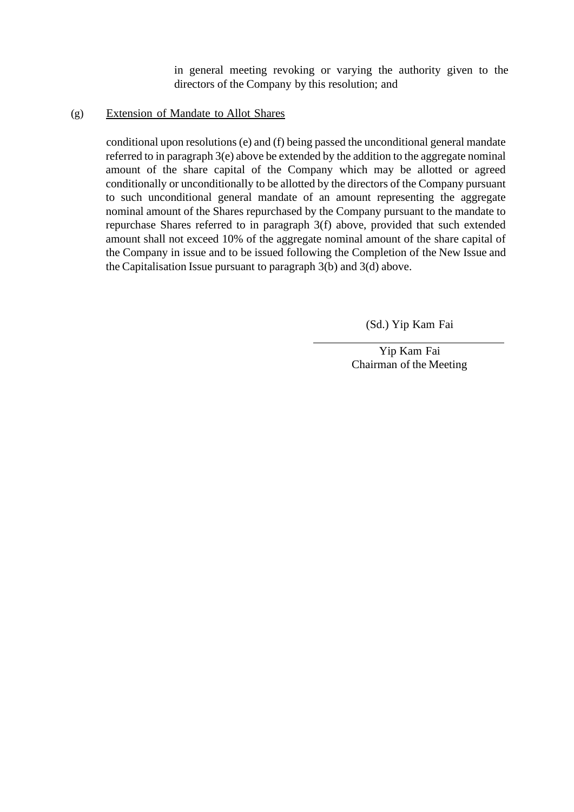in general meeting revoking or varying the authority given to the directors of the Company by this resolution; and

# (g) Extension of Mandate to Allot Shares

conditional upon resolutions (e) and (f) being passed the unconditional general mandate referred to in paragraph 3(e) above be extended by the addition to the aggregate nominal amount of the share capital of the Company which may be allotted or agreed conditionally or unconditionally to be allotted by the directors of the Company pursuant to such unconditional general mandate of an amount representing the aggregate nominal amount of the Shares repurchased by the Company pursuant to the mandate to repurchase Shares referred to in paragraph 3(f) above, provided that such extended amount shall not exceed 10% of the aggregate nominal amount of the share capital of the Company in issue and to be issued following the Completion of the New Issue and the Capitalisation Issue pursuant to paragraph 3(b) and 3(d) above.

(Sd.) Yip Kam Fai

Yip Kam Fai Chairman of the Meeting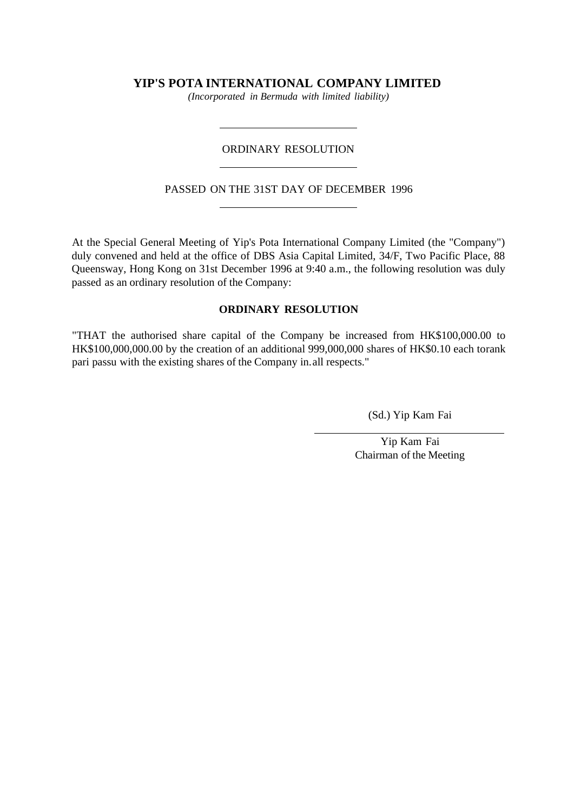# **YIP'S POTA INTERNATIONAL COMPANY LIMITED**

*(Incorporated in Bermuda with limited liability)*

#### ORDINARY RESOLUTION

#### PASSED ON THE 31ST DAY OF DECEMBER 1996

At the Special General Meeting of Yip's Pota International Company Limited (the "Company") duly convened and held at the office of DBS Asia Capital Limited, 34/F, Two Pacific Place, 88 Queensway, Hong Kong on 31st December 1996 at 9:40 a.m., the following resolution was duly passed as an ordinary resolution of the Company:

#### **ORDINARY RESOLUTION**

"THAT the authorised share capital of the Company be increased from HK\$100,000.00 to HK\$100,000,000.00 by the creation of an additional 999,000,000 shares of HK\$0.10 each torank pari passu with the existing shares of the Company in.all respects."

(Sd.) Yip Kam Fai

Yip Kam Fai Chairman of the Meeting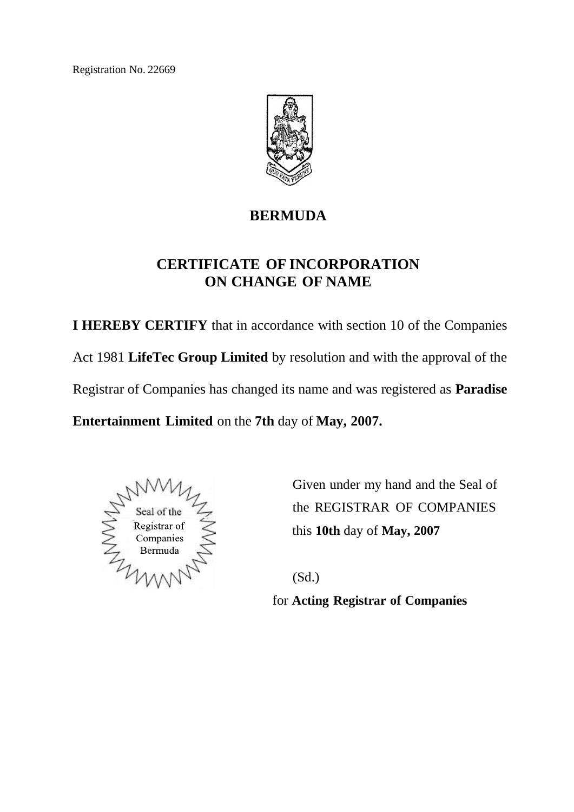Registration No. 22669



# **BERMUDA**

# **CERTIFICATE OF INCORPORATION ON CHANGE OF NAME**

**I HEREBY CERTIFY** that in accordance with section 10 of the Companies Act 1981 **LifeTec Group Limited** by resolution and with the approval of the Registrar of Companies has changed its name and was registered as **Paradise**

**Entertainment Limited** on the **7th** day of **May, 2007.**



Given under my hand and the Seal of the REGISTRAR OF COMPANIES this **10th** day of **May, 2007**

(Sd.)

for **Acting Registrar of Companies**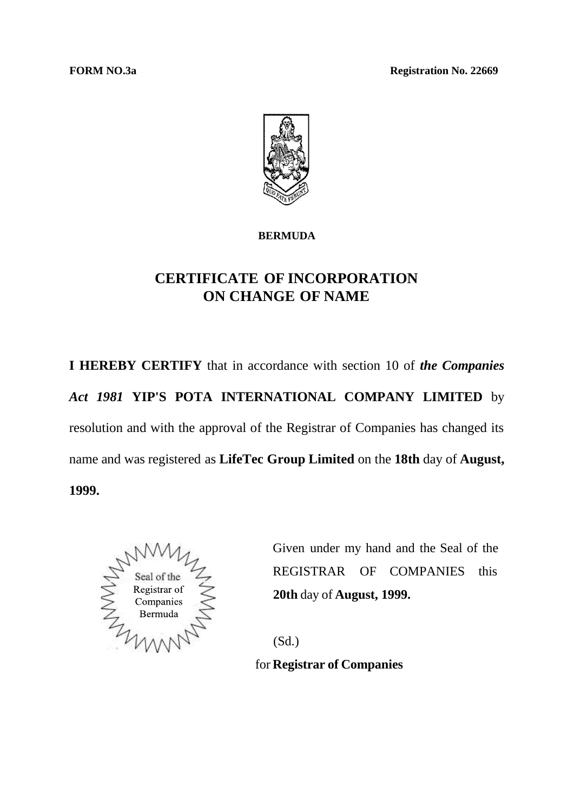**FORM** NO.3a **Registration No. 22669** 



# **BERMUDA**

# **CERTIFICATE OF INCORPORATION ON CHANGE OF NAME**

**I HEREBY CERTIFY** that in accordance with section 10 of *the Companies Act 1981* **YIP'S POTA INTERNATIONAL COMPANY LIMITED** by resolution and with the approval of the Registrar of Companies has changed its name and was registered as **LifeTec Group Limited** on the **18th** day of **August, 1999.**



Given under my hand and the Seal of the REGISTRAR OF COMPANIES this **20th** day of **August, 1999.**

(Sd.)

for **Registrar of Companies**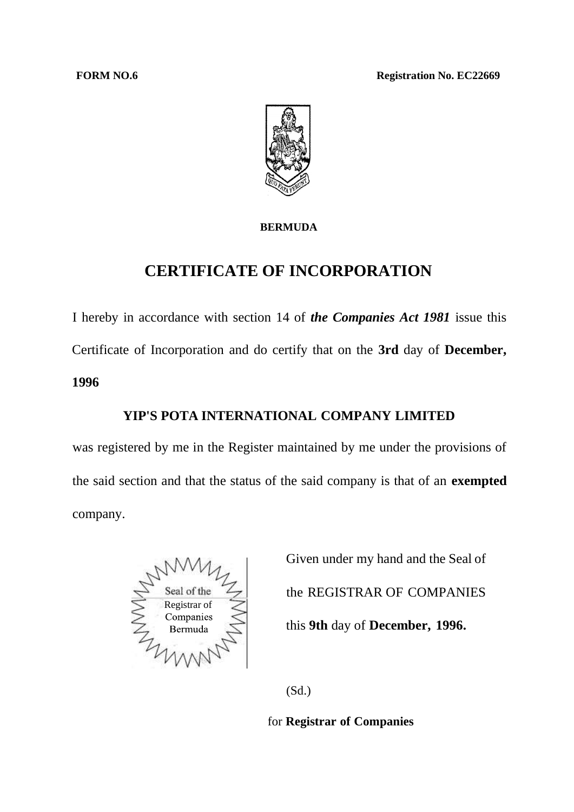**FORM NO.6 Registration No. EC22669** 



# **BERMUDA**

# **CERTIFICATE OF INCORPORATION**

I hereby in accordance with section 14 of *the Companies Act 1981* issue this Certificate of Incorporation and do certify that on the **3rd** day of **December, 1996**

# **YIP'S POTA INTERNATIONAL COMPANY LIMITED**

was registered by me in the Register maintained by me under the provisions of the said section and that the status of the said company is that of an **exempted** company.



Given under my hand and the Seal of the REGISTRAR OF COMPANIES this **9th** day of **December, 1996.**

(Sd.)

for **Registrar of Companies**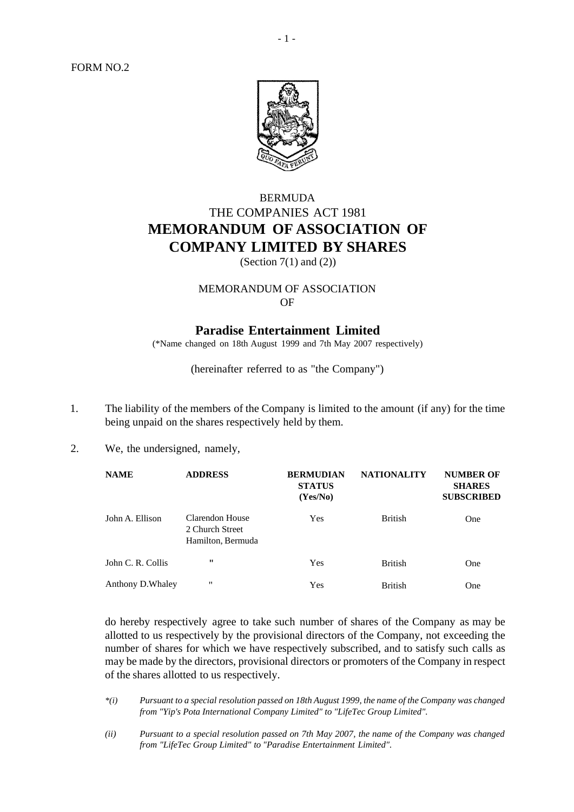FORM NO.2



# BERMUDA THE COMPANIES ACT 1981 **MEMORANDUM OF ASSOCIATION OF COMPANY LIMITED BY SHARES**

(Section  $7(1)$  and  $(2)$ )

## MEMORANDUM OF ASSOCIATION OF

# **Paradise Entertainment Limited**

(\*Name changed on 18th August 1999 and 7th May 2007 respectively)

(hereinafter referred to as "the Company")

- 1. The liability of the members of the Company is limited to the amount (if any) for the time being unpaid on the shares respectively held by them.
- 2. We, the undersigned, namely,

| <b>NAME</b>       | <b>ADDRESS</b>                                          | <b>BERMUDIAN</b><br><b>STATUS</b><br>(Yes/No) | <b>NATIONALITY</b> | <b>NUMBER OF</b><br><b>SHARES</b><br><b>SUBSCRIBED</b> |
|-------------------|---------------------------------------------------------|-----------------------------------------------|--------------------|--------------------------------------------------------|
| John A. Ellison   | Clarendon House<br>2 Church Street<br>Hamilton, Bermuda | Yes                                           | <b>British</b>     | <b>One</b>                                             |
| John C. R. Collis | $\mathbf{H}$                                            | Yes                                           | <b>British</b>     | One                                                    |
| Anthony D. Whaley | $^{\prime\prime}$                                       | Yes                                           | <b>British</b>     | One                                                    |

do hereby respectively agree to take such number of shares of the Company as may be allotted to us respectively by the provisional directors of the Company, not exceeding the number of shares for which we have respectively subscribed, and to satisfy such calls as may be made by the directors, provisional directors or promoters of the Company in respect of the shares allotted to us respectively.

- *\*(i) Pursuant to a special resolution passed on 18th August 1999, the name of the Company was changed from "Yip's Pota International Company Limited" to "LifeTec Group Limited".*
- *(ii) Pursuant to a special resolution passed on 7th May 2007, the name of the Company was changed from "LifeTec Group Limited" to "Paradise Entertainment Limited".*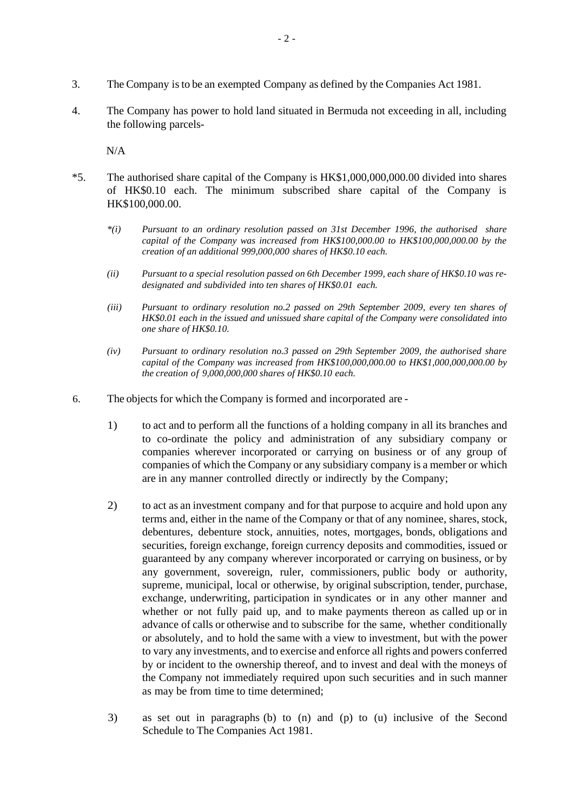- 3. The Company isto be an exempted Company as defined by the Companies Act 1981.
- 4. The Company has power to hold land situated in Bermuda not exceeding in all, including the following parcels-

N/A

- \*5. The authorised share capital of the Company is HK\$1,000,000,000.00 divided into shares of HK\$0.10 each. The minimum subscribed share capital of the Company is HK\$100,000.00.
	- *\*(i) Pursuant to an ordinary resolution passed on 31st December 1996, the authorised share capital of the Company was increased from HK\$100,000.00 to HK\$100,000,000.00 by the creation of an additional 999,000,000 shares of HK\$0.10 each.*
	- *(ii) Pursuant to a special resolution passed on 6th December 1999, each share of HK\$0.10 was redesignated and subdivided into ten shares of HK\$0.01 each.*
	- *(iii) Pursuant to ordinary resolution no.2 passed on 29th September 2009, every ten shares of HK\$0.01 each in the issued and unissued share capital of the Company were consolidated into one share of HK\$0.10.*
	- *(iv) Pursuant to ordinary resolution no.3 passed on 29th September 2009, the authorised share capital of the Company was increased from HK\$100,000,000.00 to HK\$1,000,000,000.00 by the creation of 9,000,000,000 shares of HK\$0.10 each.*
- 6. The objects for which the Company isformed and incorporated are
	- 1) to act and to perform all the functions of a holding company in all its branches and to co-ordinate the policy and administration of any subsidiary company or companies wherever incorporated or carrying on business or of any group of companies of which the Company or any subsidiary company is a member or which are in any manner controlled directly or indirectly by the Company;
	- 2) to act as an investment company and for that purpose to acquire and hold upon any terms and, either in the name of the Company or that of any nominee, shares, stock, debentures, debenture stock, annuities, notes, mortgages, bonds, obligations and securities, foreign exchange, foreign currency deposits and commodities, issued or guaranteed by any company wherever incorporated or carrying on business, or by any government, sovereign, ruler, commissioners, public body or authority, supreme, municipal, local or otherwise, by original subscription, tender, purchase, exchange, underwriting, participation in syndicates or in any other manner and whether or not fully paid up, and to make payments thereon as called up or in advance of calls or otherwise and to subscribe for the same, whether conditionally or absolutely, and to hold the same with a view to investment, but with the power to vary any investments, and to exercise and enforce all rights and powers conferred by or incident to the ownership thereof, and to invest and deal with the moneys of the Company not immediately required upon such securities and in such manner as may be from time to time determined;
	- 3) as set out in paragraphs (b) to (n) and (p) to (u) inclusive of the Second Schedule to The Companies Act 1981.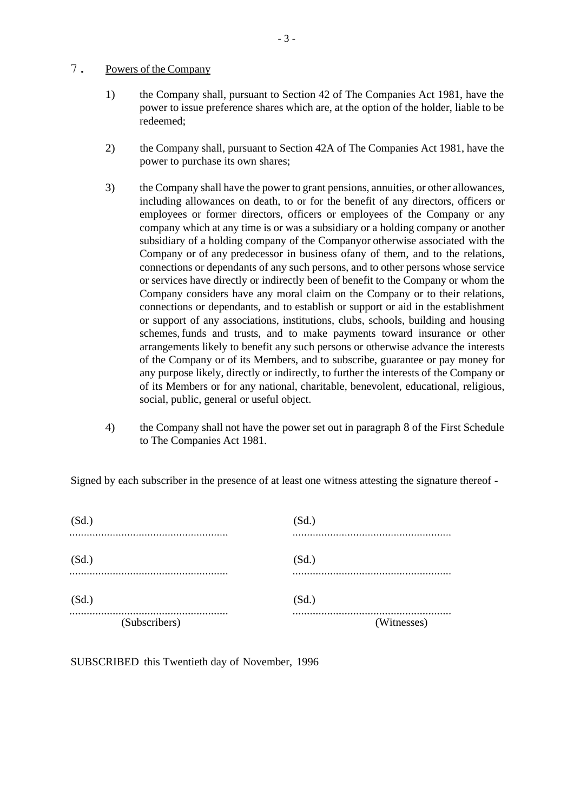#### 7. Powers of the Company

- 1) the Company shall, pursuant to Section 42 of The Companies Act 1981, have the power to issue preference shares which are, at the option of the holder, liable to be redeemed;
- 2) the Company shall, pursuant to Section 42A of The Companies Act 1981, have the power to purchase its own shares;
- 3) the Company shall have the power to grant pensions, annuities, or other allowances, including allowances on death, to or for the benefit of any directors, officers or employees or former directors, officers or employees of the Company or any company which at any time is or was a subsidiary or a holding company or another subsidiary of a holding company of the Companyor otherwise associated with the Company or of any predecessor in business ofany of them, and to the relations, connections or dependants of any such persons, and to other persons whose service or services have directly or indirectly been of benefit to the Company or whom the Company considers have any moral claim on the Company or to their relations, connections or dependants, and to establish or support or aid in the establishment or support of any associations, institutions, clubs, schools, building and housing schemes,funds and trusts, and to make payments toward insurance or other arrangements likely to benefit any such persons or otherwise advance the interests of the Company or of its Members, and to subscribe, guarantee or pay money for any purpose likely, directly or indirectly, to further the interests of the Company or of its Members or for any national, charitable, benevolent, educational, religious, social, public, general or useful object.
- 4) the Company shall not have the power set out in paragraph 8 of the First Schedule to The Companies Act 1981.

Signed by each subscriber in the presence of at least one witness attesting the signature thereof -

| (Subscribers) | (Witnesses) |
|---------------|-------------|
|               |             |
| (Sd.)         | (Sd.)       |
| (Sd.)         | (Sd.)       |
| (Sd.)         | (Sd.)       |
|               |             |

SUBSCRIBED this Twentieth day of November, 1996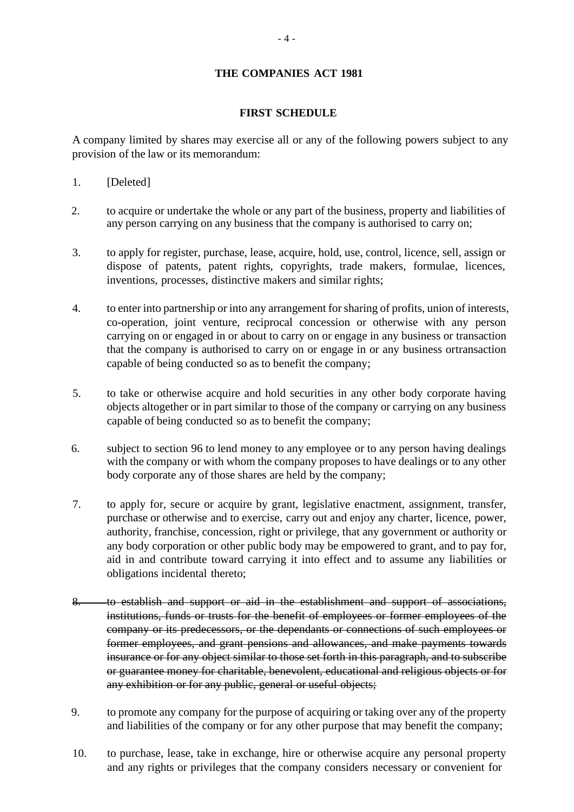## **THE COMPANIES ACT 1981**

#### **FIRST SCHEDULE**

A company limited by shares may exercise all or any of the following powers subject to any provision of the law or its memorandum:

- 1. [Deleted]
- 2. to acquire or undertake the whole or any part of the business, property and liabilities of any person carrying on any business that the company is authorised to carry on;
- 3. to apply for register, purchase, lease, acquire, hold, use, control, licence, sell, assign or dispose of patents, patent rights, copyrights, trade makers, formulae, licences, inventions, processes, distinctive makers and similar rights;
- 4. to enter into partnership or into any arrangement for sharing of profits, union of interests, co-operation, joint venture, reciprocal concession or otherwise with any person carrying on or engaged in or about to carry on or engage in any business or transaction that the company is authorised to carry on or engage in or any business ortransaction capable of being conducted so as to benefit the company;
- 5. to take or otherwise acquire and hold securities in any other body corporate having objects altogether or in part similar to those of the company or carrying on any business capable of being conducted so as to benefit the company;
- 6. subject to section 96 to lend money to any employee or to any person having dealings with the company or with whom the company proposes to have dealings or to any other body corporate any of those shares are held by the company;
- 7. to apply for, secure or acquire by grant, legislative enactment, assignment, transfer, purchase or otherwise and to exercise, carry out and enjoy any charter, licence, power, authority, franchise, concession, right or privilege, that any government or authority or any body corporation or other public body may be empowered to grant, and to pay for, aid in and contribute toward carrying it into effect and to assume any liabilities or obligations incidental thereto;
- 8. to establish and support or aid in the establishment and support of associations, institutions, funds or trusts for the benefit of employees or former employees of the company or its predecessors, or the dependants or connections of such employees or former employees, and grant pensions and allowances, and make payments towards insurance or for any object similar to those set forth in this paragraph, and to subscribe or guarantee money for charitable, benevolent, educational and religious objects or for any exhibition or for any public, general or useful objects;
- 9. to promote any company for the purpose of acquiring or taking over any of the property and liabilities of the company or for any other purpose that may benefit the company;
- 10. to purchase, lease, take in exchange, hire or otherwise acquire any personal property and any rights or privileges that the company considers necessary or convenient for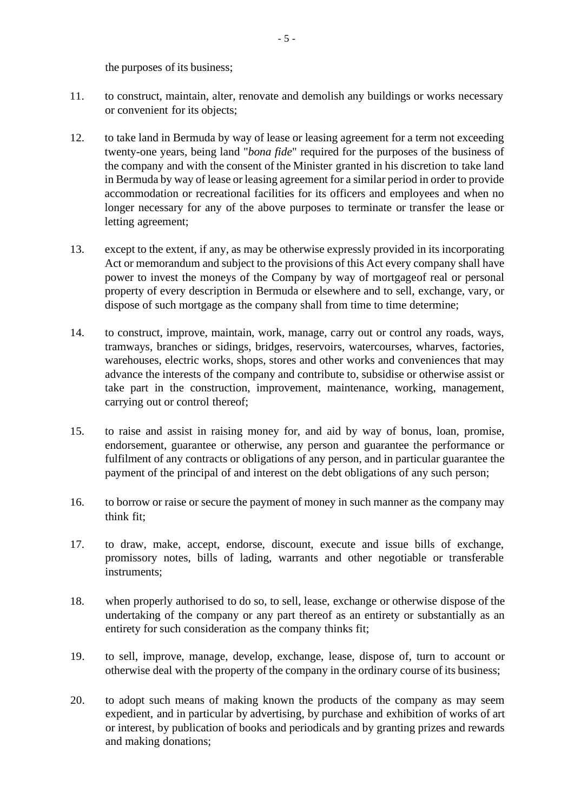the purposes of its business;

- 11. to construct, maintain, alter, renovate and demolish any buildings or works necessary or convenient for its objects;
- 12. to take land in Bermuda by way of lease or leasing agreement for a term not exceeding twenty-one years, being land "*bona fide*" required for the purposes of the business of the company and with the consent of the Minister granted in his discretion to take land in Bermuda by way of lease or leasing agreement for a similar period in order to provide accommodation or recreational facilities for its officers and employees and when no longer necessary for any of the above purposes to terminate or transfer the lease or letting agreement;
- 13. except to the extent, if any, as may be otherwise expressly provided in its incorporating Act or memorandum and subject to the provisions of this Act every company shall have power to invest the moneys of the Company by way of mortgageof real or personal property of every description in Bermuda or elsewhere and to sell, exchange, vary, or dispose of such mortgage as the company shall from time to time determine;
- 14. to construct, improve, maintain, work, manage, carry out or control any roads, ways, tramways, branches or sidings, bridges, reservoirs, watercourses, wharves, factories, warehouses, electric works, shops, stores and other works and conveniences that may advance the interests of the company and contribute to, subsidise or otherwise assist or take part in the construction, improvement, maintenance, working, management, carrying out or control thereof;
- 15. to raise and assist in raising money for, and aid by way of bonus, loan, promise, endorsement, guarantee or otherwise, any person and guarantee the performance or fulfilment of any contracts or obligations of any person, and in particular guarantee the payment of the principal of and interest on the debt obligations of any such person;
- 16. to borrow or raise or secure the payment of money in such manner as the company may think fit;
- 17. to draw, make, accept, endorse, discount, execute and issue bills of exchange, promissory notes, bills of lading, warrants and other negotiable or transferable instruments;
- 18. when properly authorised to do so, to sell, lease, exchange or otherwise dispose of the undertaking of the company or any part thereof as an entirety or substantially as an entirety for such consideration as the company thinks fit;
- 19. to sell, improve, manage, develop, exchange, lease, dispose of, turn to account or otherwise deal with the property of the company in the ordinary course of its business;
- 20. to adopt such means of making known the products of the company as may seem expedient, and in particular by advertising, by purchase and exhibition of works of art or interest, by publication of books and periodicals and by granting prizes and rewards and making donations;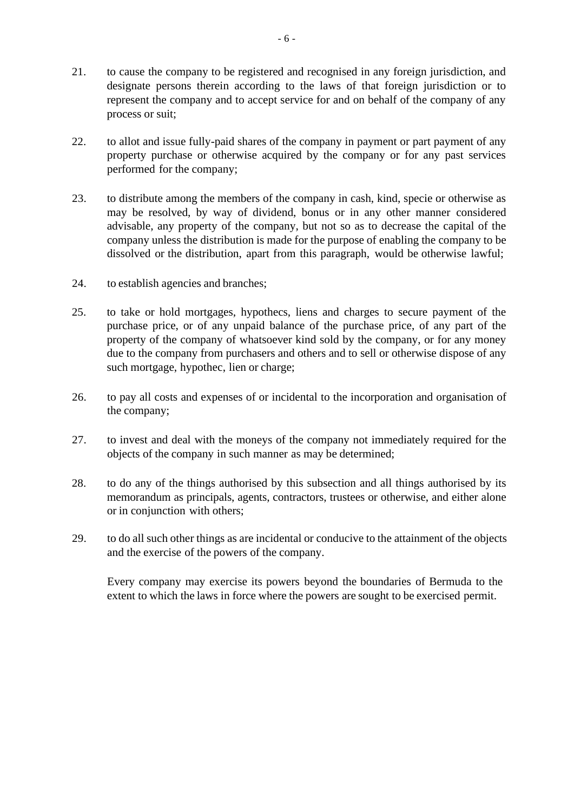- 21. to cause the company to be registered and recognised in any foreign jurisdiction, and designate persons therein according to the laws of that foreign jurisdiction or to represent the company and to accept service for and on behalf of the company of any process or suit;
- 22. to allot and issue fully-paid shares of the company in payment or part payment of any property purchase or otherwise acquired by the company or for any past services performed for the company;
- 23. to distribute among the members of the company in cash, kind, specie or otherwise as may be resolved, by way of dividend, bonus or in any other manner considered advisable, any property of the company, but not so as to decrease the capital of the company unless the distribution is made for the purpose of enabling the company to be dissolved or the distribution, apart from this paragraph, would be otherwise lawful;
- 24. to establish agencies and branches;
- 25. to take or hold mortgages, hypothecs, liens and charges to secure payment of the purchase price, or of any unpaid balance of the purchase price, of any part of the property of the company of whatsoever kind sold by the company, or for any money due to the company from purchasers and others and to sell or otherwise dispose of any such mortgage, hypothec, lien or charge;
- 26. to pay all costs and expenses of or incidental to the incorporation and organisation of the company;
- 27. to invest and deal with the moneys of the company not immediately required for the objects of the company in such manner as may be determined;
- 28. to do any of the things authorised by this subsection and all things authorised by its memorandum as principals, agents, contractors, trustees or otherwise, and either alone or in conjunction with others;
- 29. to do all such other things as are incidental or conducive to the attainment of the objects and the exercise of the powers of the company.

Every company may exercise its powers beyond the boundaries of Bermuda to the extent to which the laws in force where the powers are sought to be exercised permit.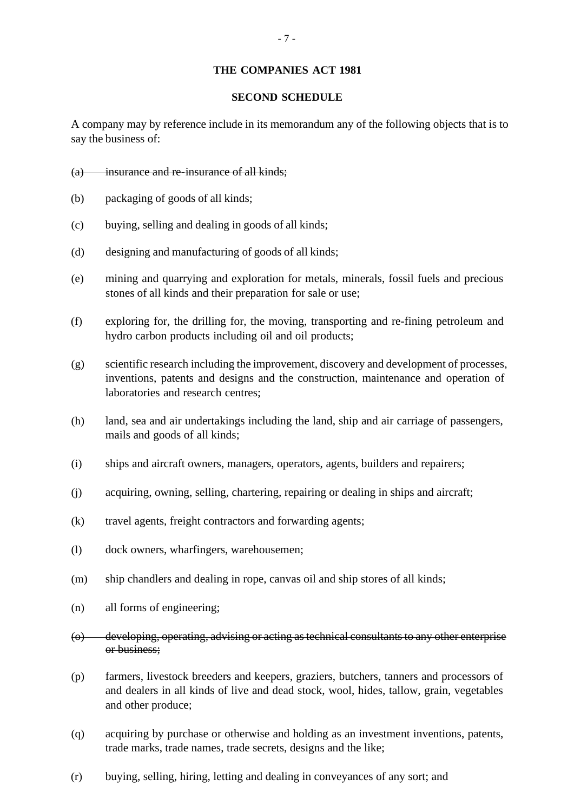#### **THE COMPANIES ACT 1981**

#### **SECOND SCHEDULE**

A company may by reference include in its memorandum any of the following objects that is to say the business of:

- (a) insurance and re-insurance of all kinds;
- (b) packaging of goods of all kinds;
- (c) buying, selling and dealing in goods of all kinds;
- (d) designing and manufacturing of goods of all kinds;
- (e) mining and quarrying and exploration for metals, minerals, fossil fuels and precious stones of all kinds and their preparation for sale or use;
- (f) exploring for, the drilling for, the moving, transporting and re-fining petroleum and hydro carbon products including oil and oil products;
- (g) scientific research including the improvement, discovery and development of processes, inventions, patents and designs and the construction, maintenance and operation of laboratories and research centres;
- (h) land, sea and air undertakings including the land, ship and air carriage of passengers, mails and goods of all kinds;
- (i) ships and aircraft owners, managers, operators, agents, builders and repairers;
- (j) acquiring, owning, selling, chartering, repairing or dealing in ships and aircraft;
- (k) travel agents, freight contractors and forwarding agents;
- (l) dock owners, wharfingers, warehousemen;
- (m) ship chandlers and dealing in rope, canvas oil and ship stores of all kinds;
- (n) all forms of engineering;
- (o) developing, operating, advising or acting as technical consultants to any other enterprise or business;
- (p) farmers, livestock breeders and keepers, graziers, butchers, tanners and processors of and dealers in all kinds of live and dead stock, wool, hides, tallow, grain, vegetables and other produce;
- (q) acquiring by purchase or otherwise and holding as an investment inventions, patents, trade marks, trade names, trade secrets, designs and the like;
- (r) buying, selling, hiring, letting and dealing in conveyances of any sort; and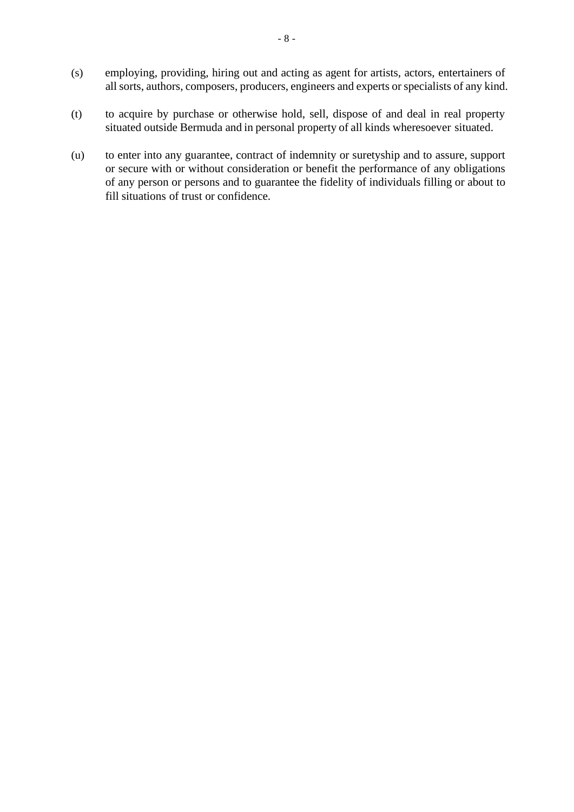- (s) employing, providing, hiring out and acting as agent for artists, actors, entertainers of all sorts, authors, composers, producers, engineers and experts or specialists of any kind.
- (t) to acquire by purchase or otherwise hold, sell, dispose of and deal in real property situated outside Bermuda and in personal property of all kinds wheresoever situated.
- (u) to enter into any guarantee, contract of indemnity or suretyship and to assure, support or secure with or without consideration or benefit the performance of any obligations of any person or persons and to guarantee the fidelity of individuals filling or about to fill situations of trust or confidence.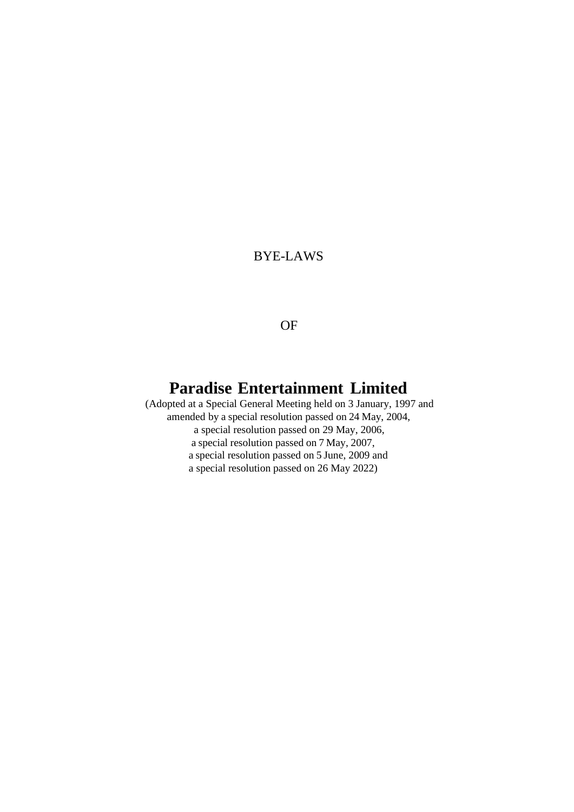# BYE-LAWS

# OF

# **Paradise Entertainment Limited**

(Adopted at a Special General Meeting held on 3 January, 1997 and amended by a special resolution passed on 24 May, 2004, a special resolution passed on 29 May, 2006, a special resolution passed on 7 May, 2007, a special resolution passed on 5 June, 2009 and a special resolution passed on 26 May 2022)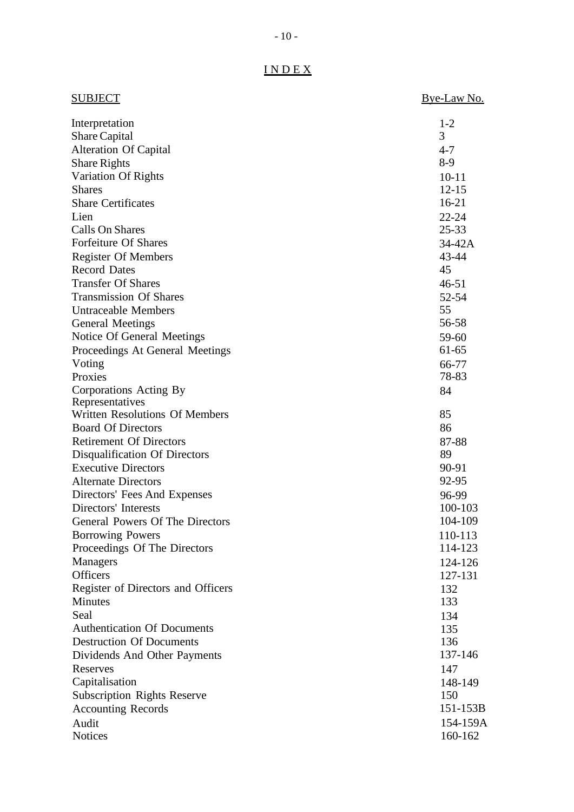| <b>SUBJECT</b>                        | Bye-Law No. |
|---------------------------------------|-------------|
| Interpretation                        | $1 - 2$     |
| <b>Share Capital</b>                  | 3           |
| <b>Alteration Of Capital</b>          | $4 - 7$     |
| <b>Share Rights</b>                   | $8-9$       |
| Variation Of Rights                   | $10 - 11$   |
| <b>Shares</b>                         | $12 - 15$   |
| <b>Share Certificates</b>             | $16-21$     |
| Lien                                  | $22 - 24$   |
| <b>Calls On Shares</b>                | $25 - 33$   |
| <b>Forfeiture Of Shares</b>           | $34-42A$    |
| <b>Register Of Members</b>            | 43-44       |
| <b>Record Dates</b>                   | 45          |
| <b>Transfer Of Shares</b>             | $46 - 51$   |
| <b>Transmission Of Shares</b>         | 52-54       |
| <b>Untraceable Members</b>            | 55          |
| <b>General Meetings</b>               | 56-58       |
| Notice Of General Meetings            | 59-60       |
| Proceedings At General Meetings       | $61 - 65$   |
| Voting                                | 66-77       |
| Proxies                               | 78-83       |
| Corporations Acting By                | 84          |
| Representatives                       |             |
| <b>Written Resolutions Of Members</b> | 85          |
| <b>Board Of Directors</b>             | 86          |
| <b>Retirement Of Directors</b>        | 87-88       |
| Disqualification Of Directors         | 89          |
| <b>Executive Directors</b>            | 90-91       |
| <b>Alternate Directors</b>            | 92-95       |
| Directors' Fees And Expenses          | 96-99       |
| Directors' Interests                  | 100-103     |
| General Powers Of The Directors       | 104-109     |
| <b>Borrowing Powers</b>               | 110-113     |
| Proceedings Of The Directors          | 114-123     |
| <b>Managers</b>                       | 124-126     |
| <b>Officers</b>                       | 127-131     |
| Register of Directors and Officers    | 132         |
| <b>Minutes</b>                        | 133         |
| Seal                                  | 134         |
| <b>Authentication Of Documents</b>    | 135         |
| <b>Destruction Of Documents</b>       | 136         |
| Dividends And Other Payments          | 137-146     |
| Reserves                              | 147         |
| Capitalisation                        | 148-149     |
| <b>Subscription Rights Reserve</b>    | 150         |
| <b>Accounting Records</b>             | 151-153B    |
| Audit                                 | 154-159A    |
| <b>Notices</b>                        | 160-162     |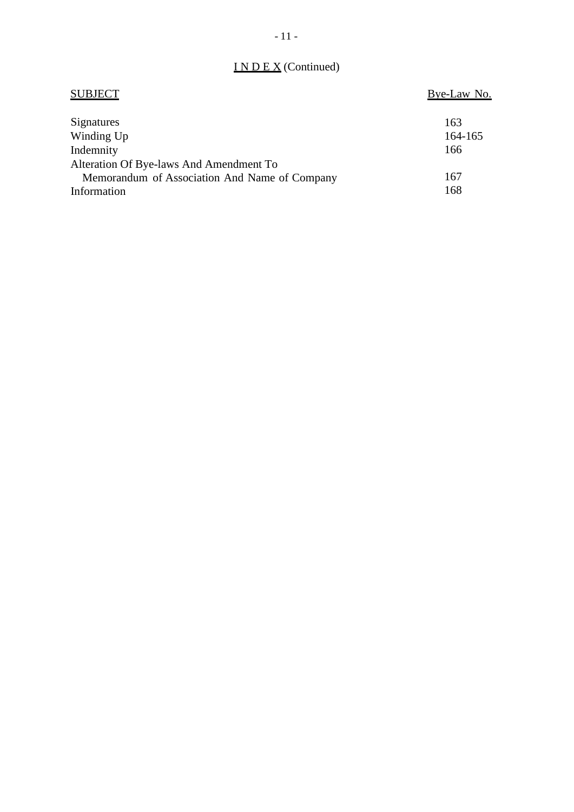# I N D E X (Continued)

| <b>SUBJECT</b>                                | Bye-Law No. |
|-----------------------------------------------|-------------|
| Signatures                                    | 163         |
| Winding Up                                    | 164-165     |
| Indemnity                                     | 166         |
| Alteration Of Bye-laws And Amendment To       |             |
| Memorandum of Association And Name of Company | 167         |
| Information                                   | 168         |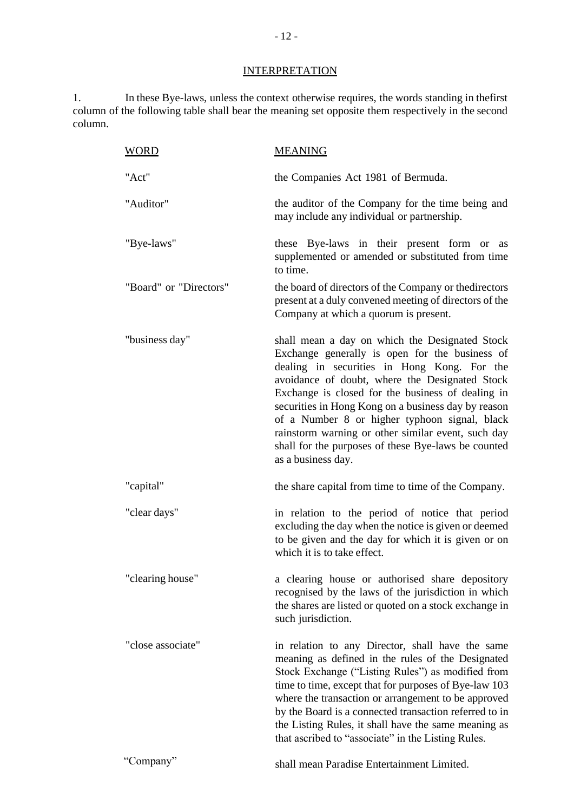# **INTERPRETATION**

1. In these Bye-laws, unless the context otherwise requires, the words standing in thefirst column of the following table shall bear the meaning set opposite them respectively in the second column.

| <b>WORD</b>            | <b>MEANING</b>                                                                                                                                                                                                                                                                                                                                                                                                                                                                                    |
|------------------------|---------------------------------------------------------------------------------------------------------------------------------------------------------------------------------------------------------------------------------------------------------------------------------------------------------------------------------------------------------------------------------------------------------------------------------------------------------------------------------------------------|
| "Act"                  | the Companies Act 1981 of Bermuda.                                                                                                                                                                                                                                                                                                                                                                                                                                                                |
| "Auditor"              | the auditor of the Company for the time being and<br>may include any individual or partnership.                                                                                                                                                                                                                                                                                                                                                                                                   |
| "Bye-laws"             | these Bye-laws in their present form or as<br>supplemented or amended or substituted from time<br>to time.                                                                                                                                                                                                                                                                                                                                                                                        |
| "Board" or "Directors" | the board of directors of the Company or the directors<br>present at a duly convened meeting of directors of the<br>Company at which a quorum is present.                                                                                                                                                                                                                                                                                                                                         |
| "business day"         | shall mean a day on which the Designated Stock<br>Exchange generally is open for the business of<br>dealing in securities in Hong Kong. For the<br>avoidance of doubt, where the Designated Stock<br>Exchange is closed for the business of dealing in<br>securities in Hong Kong on a business day by reason<br>of a Number 8 or higher typhoon signal, black<br>rainstorm warning or other similar event, such day<br>shall for the purposes of these Bye-laws be counted<br>as a business day. |
| "capital"              | the share capital from time to time of the Company.                                                                                                                                                                                                                                                                                                                                                                                                                                               |
| "clear days"           | in relation to the period of notice that period<br>excluding the day when the notice is given or deemed<br>to be given and the day for which it is given or on<br>which it is to take effect.                                                                                                                                                                                                                                                                                                     |
| "clearing house"       | a clearing house or authorised share depository<br>recognised by the laws of the jurisdiction in which<br>the shares are listed or quoted on a stock exchange in<br>such jurisdiction.                                                                                                                                                                                                                                                                                                            |
| "close associate"      | in relation to any Director, shall have the same<br>meaning as defined in the rules of the Designated<br>Stock Exchange ("Listing Rules") as modified from<br>time to time, except that for purposes of Bye-law 103<br>where the transaction or arrangement to be approved<br>by the Board is a connected transaction referred to in<br>the Listing Rules, it shall have the same meaning as<br>that ascribed to "associate" in the Listing Rules.                                                |
| "Company"              | shall mean Paradise Entertainment Limited.                                                                                                                                                                                                                                                                                                                                                                                                                                                        |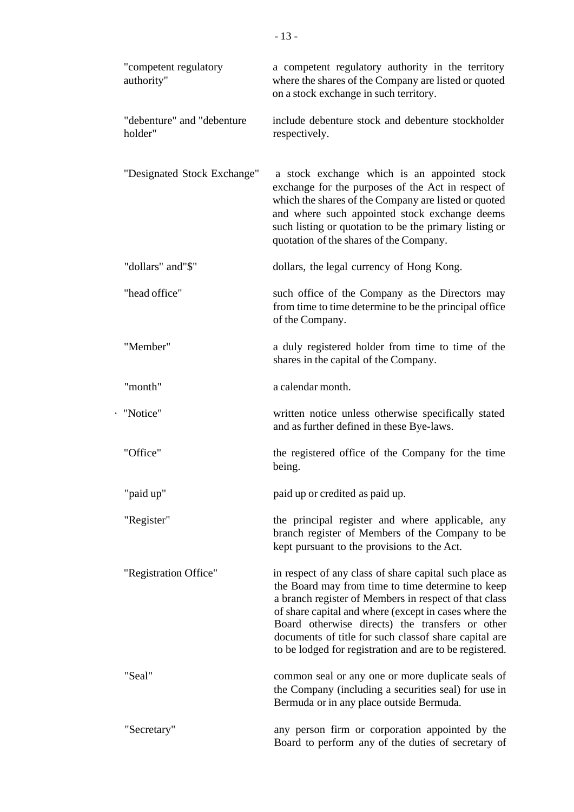| "competent regulatory<br>authority"   | a competent regulatory authority in the territory<br>where the shares of the Company are listed or quoted<br>on a stock exchange in such territory.                                                                                                                                                                                                                                                  |
|---------------------------------------|------------------------------------------------------------------------------------------------------------------------------------------------------------------------------------------------------------------------------------------------------------------------------------------------------------------------------------------------------------------------------------------------------|
| "debenture" and "debenture<br>holder" | include debenture stock and debenture stockholder<br>respectively.                                                                                                                                                                                                                                                                                                                                   |
| "Designated Stock Exchange"           | a stock exchange which is an appointed stock<br>exchange for the purposes of the Act in respect of<br>which the shares of the Company are listed or quoted<br>and where such appointed stock exchange deems<br>such listing or quotation to be the primary listing or<br>quotation of the shares of the Company.                                                                                     |
| "dollars" and"\$"                     | dollars, the legal currency of Hong Kong.                                                                                                                                                                                                                                                                                                                                                            |
| "head office"                         | such office of the Company as the Directors may<br>from time to time determine to be the principal office<br>of the Company.                                                                                                                                                                                                                                                                         |
| "Member"                              | a duly registered holder from time to time of the<br>shares in the capital of the Company.                                                                                                                                                                                                                                                                                                           |
| "month"                               | a calendar month.                                                                                                                                                                                                                                                                                                                                                                                    |
| · "Notice"                            | written notice unless otherwise specifically stated<br>and as further defined in these Bye-laws.                                                                                                                                                                                                                                                                                                     |
| "Office"                              | the registered office of the Company for the time<br>being.                                                                                                                                                                                                                                                                                                                                          |
| "paid up"                             | paid up or credited as paid up.                                                                                                                                                                                                                                                                                                                                                                      |
| "Register"                            | the principal register and where applicable, any<br>branch register of Members of the Company to be<br>kept pursuant to the provisions to the Act.                                                                                                                                                                                                                                                   |
| "Registration Office"                 | in respect of any class of share capital such place as<br>the Board may from time to time determine to keep<br>a branch register of Members in respect of that class<br>of share capital and where (except in cases where the<br>Board otherwise directs) the transfers or other<br>documents of title for such classof share capital are<br>to be lodged for registration and are to be registered. |
| "Seal"                                | common seal or any one or more duplicate seals of<br>the Company (including a securities seal) for use in<br>Bermuda or in any place outside Bermuda.                                                                                                                                                                                                                                                |
| "Secretary"                           | any person firm or corporation appointed by the<br>Board to perform any of the duties of secretary of                                                                                                                                                                                                                                                                                                |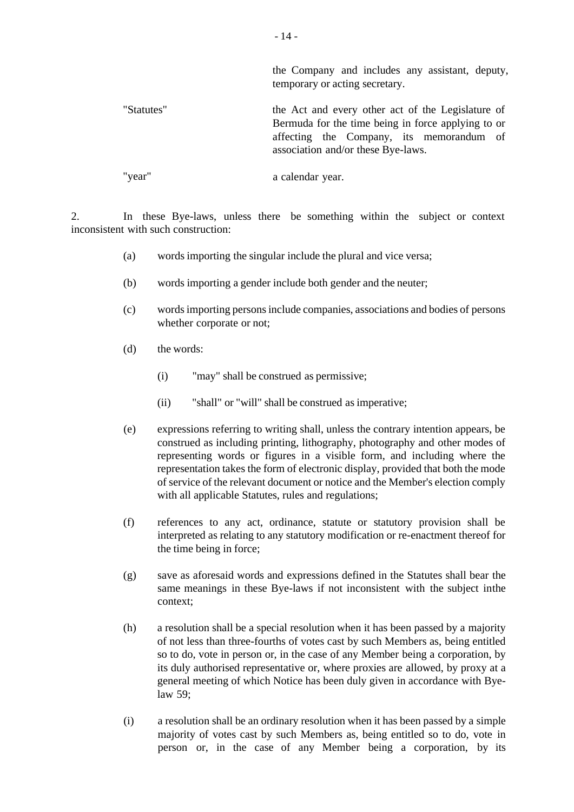|            | the Company and includes any assistant, deputy,<br>temporary or acting secretary.                                                                                                         |
|------------|-------------------------------------------------------------------------------------------------------------------------------------------------------------------------------------------|
| "Statutes" | the Act and every other act of the Legislature of<br>Bermuda for the time being in force applying to or<br>affecting the Company, its memorandum of<br>association and/or these Bye-laws. |
| "year"     | a calendar year.                                                                                                                                                                          |

2. In these Bye-laws, unless there be something within the subject or context inconsistent with such construction:

- (a) words importing the singular include the plural and vice versa;
- (b) words importing a gender include both gender and the neuter;
- (c) words importing persons include companies, associations and bodies of persons whether corporate or not;
- (d) the words:
	- (i) "may" shall be construed as permissive;
	- (ii) "shall" or "will" shall be construed as imperative;
- (e) expressions referring to writing shall, unless the contrary intention appears, be construed as including printing, lithography, photography and other modes of representing words or figures in a visible form, and including where the representation takes the form of electronic display, provided that both the mode of service of the relevant document or notice and the Member's election comply with all applicable Statutes, rules and regulations;
- (f) references to any act, ordinance, statute or statutory provision shall be interpreted as relating to any statutory modification or re-enactment thereof for the time being in force;
- (g) save as aforesaid words and expressions defined in the Statutes shall bear the same meanings in these Bye-laws if not inconsistent with the subject inthe context;
- (h) a resolution shall be a special resolution when it has been passed by a majority of not less than three-fourths of votes cast by such Members as, being entitled so to do, vote in person or, in the case of any Member being a corporation, by its duly authorised representative or, where proxies are allowed, by proxy at a general meeting of which Notice has been duly given in accordance with Byelaw 59;
- (i) a resolution shall be an ordinary resolution when it has been passed by a simple majority of votes cast by such Members as, being entitled so to do, vote in person or, in the case of any Member being a corporation, by its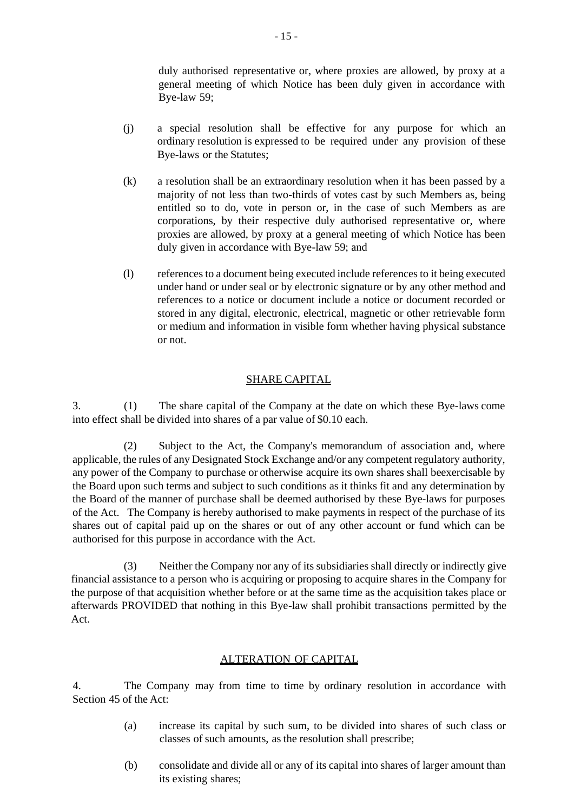duly authorised representative or, where proxies are allowed, by proxy at a general meeting of which Notice has been duly given in accordance with Bye-law 59;

- (j) a special resolution shall be effective for any purpose for which an ordinary resolution is expressed to be required under any provision of these Bye-laws or the Statutes;
- (k) a resolution shall be an extraordinary resolution when it has been passed by a majority of not less than two-thirds of votes cast by such Members as, being entitled so to do, vote in person or, in the case of such Members as are corporations, by their respective duly authorised representative or, where proxies are allowed, by proxy at a general meeting of which Notice has been duly given in accordance with Bye-law 59; and
- (l) references to a document being executed include references to it being executed under hand or under seal or by electronic signature or by any other method and references to a notice or document include a notice or document recorded or stored in any digital, electronic, electrical, magnetic or other retrievable form or medium and information in visible form whether having physical substance or not.

#### SHARE CAPITAL

3. (1) The share capital of the Company at the date on which these Bye-laws come into effect shall be divided into shares of a par value of \$0.10 each.

(2) Subject to the Act, the Company's memorandum of association and, where applicable, the rules of any Designated Stock Exchange and/or any competent regulatory authority, any power of the Company to purchase or otherwise acquire its own shares shall beexercisable by the Board upon such terms and subject to such conditions as it thinks fit and any determination by the Board of the manner of purchase shall be deemed authorised by these Bye-laws for purposes of the Act. The Company is hereby authorised to make payments in respect of the purchase of its shares out of capital paid up on the shares or out of any other account or fund which can be authorised for this purpose in accordance with the Act.

(3) Neither the Company nor any of its subsidiaries shall directly or indirectly give financial assistance to a person who is acquiring or proposing to acquire shares in the Company for the purpose of that acquisition whether before or at the same time as the acquisition takes place or afterwards PROVIDED that nothing in this Bye-law shall prohibit transactions permitted by the Act.

#### ALTERATION OF CAPITAL

4. The Company may from time to time by ordinary resolution in accordance with Section 45 of the Act:

- (a) increase its capital by such sum, to be divided into shares of such class or classes of such amounts, as the resolution shall prescribe;
- (b) consolidate and divide all or any of its capital into shares of larger amount than its existing shares;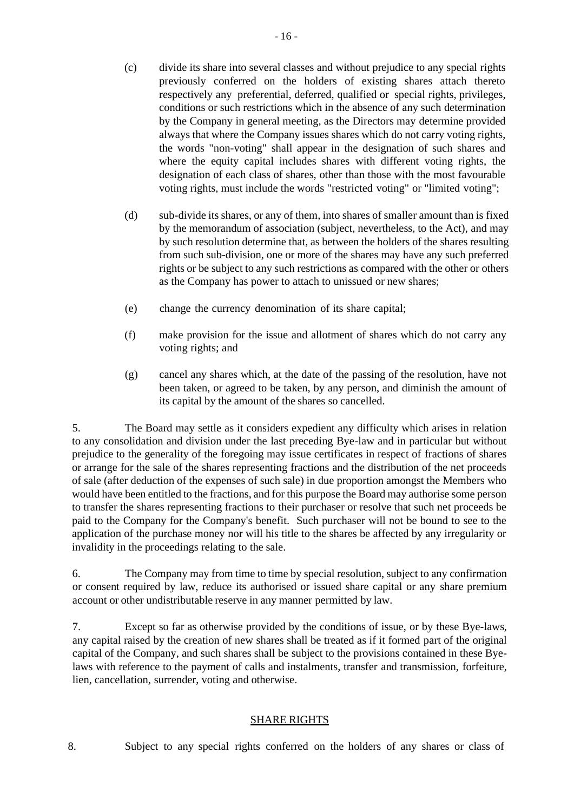- (c) divide its share into several classes and without prejudice to any special rights previously conferred on the holders of existing shares attach thereto respectively any preferential, deferred, qualified or special rights, privileges, conditions or such restrictions which in the absence of any such determination by the Company in general meeting, as the Directors may determine provided always that where the Company issues shares which do not carry voting rights, the words "non-voting" shall appear in the designation of such shares and where the equity capital includes shares with different voting rights, the designation of each class of shares, other than those with the most favourable voting rights, must include the words "restricted voting" or "limited voting";
- (d) sub-divide its shares, or any of them, into shares of smaller amount than is fixed by the memorandum of association (subject, nevertheless, to the Act), and may by such resolution determine that, as between the holders of the shares resulting from such sub-division, one or more of the shares may have any such preferred rights or be subject to any such restrictions as compared with the other or others as the Company has power to attach to unissued or new shares;
- (e) change the currency denomination of its share capital;
- (f) make provision for the issue and allotment of shares which do not carry any voting rights; and
- (g) cancel any shares which, at the date of the passing of the resolution, have not been taken, or agreed to be taken, by any person, and diminish the amount of its capital by the amount of the shares so cancelled.

5. The Board may settle as it considers expedient any difficulty which arises in relation to any consolidation and division under the last preceding Bye-law and in particular but without prejudice to the generality of the foregoing may issue certificates in respect of fractions of shares or arrange for the sale of the shares representing fractions and the distribution of the net proceeds of sale (after deduction of the expenses of such sale) in due proportion amongst the Members who would have been entitled to the fractions, and for this purpose the Board may authorise some person to transfer the shares representing fractions to their purchaser or resolve that such net proceeds be paid to the Company for the Company's benefit. Such purchaser will not be bound to see to the application of the purchase money nor will his title to the shares be affected by any irregularity or invalidity in the proceedings relating to the sale.

6. The Company may from time to time by special resolution, subject to any confirmation or consent required by law, reduce its authorised or issued share capital or any share premium account or other undistributable reserve in any manner permitted by law.

7. Except so far as otherwise provided by the conditions of issue, or by these Bye-laws, any capital raised by the creation of new shares shall be treated as if it formed part of the original capital of the Company, and such shares shall be subject to the provisions contained in these Byelaws with reference to the payment of calls and instalments, transfer and transmission, forfeiture, lien, cancellation, surrender, voting and otherwise.

## SHARE RIGHTS

8. Subject to any special rights conferred on the holders of any shares or class of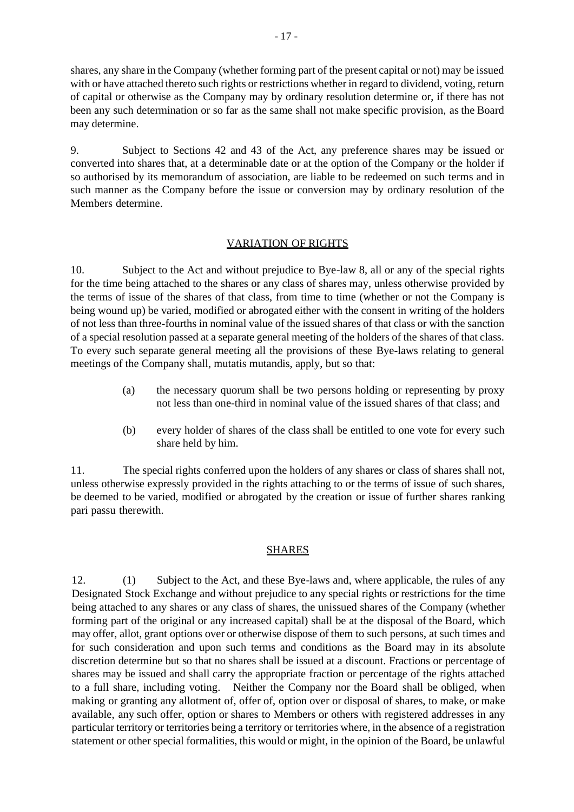shares, any share in the Company (whether forming part of the present capital or not) may be issued with or have attached thereto such rights or restrictions whether in regard to dividend, voting, return of capital or otherwise as the Company may by ordinary resolution determine or, if there has not been any such determination or so far as the same shall not make specific provision, as the Board may determine.

9. Subject to Sections 42 and 43 of the Act, any preference shares may be issued or converted into shares that, at a determinable date or at the option of the Company or the holder if so authorised by its memorandum of association, are liable to be redeemed on such terms and in such manner as the Company before the issue or conversion may by ordinary resolution of the Members determine.

#### VARIATION OF RIGHTS

10. Subject to the Act and without prejudice to Bye-law 8, all or any of the special rights for the time being attached to the shares or any class of shares may, unless otherwise provided by the terms of issue of the shares of that class, from time to time (whether or not the Company is being wound up) be varied, modified or abrogated either with the consent in writing of the holders of not less than three-fourths in nominal value of the issued shares of that class or with the sanction of a special resolution passed at a separate general meeting of the holders of the shares of that class. To every such separate general meeting all the provisions of these Bye-laws relating to general meetings of the Company shall, mutatis mutandis, apply, but so that:

- (a) the necessary quorum shall be two persons holding or representing by proxy not less than one-third in nominal value of the issued shares of that class; and
- (b) every holder of shares of the class shall be entitled to one vote for every such share held by him.

11. The special rights conferred upon the holders of any shares or class of shares shall not, unless otherwise expressly provided in the rights attaching to or the terms of issue of such shares, be deemed to be varied, modified or abrogated by the creation or issue of further shares ranking pari passu therewith.

## SHARES

12. (1) Subject to the Act, and these Bye-laws and, where applicable, the rules of any Designated Stock Exchange and without prejudice to any special rights or restrictions for the time being attached to any shares or any class of shares, the unissued shares of the Company (whether forming part of the original or any increased capital) shall be at the disposal of the Board, which may offer, allot, grant options over or otherwise dispose of them to such persons, at such times and for such consideration and upon such terms and conditions as the Board may in its absolute discretion determine but so that no shares shall be issued at a discount. Fractions or percentage of shares may be issued and shall carry the appropriate fraction or percentage of the rights attached to a full share, including voting. Neither the Company nor the Board shall be obliged, when making or granting any allotment of, offer of, option over or disposal of shares, to make, or make available, any such offer, option or shares to Members or others with registered addresses in any particular territory or territories being a territory or territories where, in the absence of a registration statement or other special formalities, this would or might, in the opinion of the Board, be unlawful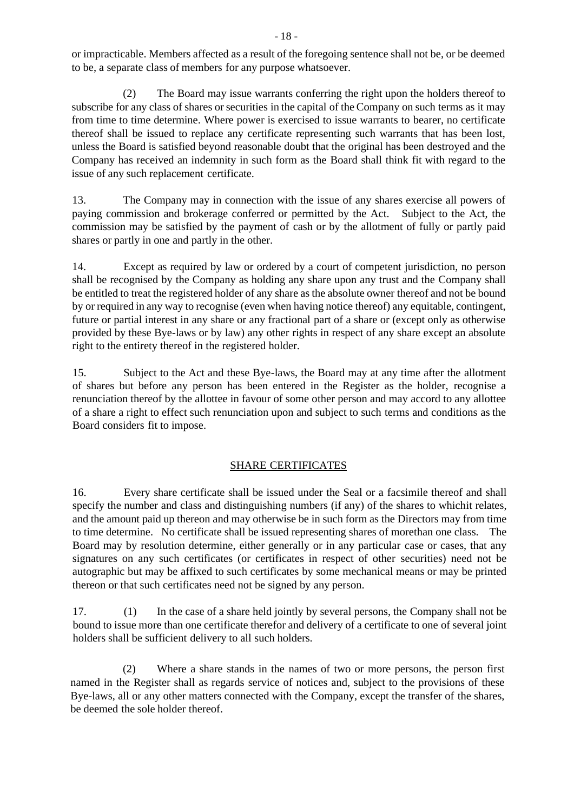or impracticable. Members affected as a result of the foregoing sentence shall not be, or be deemed to be, a separate class of members for any purpose whatsoever.

(2) The Board may issue warrants conferring the right upon the holders thereof to subscribe for any class of shares or securities in the capital of the Company on such terms as it may from time to time determine. Where power is exercised to issue warrants to bearer, no certificate thereof shall be issued to replace any certificate representing such warrants that has been lost, unless the Board is satisfied beyond reasonable doubt that the original has been destroyed and the Company has received an indemnity in such form as the Board shall think fit with regard to the issue of any such replacement certificate.

13. The Company may in connection with the issue of any shares exercise all powers of paying commission and brokerage conferred or permitted by the Act. Subject to the Act, the commission may be satisfied by the payment of cash or by the allotment of fully or partly paid shares or partly in one and partly in the other.

14. Except as required by law or ordered by a court of competent jurisdiction, no person shall be recognised by the Company as holding any share upon any trust and the Company shall be entitled to treat the registered holder of any share as the absolute owner thereof and not be bound by or required in any way to recognise (even when having notice thereof) any equitable, contingent, future or partial interest in any share or any fractional part of a share or (except only as otherwise provided by these Bye-laws or by law) any other rights in respect of any share except an absolute right to the entirety thereof in the registered holder.

15. Subject to the Act and these Bye-laws, the Board may at any time after the allotment of shares but before any person has been entered in the Register as the holder, recognise a renunciation thereof by the allottee in favour of some other person and may accord to any allottee of a share a right to effect such renunciation upon and subject to such terms and conditions as the Board considers fit to impose.

## SHARE CERTIFICATES

16. Every share certificate shall be issued under the Seal or a facsimile thereof and shall specify the number and class and distinguishing numbers (if any) of the shares to whichit relates, and the amount paid up thereon and may otherwise be in such form as the Directors may from time to time determine. No certificate shall be issued representing shares of morethan one class. The Board may by resolution determine, either generally or in any particular case or cases, that any signatures on any such certificates (or certificates in respect of other securities) need not be autographic but may be affixed to such certificates by some mechanical means or may be printed thereon or that such certificates need not be signed by any person.

17. (1) In the case of a share held jointly by several persons, the Company shall not be bound to issue more than one certificate therefor and delivery of a certificate to one of several joint holders shall be sufficient delivery to all such holders.

(2) Where a share stands in the names of two or more persons, the person first named in the Register shall as regards service of notices and, subject to the provisions of these Bye-laws, all or any other matters connected with the Company, except the transfer of the shares, be deemed the sole holder thereof.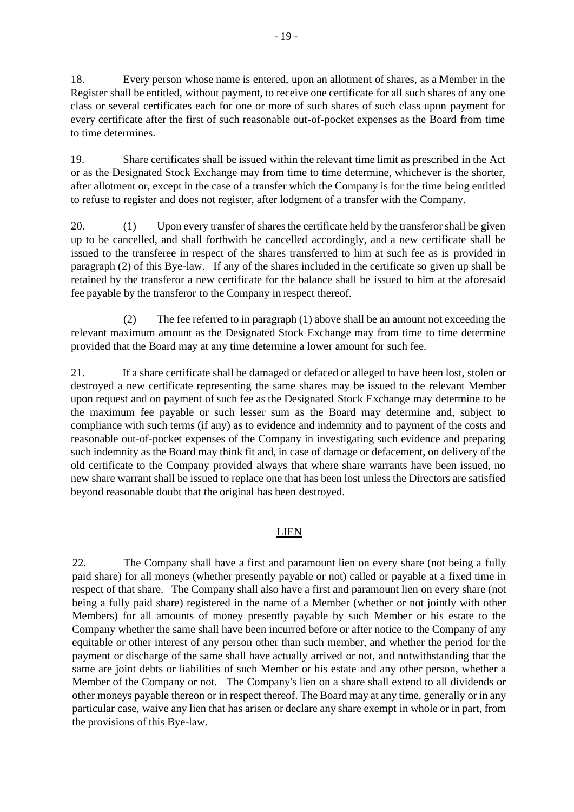18. Every person whose name is entered, upon an allotment of shares, as a Member in the Register shall be entitled, without payment, to receive one certificate for all such shares of any one class or several certificates each for one or more of such shares of such class upon payment for every certificate after the first of such reasonable out-of-pocket expenses as the Board from time to time determines.

19. Share certificates shall be issued within the relevant time limit as prescribed in the Act or as the Designated Stock Exchange may from time to time determine, whichever is the shorter, after allotment or, except in the case of a transfer which the Company is for the time being entitled to refuse to register and does not register, after lodgment of a transfer with the Company.

20. (1) Upon every transfer of shares the certificate held by the transferor shall be given up to be cancelled, and shall forthwith be cancelled accordingly, and a new certificate shall be issued to the transferee in respect of the shares transferred to him at such fee as is provided in paragraph (2) of this Bye-law. If any of the shares included in the certificate so given up shall be retained by the transferor a new certificate for the balance shall be issued to him at the aforesaid fee payable by the transferor to the Company in respect thereof.

(2) The fee referred to in paragraph (1) above shall be an amount not exceeding the relevant maximum amount as the Designated Stock Exchange may from time to time determine provided that the Board may at any time determine a lower amount for such fee.

21. If a share certificate shall be damaged or defaced or alleged to have been lost, stolen or destroyed a new certificate representing the same shares may be issued to the relevant Member upon request and on payment of such fee as the Designated Stock Exchange may determine to be the maximum fee payable or such lesser sum as the Board may determine and, subject to compliance with such terms (if any) as to evidence and indemnity and to payment of the costs and reasonable out-of-pocket expenses of the Company in investigating such evidence and preparing such indemnity as the Board may think fit and, in case of damage or defacement, on delivery of the old certificate to the Company provided always that where share warrants have been issued, no new share warrant shall be issued to replace one that has been lost unless the Directors are satisfied beyond reasonable doubt that the original has been destroyed.

# LIEN

22. The Company shall have a first and paramount lien on every share (not being a fully paid share) for all moneys (whether presently payable or not) called or payable at a fixed time in respect of that share. The Company shall also have a first and paramount lien on every share (not being a fully paid share) registered in the name of a Member (whether or not jointly with other Members) for all amounts of money presently payable by such Member or his estate to the Company whether the same shall have been incurred before or after notice to the Company of any equitable or other interest of any person other than such member, and whether the period for the payment or discharge of the same shall have actually arrived or not, and notwithstanding that the same are joint debts or liabilities of such Member or his estate and any other person, whether a Member of the Company or not. The Company's lien on a share shall extend to all dividends or other moneys payable thereon or in respect thereof. The Board may at any time, generally or in any particular case, waive any lien that has arisen or declare any share exempt in whole or in part, from the provisions of this Bye-law.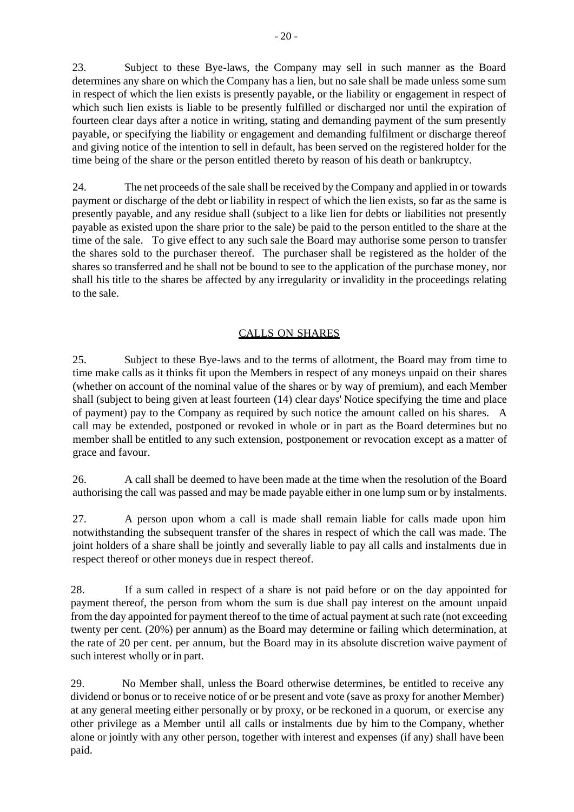23. Subject to these Bye-laws, the Company may sell in such manner as the Board determines any share on which the Company has a lien, but no sale shall be made unless some sum in respect of which the lien exists is presently payable, or the liability or engagement in respect of which such lien exists is liable to be presently fulfilled or discharged nor until the expiration of fourteen clear days after a notice in writing, stating and demanding payment of the sum presently payable, or specifying the liability or engagement and demanding fulfilment or discharge thereof and giving notice of the intention to sell in default, has been served on the registered holder for the time being of the share or the person entitled thereto by reason of his death or bankruptcy.

24. The net proceeds of the sale shall be received by the Company and applied in or towards payment or discharge of the debt or liability in respect of which the lien exists, so far as the same is presently payable, and any residue shall (subject to a like lien for debts or liabilities not presently payable as existed upon the share prior to the sale) be paid to the person entitled to the share at the time of the sale. To give effect to any such sale the Board may authorise some person to transfer the shares sold to the purchaser thereof. The purchaser shall be registered as the holder of the shares so transferred and he shall not be bound to see to the application of the purchase money, nor shall his title to the shares be affected by any irregularity or invalidity in the proceedings relating to the sale.

# CALLS ON SHARES

25. Subject to these Bye-laws and to the terms of allotment, the Board may from time to time make calls as it thinks fit upon the Members in respect of any moneys unpaid on their shares (whether on account of the nominal value of the shares or by way of premium), and each Member shall (subject to being given at least fourteen (14) clear days' Notice specifying the time and place of payment) pay to the Company as required by such notice the amount called on his shares. A call may be extended, postponed or revoked in whole or in part as the Board determines but no member shall be entitled to any such extension, postponement or revocation except as a matter of grace and favour.

26. A call shall be deemed to have been made at the time when the resolution of the Board authorising the call was passed and may be made payable either in one lump sum or by instalments.

27. A person upon whom a call is made shall remain liable for calls made upon him notwithstanding the subsequent transfer of the shares in respect of which the call was made. The joint holders of a share shall be jointly and severally liable to pay all calls and instalments due in respect thereof or other moneys due in respect thereof.

28. If a sum called in respect of a share is not paid before or on the day appointed for payment thereof, the person from whom the sum is due shall pay interest on the amount unpaid from the day appointed for payment thereof to the time of actual payment at such rate (not exceeding twenty per cent. (20%) per annum) as the Board may determine or failing which determination, at the rate of 20 per cent. per annum, but the Board may in its absolute discretion waive payment of such interest wholly or in part.

29. No Member shall, unless the Board otherwise determines, be entitled to receive any dividend or bonus or to receive notice of or be present and vote (save as proxy for another Member) at any general meeting either personally or by proxy, or be reckoned in a quorum, or exercise any other privilege as a Member until all calls or instalments due by him to the Company, whether alone or jointly with any other person, together with interest and expenses (if any) shall have been paid.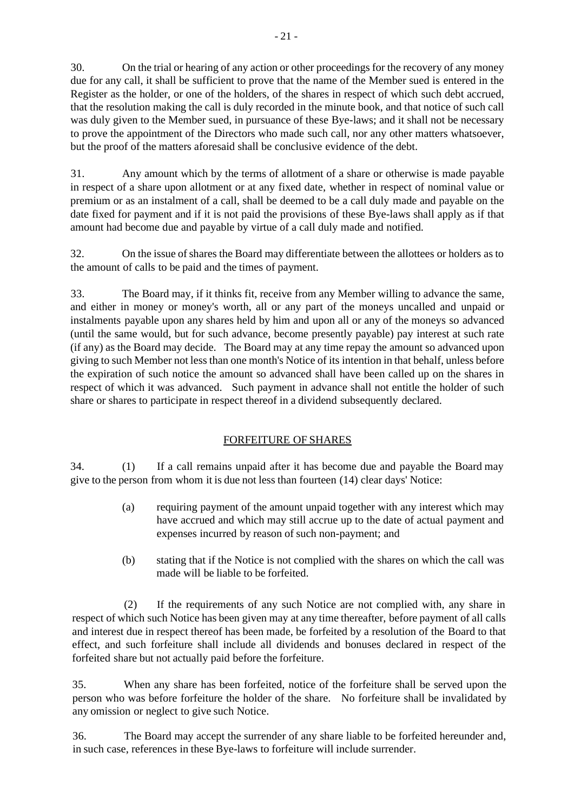30. On the trial or hearing of any action or other proceedings for the recovery of any money due for any call, it shall be sufficient to prove that the name of the Member sued is entered in the Register as the holder, or one of the holders, of the shares in respect of which such debt accrued, that the resolution making the call is duly recorded in the minute book, and that notice of such call was duly given to the Member sued, in pursuance of these Bye-laws; and it shall not be necessary to prove the appointment of the Directors who made such call, nor any other matters whatsoever, but the proof of the matters aforesaid shall be conclusive evidence of the debt.

31. Any amount which by the terms of allotment of a share or otherwise is made payable in respect of a share upon allotment or at any fixed date, whether in respect of nominal value or premium or as an instalment of a call, shall be deemed to be a call duly made and payable on the date fixed for payment and if it is not paid the provisions of these Bye-laws shall apply as if that amount had become due and payable by virtue of a call duly made and notified.

32. On the issue ofshares the Board may differentiate between the allottees or holders as to the amount of calls to be paid and the times of payment.

33. The Board may, if it thinks fit, receive from any Member willing to advance the same, and either in money or money's worth, all or any part of the moneys uncalled and unpaid or instalments payable upon any shares held by him and upon all or any of the moneys so advanced (until the same would, but for such advance, become presently payable) pay interest at such rate (if any) as the Board may decide. The Board may at any time repay the amount so advanced upon giving to such Member not less than one month's Notice of its intention in that behalf, unless before the expiration of such notice the amount so advanced shall have been called up on the shares in respect of which it was advanced. Such payment in advance shall not entitle the holder of such share or shares to participate in respect thereof in a dividend subsequently declared.

# FORFEITURE OF SHARES

34. (1) If a call remains unpaid after it has become due and payable the Board may give to the person from whom it is due not less than fourteen (14) clear days' Notice:

- (a) requiring payment of the amount unpaid together with any interest which may have accrued and which may still accrue up to the date of actual payment and expenses incurred by reason of such non-payment; and
- (b) stating that if the Notice is not complied with the shares on which the call was made will be liable to be forfeited.

(2) If the requirements of any such Notice are not complied with, any share in respect of which such Notice has been given may at any time thereafter, before payment of all calls and interest due in respect thereof has been made, be forfeited by a resolution of the Board to that effect, and such forfeiture shall include all dividends and bonuses declared in respect of the forfeited share but not actually paid before the forfeiture.

35. When any share has been forfeited, notice of the forfeiture shall be served upon the person who was before forfeiture the holder of the share. No forfeiture shall be invalidated by any omission or neglect to give such Notice.

36. The Board may accept the surrender of any share liable to be forfeited hereunder and, in such case, references in these Bye-laws to forfeiture will include surrender.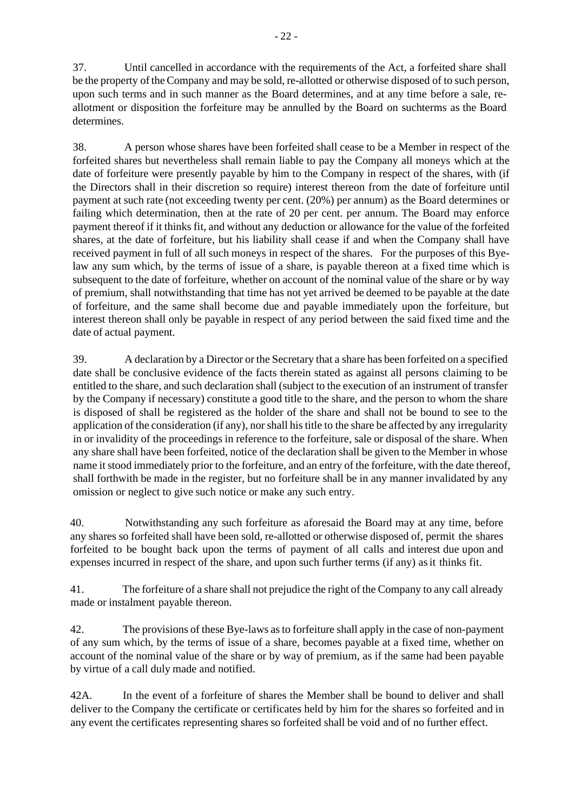37. Until cancelled in accordance with the requirements of the Act, a forfeited share shall be the property of the Company and may be sold, re-allotted or otherwise disposed of to such person, upon such terms and in such manner as the Board determines, and at any time before a sale, reallotment or disposition the forfeiture may be annulled by the Board on suchterms as the Board determines.

38. A person whose shares have been forfeited shall cease to be a Member in respect of the forfeited shares but nevertheless shall remain liable to pay the Company all moneys which at the date of forfeiture were presently payable by him to the Company in respect of the shares, with (if the Directors shall in their discretion so require) interest thereon from the date of forfeiture until payment at such rate (not exceeding twenty per cent. (20%) per annum) as the Board determines or failing which determination, then at the rate of 20 per cent. per annum. The Board may enforce payment thereof if it thinks fit, and without any deduction or allowance for the value of the forfeited shares, at the date of forfeiture, but his liability shall cease if and when the Company shall have received payment in full of all such moneys in respect of the shares. For the purposes of this Byelaw any sum which, by the terms of issue of a share, is payable thereon at a fixed time which is subsequent to the date of forfeiture, whether on account of the nominal value of the share or by way of premium, shall notwithstanding that time has not yet arrived be deemed to be payable at the date of forfeiture, and the same shall become due and payable immediately upon the forfeiture, but interest thereon shall only be payable in respect of any period between the said fixed time and the date of actual payment.

39. A declaration by a Director or the Secretary that a share has been forfeited on a specified date shall be conclusive evidence of the facts therein stated as against all persons claiming to be entitled to the share, and such declaration shall (subject to the execution of an instrument of transfer by the Company if necessary) constitute a good title to the share, and the person to whom the share is disposed of shall be registered as the holder of the share and shall not be bound to see to the application of the consideration (if any), nor shall his title to the share be affected by any irregularity in or invalidity of the proceedings in reference to the forfeiture, sale or disposal of the share. When any share shall have been forfeited, notice of the declaration shall be given to the Member in whose name it stood immediately prior to the forfeiture, and an entry of the forfeiture, with the date thereof, shall forthwith be made in the register, but no forfeiture shall be in any manner invalidated by any omission or neglect to give such notice or make any such entry.

40. Notwithstanding any such forfeiture as aforesaid the Board may at any time, before any shares so forfeited shall have been sold, re-allotted or otherwise disposed of, permit the shares forfeited to be bought back upon the terms of payment of all calls and interest due upon and expenses incurred in respect of the share, and upon such further terms (if any) as it thinks fit.

41. The forfeiture of a share shall not prejudice the right of the Company to any call already made or instalment payable thereon.

42. The provisions of these Bye-laws as to forfeiture shall apply in the case of non-payment of any sum which, by the terms of issue of a share, becomes payable at a fixed time, whether on account of the nominal value of the share or by way of premium, as if the same had been payable by virtue of a call duly made and notified.

42A. In the event of a forfeiture of shares the Member shall be bound to deliver and shall deliver to the Company the certificate or certificates held by him for the shares so forfeited and in any event the certificates representing shares so forfeited shall be void and of no further effect.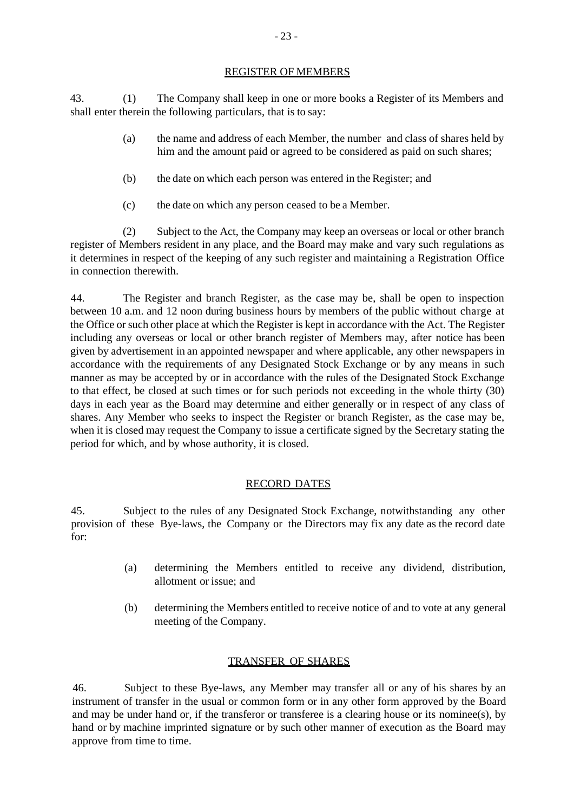#### REGISTER OF MEMBERS

43. (1) The Company shall keep in one or more books a Register of its Members and shall enter therein the following particulars, that is to say:

- (a) the name and address of each Member, the number and class of shares held by him and the amount paid or agreed to be considered as paid on such shares;
- (b) the date on which each person was entered in the Register; and
- (c) the date on which any person ceased to be a Member.

(2) Subject to the Act, the Company may keep an overseas or local or other branch register of Members resident in any place, and the Board may make and vary such regulations as it determines in respect of the keeping of any such register and maintaining a Registration Office in connection therewith.

44. The Register and branch Register, as the case may be, shall be open to inspection between 10 a.m. and 12 noon during business hours by members of the public without charge at the Office or such other place at which the Register is kept in accordance with the Act. The Register including any overseas or local or other branch register of Members may, after notice has been given by advertisement in an appointed newspaper and where applicable, any other newspapers in accordance with the requirements of any Designated Stock Exchange or by any means in such manner as may be accepted by or in accordance with the rules of the Designated Stock Exchange to that effect, be closed at such times or for such periods not exceeding in the whole thirty (30) days in each year as the Board may determine and either generally or in respect of any class of shares. Any Member who seeks to inspect the Register or branch Register, as the case may be, when it is closed may request the Company to issue a certificate signed by the Secretary stating the period for which, and by whose authority, it is closed.

## RECORD DATES

45. Subject to the rules of any Designated Stock Exchange, notwithstanding any other provision of these Bye-laws, the Company or the Directors may fix any date as the record date for:

- (a) determining the Members entitled to receive any dividend, distribution, allotment or issue; and
- (b) determining the Members entitled to receive notice of and to vote at any general meeting of the Company.

## TRANSFER OF SHARES

46. Subject to these Bye-laws, any Member may transfer all or any of his shares by an instrument of transfer in the usual or common form or in any other form approved by the Board and may be under hand or, if the transferor or transferee is a clearing house or its nominee(s), by hand or by machine imprinted signature or by such other manner of execution as the Board may approve from time to time.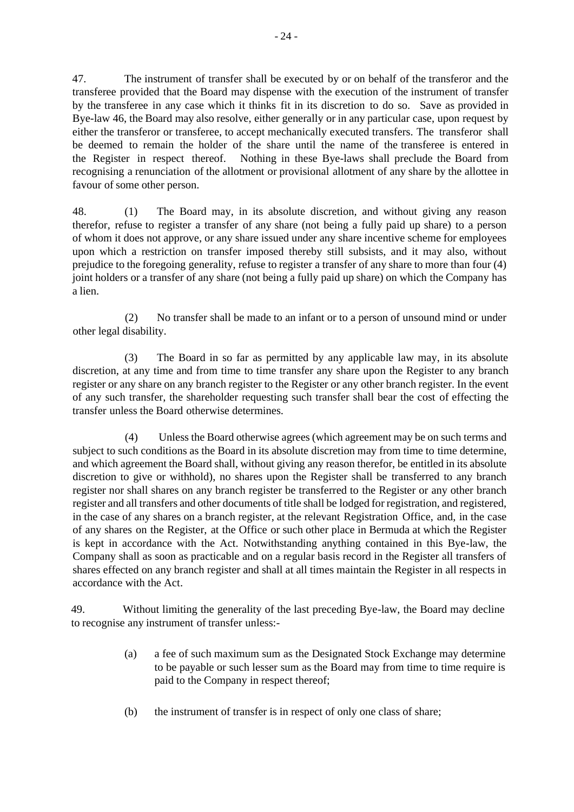47. The instrument of transfer shall be executed by or on behalf of the transferor and the transferee provided that the Board may dispense with the execution of the instrument of transfer by the transferee in any case which it thinks fit in its discretion to do so. Save as provided in Bye-law 46, the Board may also resolve, either generally or in any particular case, upon request by either the transferor or transferee, to accept mechanically executed transfers. The transferor shall be deemed to remain the holder of the share until the name of the transferee is entered in the Register in respect thereof. Nothing in these Bye-laws shall preclude the Board from recognising a renunciation of the allotment or provisional allotment of any share by the allottee in favour of some other person.

48. (1) The Board may, in its absolute discretion, and without giving any reason therefor, refuse to register a transfer of any share (not being a fully paid up share) to a person of whom it does not approve, or any share issued under any share incentive scheme for employees upon which a restriction on transfer imposed thereby still subsists, and it may also, without prejudice to the foregoing generality, refuse to register a transfer of any share to more than four (4) joint holders or a transfer of any share (not being a fully paid up share) on which the Company has a lien.

(2) No transfer shall be made to an infant or to a person of unsound mind or under other legal disability.

(3) The Board in so far as permitted by any applicable law may, in its absolute discretion, at any time and from time to time transfer any share upon the Register to any branch register or any share on any branch register to the Register or any other branch register. In the event of any such transfer, the shareholder requesting such transfer shall bear the cost of effecting the transfer unless the Board otherwise determines.

(4) Unless the Board otherwise agrees (which agreement may be on such terms and subject to such conditions as the Board in its absolute discretion may from time to time determine, and which agreement the Board shall, without giving any reason therefor, be entitled in its absolute discretion to give or withhold), no shares upon the Register shall be transferred to any branch register nor shall shares on any branch register be transferred to the Register or any other branch register and all transfers and other documents of title shall be lodged for registration, and registered, in the case of any shares on a branch register, at the relevant Registration Office, and, in the case of any shares on the Register, at the Office or such other place in Bermuda at which the Register is kept in accordance with the Act. Notwithstanding anything contained in this Bye-law, the Company shall as soon as practicable and on a regular basis record in the Register all transfers of shares effected on any branch register and shall at all times maintain the Register in all respects in accordance with the Act.

49. Without limiting the generality of the last preceding Bye-law, the Board may decline to recognise any instrument of transfer unless:-

- (a) a fee of such maximum sum as the Designated Stock Exchange may determine to be payable or such lesser sum as the Board may from time to time require is paid to the Company in respect thereof;
- (b) the instrument of transfer is in respect of only one class of share;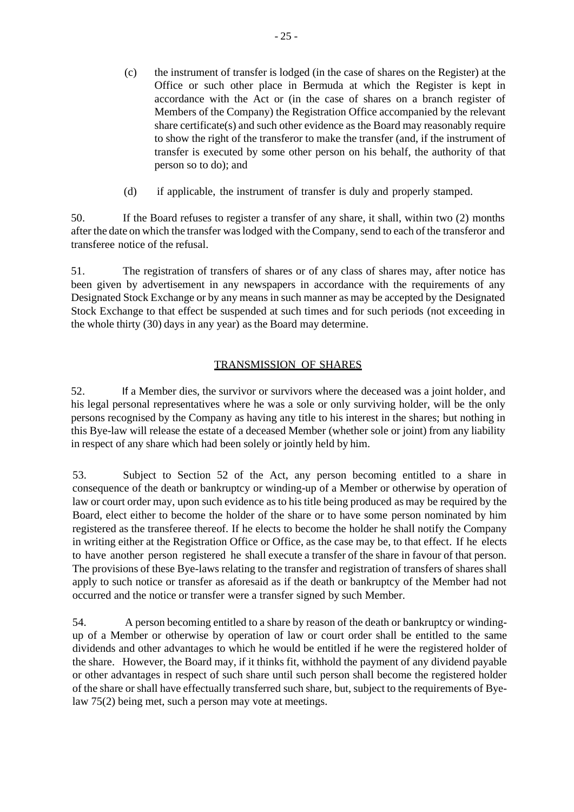- (c) the instrument of transfer is lodged (in the case of shares on the Register) at the Office or such other place in Bermuda at which the Register is kept in accordance with the Act or (in the case of shares on a branch register of Members of the Company) the Registration Office accompanied by the relevant share certificate(s) and such other evidence as the Board may reasonably require to show the right of the transferor to make the transfer (and, if the instrument of transfer is executed by some other person on his behalf, the authority of that person so to do); and
- (d) if applicable, the instrument of transfer is duly and properly stamped.

50. If the Board refuses to register a transfer of any share, it shall, within two (2) months after the date on which the transfer was lodged with the Company, send to each of the transferor and transferee notice of the refusal.

51. The registration of transfers of shares or of any class of shares may, after notice has been given by advertisement in any newspapers in accordance with the requirements of any Designated Stock Exchange or by any means in such manner as may be accepted by the Designated Stock Exchange to that effect be suspended at such times and for such periods (not exceeding in the whole thirty (30) days in any year) as the Board may determine.

# TRANSMISSION OF SHARES

52. If a Member dies, the survivor or survivors where the deceased was a joint holder, and his legal personal representatives where he was a sole or only surviving holder, will be the only persons recognised by the Company as having any title to his interest in the shares; but nothing in this Bye-law will release the estate of a deceased Member (whether sole or joint) from any liability in respect of any share which had been solely or jointly held by him.

53. Subject to Section 52 of the Act, any person becoming entitled to a share in consequence of the death or bankruptcy or winding-up of a Member or otherwise by operation of law or court order may, upon such evidence asto his title being produced as may be required by the Board, elect either to become the holder of the share or to have some person nominated by him registered as the transferee thereof. If he elects to become the holder he shall notify the Company in writing either at the Registration Office or Office, as the case may be, to that effect. If he elects to have another person registered he shall execute a transfer of the share in favour of that person. The provisions of these Bye-laws relating to the transfer and registration of transfers of shares shall apply to such notice or transfer as aforesaid as if the death or bankruptcy of the Member had not occurred and the notice or transfer were a transfer signed by such Member.

54. A person becoming entitled to a share by reason of the death or bankruptcy or windingup of a Member or otherwise by operation of law or court order shall be entitled to the same dividends and other advantages to which he would be entitled if he were the registered holder of the share. However, the Board may, if it thinks fit, withhold the payment of any dividend payable or other advantages in respect of such share until such person shall become the registered holder of the share or shall have effectually transferred such share, but, subject to the requirements of Byelaw 75(2) being met, such a person may vote at meetings.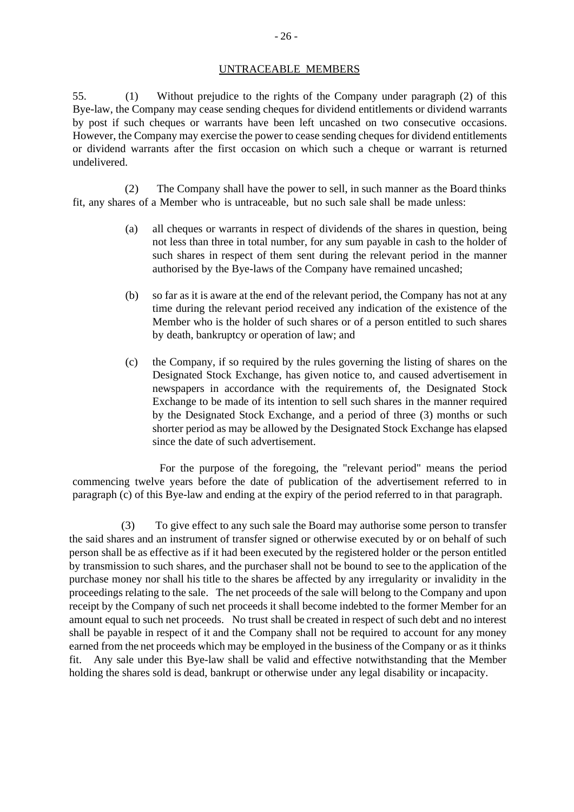# UNTRACEABLE MEMBERS

55. (1) Without prejudice to the rights of the Company under paragraph (2) of this Bye-law, the Company may cease sending cheques for dividend entitlements or dividend warrants by post if such cheques or warrants have been left uncashed on two consecutive occasions. However, the Company may exercise the power to cease sending cheques for dividend entitlements or dividend warrants after the first occasion on which such a cheque or warrant is returned undelivered.

(2) The Company shall have the power to sell, in such manner as the Board thinks fit, any shares of a Member who is untraceable, but no such sale shall be made unless:

- (a) all cheques or warrants in respect of dividends of the shares in question, being not less than three in total number, for any sum payable in cash to the holder of such shares in respect of them sent during the relevant period in the manner authorised by the Bye-laws of the Company have remained uncashed;
- (b) so far as it is aware at the end of the relevant period, the Company has not at any time during the relevant period received any indication of the existence of the Member who is the holder of such shares or of a person entitled to such shares by death, bankruptcy or operation of law; and
- (c) the Company, if so required by the rules governing the listing of shares on the Designated Stock Exchange, has given notice to, and caused advertisement in newspapers in accordance with the requirements of, the Designated Stock Exchange to be made of its intention to sell such shares in the manner required by the Designated Stock Exchange, and a period of three (3) months or such shorter period as may be allowed by the Designated Stock Exchange has elapsed since the date of such advertisement.

For the purpose of the foregoing, the "relevant period" means the period commencing twelve years before the date of publication of the advertisement referred to in paragraph (c) of this Bye-law and ending at the expiry of the period referred to in that paragraph.

(3) To give effect to any such sale the Board may authorise some person to transfer the said shares and an instrument of transfer signed or otherwise executed by or on behalf of such person shall be as effective as if it had been executed by the registered holder or the person entitled by transmission to such shares, and the purchaser shall not be bound to see to the application of the purchase money nor shall his title to the shares be affected by any irregularity or invalidity in the proceedings relating to the sale. The net proceeds of the sale will belong to the Company and upon receipt by the Company of such net proceeds it shall become indebted to the former Member for an amount equal to such net proceeds. No trust shall be created in respect of such debt and no interest shall be payable in respect of it and the Company shall not be required to account for any money earned from the net proceeds which may be employed in the business of the Company or as it thinks fit. Any sale under this Bye-law shall be valid and effective notwithstanding that the Member holding the shares sold is dead, bankrupt or otherwise under any legal disability or incapacity.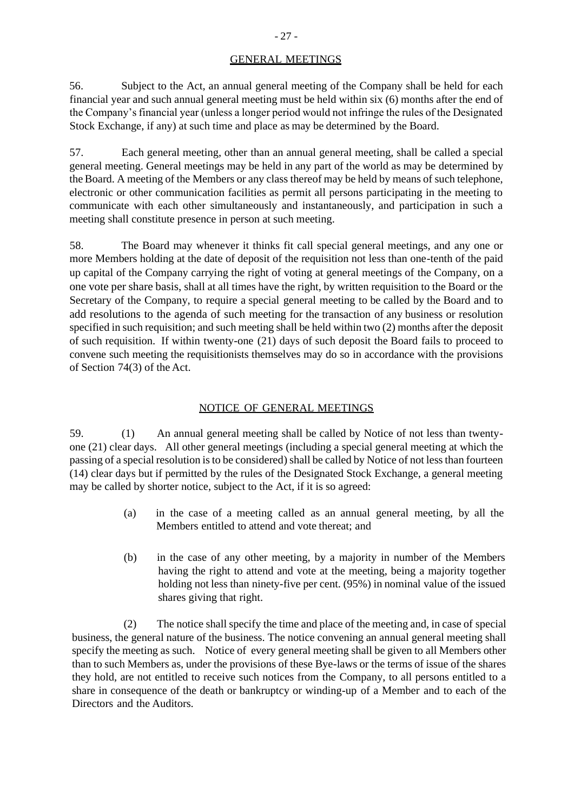# GENERAL MEETINGS

56. Subject to the Act, an annual general meeting of the Company shall be held for each financial year and such annual general meeting must be held within six (6) months after the end of the Company's financial year (unless a longer period would not infringe the rules of the Designated Stock Exchange, if any) at such time and place as may be determined by the Board.

57. Each general meeting, other than an annual general meeting, shall be called a special general meeting. General meetings may be held in any part of the world as may be determined by the Board. A meeting of the Members or any class thereof may be held by means of such telephone, electronic or other communication facilities as permit all persons participating in the meeting to communicate with each other simultaneously and instantaneously, and participation in such a meeting shall constitute presence in person at such meeting.

58. The Board may whenever it thinks fit call special general meetings, and any one or more Members holding at the date of deposit of the requisition not less than one-tenth of the paid up capital of the Company carrying the right of voting at general meetings of the Company, on a one vote per share basis, shall at all times have the right, by written requisition to the Board or the Secretary of the Company, to require a special general meeting to be called by the Board and to add resolutions to the agenda of such meeting for the transaction of any business or resolution specified in such requisition; and such meeting shall be held within two (2) months after the deposit of such requisition. If within twenty-one (21) days of such deposit the Board fails to proceed to convene such meeting the requisitionists themselves may do so in accordance with the provisions of Section 74(3) of the Act.

## NOTICE OF GENERAL MEETINGS

59. (1) An annual general meeting shall be called by Notice of not less than twentyone (21) clear days. All other general meetings (including a special general meeting at which the passing of a special resolution is to be considered) shall be called by Notice of not less than fourteen (14) clear days but if permitted by the rules of the Designated Stock Exchange, a general meeting may be called by shorter notice, subject to the Act, if it is so agreed:

- (a) in the case of a meeting called as an annual general meeting, by all the Members entitled to attend and vote thereat; and
- (b) in the case of any other meeting, by a majority in number of the Members having the right to attend and vote at the meeting, being a majority together holding not less than ninety-five per cent. (95%) in nominal value of the issued shares giving that right.

(2) The notice shall specify the time and place of the meeting and, in case of special business, the general nature of the business. The notice convening an annual general meeting shall specify the meeting as such. Notice of every general meeting shall be given to all Members other than to such Members as, under the provisions of these Bye-laws or the terms of issue of the shares they hold, are not entitled to receive such notices from the Company, to all persons entitled to a share in consequence of the death or bankruptcy or winding-up of a Member and to each of the Directors and the Auditors.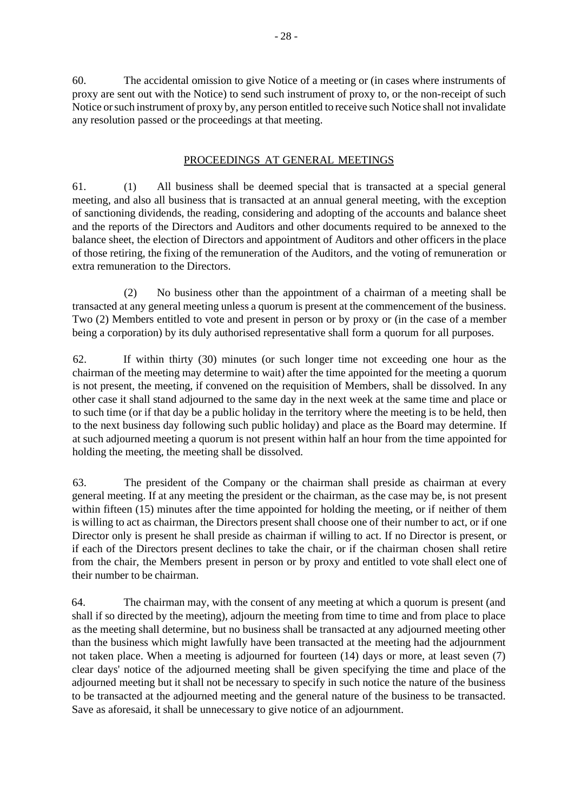60. The accidental omission to give Notice of a meeting or (in cases where instruments of proxy are sent out with the Notice) to send such instrument of proxy to, or the non-receipt of such Notice or such instrument of proxy by, any person entitled to receive such Notice shall not invalidate any resolution passed or the proceedings at that meeting.

# PROCEEDINGS AT GENERAL MEETINGS

61. (1) All business shall be deemed special that is transacted at a special general meeting, and also all business that is transacted at an annual general meeting, with the exception of sanctioning dividends, the reading, considering and adopting of the accounts and balance sheet and the reports of the Directors and Auditors and other documents required to be annexed to the balance sheet, the election of Directors and appointment of Auditors and other officers in the place of those retiring, the fixing of the remuneration of the Auditors, and the voting of remuneration or extra remuneration to the Directors.

(2) No business other than the appointment of a chairman of a meeting shall be transacted at any general meeting unless a quorum is present at the commencement of the business. Two (2) Members entitled to vote and present in person or by proxy or (in the case of a member being a corporation) by its duly authorised representative shall form a quorum for all purposes.

62. If within thirty (30) minutes (or such longer time not exceeding one hour as the chairman of the meeting may determine to wait) after the time appointed for the meeting a quorum is not present, the meeting, if convened on the requisition of Members, shall be dissolved. In any other case it shall stand adjourned to the same day in the next week at the same time and place or to such time (or if that day be a public holiday in the territory where the meeting is to be held, then to the next business day following such public holiday) and place as the Board may determine. If at such adjourned meeting a quorum is not present within half an hour from the time appointed for holding the meeting, the meeting shall be dissolved.

63. The president of the Company or the chairman shall preside as chairman at every general meeting. If at any meeting the president or the chairman, as the case may be, is not present within fifteen (15) minutes after the time appointed for holding the meeting, or if neither of them is willing to act as chairman, the Directors present shall choose one of their number to act, or if one Director only is present he shall preside as chairman if willing to act. If no Director is present, or if each of the Directors present declines to take the chair, or if the chairman chosen shall retire from the chair, the Members present in person or by proxy and entitled to vote shall elect one of their number to be chairman.

64. The chairman may, with the consent of any meeting at which a quorum is present (and shall if so directed by the meeting), adjourn the meeting from time to time and from place to place as the meeting shall determine, but no business shall be transacted at any adjourned meeting other than the business which might lawfully have been transacted at the meeting had the adjournment not taken place. When a meeting is adjourned for fourteen (14) days or more, at least seven (7) clear days' notice of the adjourned meeting shall be given specifying the time and place of the adjourned meeting but it shall not be necessary to specify in such notice the nature of the business to be transacted at the adjourned meeting and the general nature of the business to be transacted. Save as aforesaid, it shall be unnecessary to give notice of an adjournment.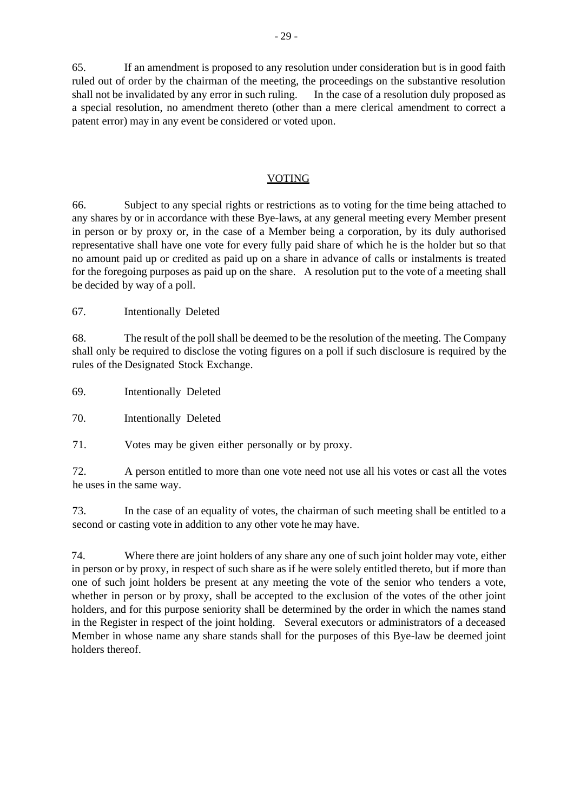65. If an amendment is proposed to any resolution under consideration but is in good faith ruled out of order by the chairman of the meeting, the proceedings on the substantive resolution shall not be invalidated by any error in such ruling. In the case of a resolution duly proposed as a special resolution, no amendment thereto (other than a mere clerical amendment to correct a patent error) may in any event be considered or voted upon.

#### VOTING

66. Subject to any special rights or restrictions as to voting for the time being attached to any shares by or in accordance with these Bye-laws, at any general meeting every Member present in person or by proxy or, in the case of a Member being a corporation, by its duly authorised representative shall have one vote for every fully paid share of which he is the holder but so that no amount paid up or credited as paid up on a share in advance of calls or instalments is treated for the foregoing purposes as paid up on the share. A resolution put to the vote of a meeting shall be decided by way of a poll.

67. Intentionally Deleted

68. The result of the poll shall be deemed to be the resolution of the meeting. The Company shall only be required to disclose the voting figures on a poll if such disclosure is required by the rules of the Designated Stock Exchange.

69. Intentionally Deleted

70. Intentionally Deleted

71. Votes may be given either personally or by proxy.

72. A person entitled to more than one vote need not use all his votes or cast all the votes he uses in the same way.

73. In the case of an equality of votes, the chairman of such meeting shall be entitled to a second or casting vote in addition to any other vote he may have.

74. Where there are joint holders of any share any one of such joint holder may vote, either in person or by proxy, in respect of such share as if he were solely entitled thereto, but if more than one of such joint holders be present at any meeting the vote of the senior who tenders a vote, whether in person or by proxy, shall be accepted to the exclusion of the votes of the other joint holders, and for this purpose seniority shall be determined by the order in which the names stand in the Register in respect of the joint holding. Several executors or administrators of a deceased Member in whose name any share stands shall for the purposes of this Bye-law be deemed joint holders thereof.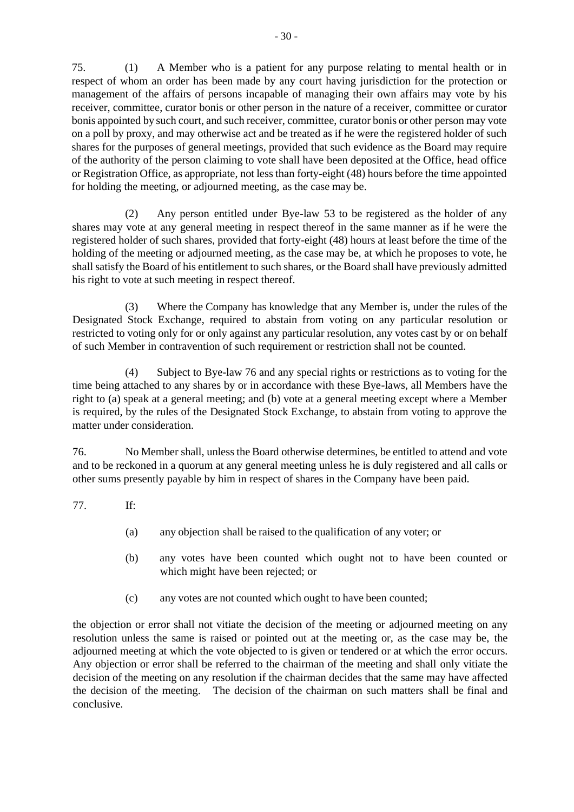75. (1) A Member who is a patient for any purpose relating to mental health or in respect of whom an order has been made by any court having jurisdiction for the protection or management of the affairs of persons incapable of managing their own affairs may vote by his receiver, committee, curator bonis or other person in the nature of a receiver, committee or curator bonis appointed by such court, and such receiver, committee, curator bonis or other person may vote on a poll by proxy, and may otherwise act and be treated as if he were the registered holder of such shares for the purposes of general meetings, provided that such evidence as the Board may require of the authority of the person claiming to vote shall have been deposited at the Office, head office or Registration Office, as appropriate, not less than forty-eight (48) hours before the time appointed for holding the meeting, or adjourned meeting, as the case may be.

(2) Any person entitled under Bye-law 53 to be registered as the holder of any shares may vote at any general meeting in respect thereof in the same manner as if he were the registered holder of such shares, provided that forty-eight (48) hours at least before the time of the holding of the meeting or adjourned meeting, as the case may be, at which he proposes to vote, he shall satisfy the Board of his entitlement to such shares, or the Board shall have previously admitted his right to vote at such meeting in respect thereof.

(3) Where the Company has knowledge that any Member is, under the rules of the Designated Stock Exchange, required to abstain from voting on any particular resolution or restricted to voting only for or only against any particular resolution, any votes cast by or on behalf of such Member in contravention of such requirement or restriction shall not be counted.

(4) Subject to Bye-law 76 and any special rights or restrictions as to voting for the time being attached to any shares by or in accordance with these Bye-laws, all Members have the right to (a) speak at a general meeting; and (b) vote at a general meeting except where a Member is required, by the rules of the Designated Stock Exchange, to abstain from voting to approve the matter under consideration.

76. No Member shall, unless the Board otherwise determines, be entitled to attend and vote and to be reckoned in a quorum at any general meeting unless he is duly registered and all calls or other sums presently payable by him in respect of shares in the Company have been paid.

77. If:

- (a) any objection shall be raised to the qualification of any voter; or
- (b) any votes have been counted which ought not to have been counted or which might have been rejected; or
- (c) any votes are not counted which ought to have been counted;

the objection or error shall not vitiate the decision of the meeting or adjourned meeting on any resolution unless the same is raised or pointed out at the meeting or, as the case may be, the adjourned meeting at which the vote objected to is given or tendered or at which the error occurs. Any objection or error shall be referred to the chairman of the meeting and shall only vitiate the decision of the meeting on any resolution if the chairman decides that the same may have affected the decision of the meeting. The decision of the chairman on such matters shall be final and conclusive.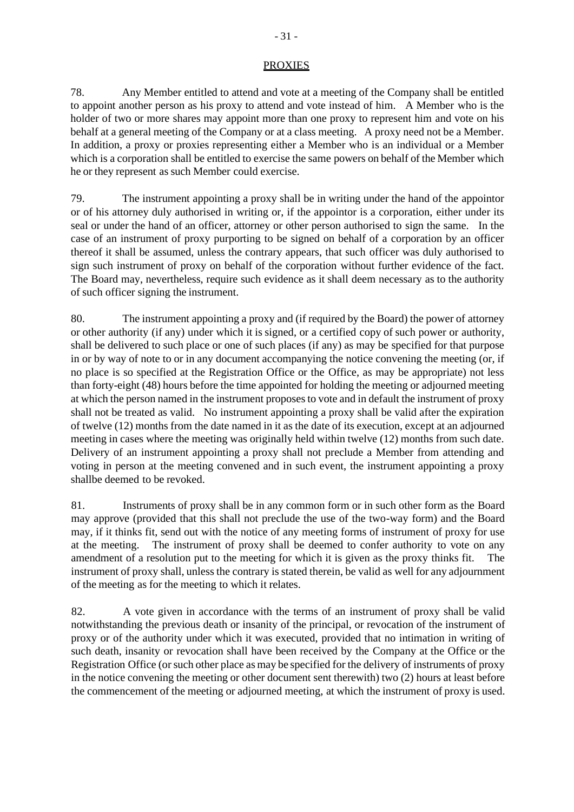#### PROXIES

78. Any Member entitled to attend and vote at a meeting of the Company shall be entitled to appoint another person as his proxy to attend and vote instead of him. A Member who is the holder of two or more shares may appoint more than one proxy to represent him and vote on his behalf at a general meeting of the Company or at a class meeting. A proxy need not be a Member. In addition, a proxy or proxies representing either a Member who is an individual or a Member which is a corporation shall be entitled to exercise the same powers on behalf of the Member which he or they represent as such Member could exercise.

79. The instrument appointing a proxy shall be in writing under the hand of the appointor or of his attorney duly authorised in writing or, if the appointor is a corporation, either under its seal or under the hand of an officer, attorney or other person authorised to sign the same. In the case of an instrument of proxy purporting to be signed on behalf of a corporation by an officer thereof it shall be assumed, unless the contrary appears, that such officer was duly authorised to sign such instrument of proxy on behalf of the corporation without further evidence of the fact. The Board may, nevertheless, require such evidence as it shall deem necessary as to the authority of such officer signing the instrument.

80. The instrument appointing a proxy and (if required by the Board) the power of attorney or other authority (if any) under which it is signed, or a certified copy of such power or authority, shall be delivered to such place or one of such places (if any) as may be specified for that purpose in or by way of note to or in any document accompanying the notice convening the meeting (or, if no place is so specified at the Registration Office or the Office, as may be appropriate) not less than forty-eight (48) hours before the time appointed for holding the meeting or adjourned meeting at which the person named in the instrument proposes to vote and in default the instrument of proxy shall not be treated as valid. No instrument appointing a proxy shall be valid after the expiration of twelve (12) months from the date named in it as the date of its execution, except at an adjourned meeting in cases where the meeting was originally held within twelve (12) months from such date. Delivery of an instrument appointing a proxy shall not preclude a Member from attending and voting in person at the meeting convened and in such event, the instrument appointing a proxy shallbe deemed to be revoked.

81. Instruments of proxy shall be in any common form or in such other form as the Board may approve (provided that this shall not preclude the use of the two-way form) and the Board may, if it thinks fit, send out with the notice of any meeting forms of instrument of proxy for use at the meeting. The instrument of proxy shall be deemed to confer authority to vote on any amendment of a resolution put to the meeting for which it is given as the proxy thinks fit. The instrument of proxy shall, unless the contrary is stated therein, be valid as well for any adjournment of the meeting as for the meeting to which it relates.

82. A vote given in accordance with the terms of an instrument of proxy shall be valid notwithstanding the previous death or insanity of the principal, or revocation of the instrument of proxy or of the authority under which it was executed, provided that no intimation in writing of such death, insanity or revocation shall have been received by the Company at the Office or the Registration Office (or such other place as may be specified for the delivery of instruments of proxy in the notice convening the meeting or other document sent therewith) two (2) hours at least before the commencement of the meeting or adjourned meeting, at which the instrument of proxy is used.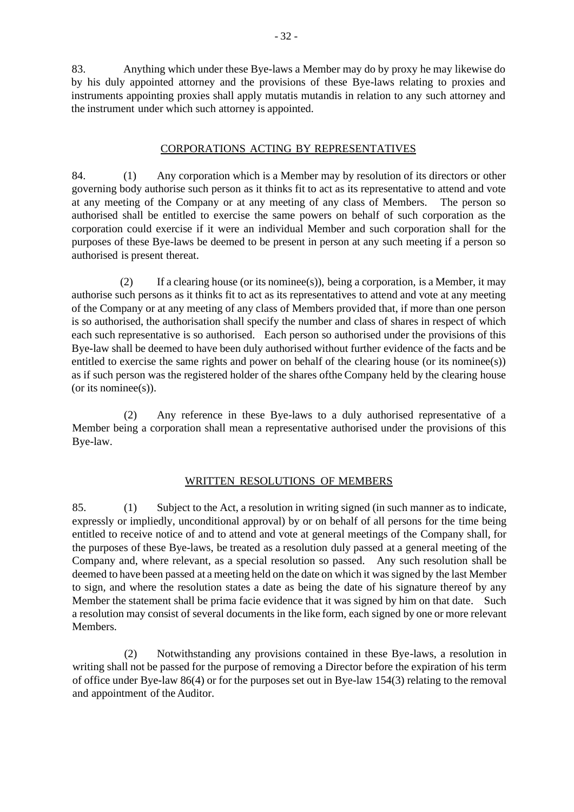83. Anything which under these Bye-laws a Member may do by proxy he may likewise do by his duly appointed attorney and the provisions of these Bye-laws relating to proxies and instruments appointing proxies shall apply mutatis mutandis in relation to any such attorney and the instrument under which such attorney is appointed.

#### CORPORATIONS ACTING BY REPRESENTATIVES

84. (1) Any corporation which is a Member may by resolution of its directors or other governing body authorise such person as it thinks fit to act as its representative to attend and vote at any meeting of the Company or at any meeting of any class of Members. The person so authorised shall be entitled to exercise the same powers on behalf of such corporation as the corporation could exercise if it were an individual Member and such corporation shall for the purposes of these Bye-laws be deemed to be present in person at any such meeting if a person so authorised is present thereat.

(2) If a clearing house (or its nominee(s)), being a corporation, is a Member, it may authorise such persons as it thinks fit to act as its representatives to attend and vote at any meeting of the Company or at any meeting of any class of Members provided that, if more than one person is so authorised, the authorisation shall specify the number and class of shares in respect of which each such representative is so authorised. Each person so authorised under the provisions of this Bye-law shall be deemed to have been duly authorised without further evidence of the facts and be entitled to exercise the same rights and power on behalf of the clearing house (or its nominee(s)) as if such person was the registered holder of the shares ofthe Company held by the clearing house (or its nominee(s)).

(2) Any reference in these Bye-laws to a duly authorised representative of a Member being a corporation shall mean a representative authorised under the provisions of this Bye-law.

## WRITTEN RESOLUTIONS OF MEMBERS

85. (1) Subject to the Act, a resolution in writing signed (in such manner as to indicate, expressly or impliedly, unconditional approval) by or on behalf of all persons for the time being entitled to receive notice of and to attend and vote at general meetings of the Company shall, for the purposes of these Bye-laws, be treated as a resolution duly passed at a general meeting of the Company and, where relevant, as a special resolution so passed. Any such resolution shall be deemed to have been passed at a meeting held on the date on which it was signed by the last Member to sign, and where the resolution states a date as being the date of his signature thereof by any Member the statement shall be prima facie evidence that it was signed by him on that date. Such a resolution may consist of several documents in the like form, each signed by one or more relevant Members.

(2) Notwithstanding any provisions contained in these Bye-laws, a resolution in writing shall not be passed for the purpose of removing a Director before the expiration of his term of office under Bye-law 86(4) or for the purposes set out in Bye-law 154(3) relating to the removal and appointment of the Auditor.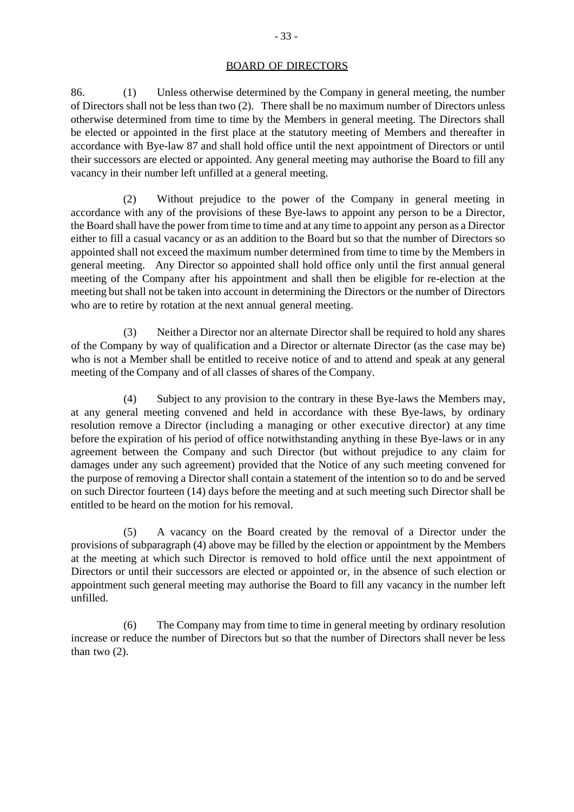86. (1) Unless otherwise determined by the Company in general meeting, the number of Directors shall not be less than two (2). There shall be no maximum number of Directors unless otherwise determined from time to time by the Members in general meeting. The Directors shall be elected or appointed in the first place at the statutory meeting of Members and thereafter in accordance with Bye-law 87 and shall hold office until the next appointment of Directors or until their successors are elected or appointed. Any general meeting may authorise the Board to fill any vacancy in their number left unfilled at a general meeting.

(2) Without prejudice to the power of the Company in general meeting in accordance with any of the provisions of these Bye-laws to appoint any person to be a Director, the Board shall have the power from time to time and at any time to appoint any person as a Director either to fill a casual vacancy or as an addition to the Board but so that the number of Directors so appointed shall not exceed the maximum number determined from time to time by the Members in general meeting. Any Director so appointed shall hold office only until the first annual general meeting of the Company after his appointment and shall then be eligible for re-election at the meeting but shall not be taken into account in determining the Directors or the number of Directors who are to retire by rotation at the next annual general meeting.

(3) Neither a Director nor an alternate Director shall be required to hold any shares of the Company by way of qualification and a Director or alternate Director (as the case may be) who is not a Member shall be entitled to receive notice of and to attend and speak at any general meeting of the Company and of all classes of shares of the Company.

(4) Subject to any provision to the contrary in these Bye-laws the Members may, at any general meeting convened and held in accordance with these Bye-laws, by ordinary resolution remove a Director (including a managing or other executive director) at any time before the expiration of his period of office notwithstanding anything in these Bye-laws or in any agreement between the Company and such Director (but without prejudice to any claim for damages under any such agreement) provided that the Notice of any such meeting convened for the purpose of removing a Director shall contain a statement of the intention so to do and be served on such Director fourteen (14) days before the meeting and at such meeting such Director shall be entitled to be heard on the motion for his removal.

(5) A vacancy on the Board created by the removal of a Director under the provisions of subparagraph (4) above may be filled by the election or appointment by the Members at the meeting at which such Director is removed to hold office until the next appointment of Directors or until their successors are elected or appointed or, in the absence of such election or appointment such general meeting may authorise the Board to fill any vacancy in the number left unfilled.

(6) The Company may from time to time in general meeting by ordinary resolution increase or reduce the number of Directors but so that the number of Directors shall never be less than two (2).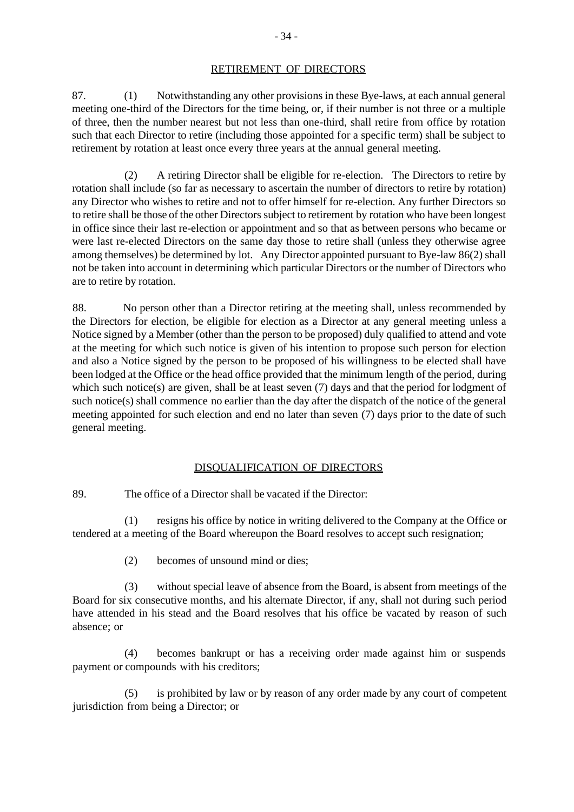#### RETIREMENT OF DIRECTORS

87. (1) Notwithstanding any other provisions in these Bye-laws, at each annual general meeting one-third of the Directors for the time being, or, if their number is not three or a multiple of three, then the number nearest but not less than one-third, shall retire from office by rotation such that each Director to retire (including those appointed for a specific term) shall be subject to retirement by rotation at least once every three years at the annual general meeting.

(2) A retiring Director shall be eligible for re-election. The Directors to retire by rotation shall include (so far as necessary to ascertain the number of directors to retire by rotation) any Director who wishes to retire and not to offer himself for re-election. Any further Directors so to retire shall be those of the other Directors subject to retirement by rotation who have been longest in office since their last re-election or appointment and so that as between persons who became or were last re-elected Directors on the same day those to retire shall (unless they otherwise agree among themselves) be determined by lot. Any Director appointed pursuant to Bye-law 86(2) shall not be taken into account in determining which particular Directors orthe number of Directors who are to retire by rotation.

88. No person other than a Director retiring at the meeting shall, unless recommended by the Directors for election, be eligible for election as a Director at any general meeting unless a Notice signed by a Member (other than the person to be proposed) duly qualified to attend and vote at the meeting for which such notice is given of his intention to propose such person for election and also a Notice signed by the person to be proposed of his willingness to be elected shall have been lodged at the Office or the head office provided that the minimum length of the period, during which such notice(s) are given, shall be at least seven (7) days and that the period for lodgment of such notice(s) shall commence no earlier than the day after the dispatch of the notice of the general meeting appointed for such election and end no later than seven (7) days prior to the date of such general meeting.

## DISQUALIFICATION OF DIRECTORS

89. The office of a Director shall be vacated if the Director:

(1) resigns his office by notice in writing delivered to the Company at the Office or tendered at a meeting of the Board whereupon the Board resolves to accept such resignation;

(2) becomes of unsound mind or dies;

(3) without special leave of absence from the Board, is absent from meetings of the Board for six consecutive months, and his alternate Director, if any, shall not during such period have attended in his stead and the Board resolves that his office be vacated by reason of such absence; or

(4) becomes bankrupt or has a receiving order made against him or suspends payment or compounds with his creditors;

(5) is prohibited by law or by reason of any order made by any court of competent jurisdiction from being a Director; or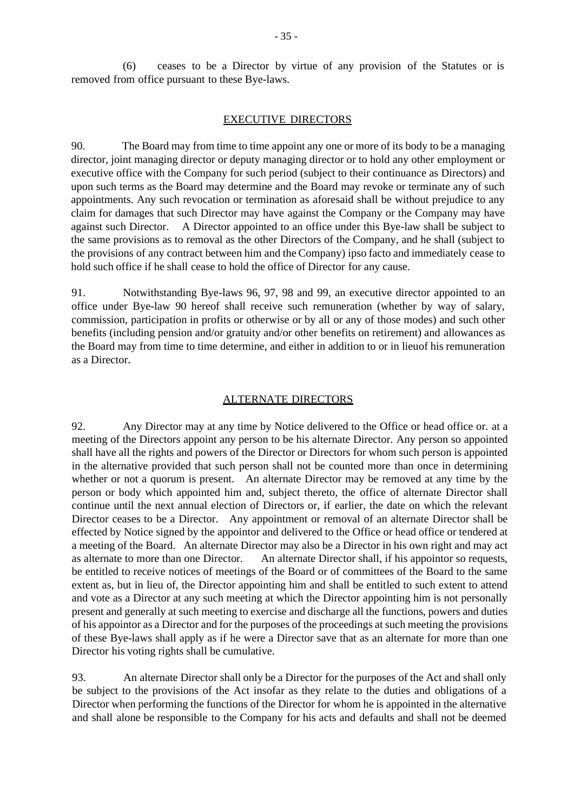(6) ceases to be a Director by virtue of any provision of the Statutes or is removed from office pursuant to these Bye-laws.

#### EXECUTIVE DIRECTORS

90. The Board may from time to time appoint any one or more of its body to be a managing director, joint managing director or deputy managing director or to hold any other employment or executive office with the Company for such period (subject to their continuance as Directors) and upon such terms as the Board may determine and the Board may revoke or terminate any of such appointments. Any such revocation or termination as aforesaid shall be without prejudice to any claim for damages that such Director may have against the Company or the Company may have against such Director. A Director appointed to an office under this Bye-law shall be subject to the same provisions as to removal as the other Directors of the Company, and he shall (subject to the provisions of any contract between him and the Company) ipso facto and immediately cease to hold such office if he shall cease to hold the office of Director for any cause.

91. Notwithstanding Bye-laws 96, 97, 98 and 99, an executive director appointed to an office under Bye-law 90 hereof shall receive such remuneration (whether by way of salary, commission, participation in profits or otherwise or by all or any of those modes) and such other benefits (including pension and/or gratuity and/or other benefits on retirement) and allowances as the Board may from time to time determine, and either in addition to or in lieuof his remuneration as a Director.

#### ALTERNATE DIRECTORS

92. Any Director may at any time by Notice delivered to the Office or head office or. at a meeting of the Directors appoint any person to be his alternate Director. Any person so appointed shall have all the rights and powers of the Director or Directors for whom such person is appointed in the alternative provided that such person shall not be counted more than once in determining whether or not a quorum is present. An alternate Director may be removed at any time by the person or body which appointed him and, subject thereto, the office of alternate Director shall continue until the next annual election of Directors or, if earlier, the date on which the relevant Director ceases to be a Director. Any appointment or removal of an alternate Director shall be effected by Notice signed by the appointor and delivered to the Office or head office or tendered at a meeting of the Board. An alternate Director may also be a Director in his own right and may act as alternate to more than one Director. An alternate Director shall, if his appointor so requests, be entitled to receive notices of meetings of the Board or of committees of the Board to the same extent as, but in lieu of, the Director appointing him and shall be entitled to such extent to attend and vote as a Director at any such meeting at which the Director appointing him is not personally present and generally at such meeting to exercise and discharge all the functions, powers and duties of his appointor as a Director and for the purposes of the proceedings at such meeting the provisions of these Bye-laws shall apply as if he were a Director save that as an alternate for more than one Director his voting rights shall be cumulative.

93. An alternate Director shall only be a Director for the purposes of the Act and shall only be subject to the provisions of the Act insofar as they relate to the duties and obligations of a Director when performing the functions of the Director for whom he is appointed in the alternative and shall alone be responsible to the Company for his acts and defaults and shall not be deemed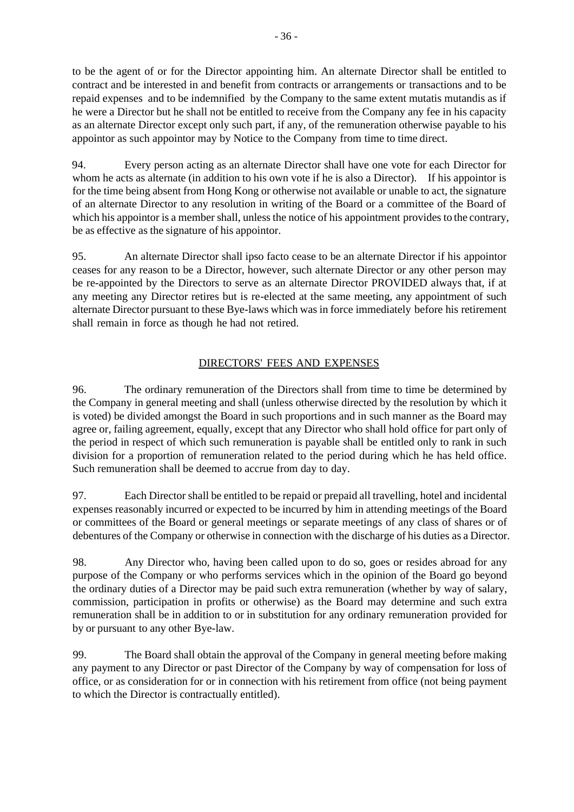to be the agent of or for the Director appointing him. An alternate Director shall be entitled to contract and be interested in and benefit from contracts or arrangements or transactions and to be repaid expenses and to be indemnified by the Company to the same extent mutatis mutandis as if he were a Director but he shall not be entitled to receive from the Company any fee in his capacity as an alternate Director except only such part, if any, of the remuneration otherwise payable to his appointor as such appointor may by Notice to the Company from time to time direct.

94. Every person acting as an alternate Director shall have one vote for each Director for whom he acts as alternate (in addition to his own vote if he is also a Director). If his appointor is for the time being absent from Hong Kong or otherwise not available or unable to act, the signature of an alternate Director to any resolution in writing of the Board or a committee of the Board of which his appoint is a member shall, unless the notice of his appointment provides to the contrary, be as effective as the signature of his appointor.

95. An alternate Director shall ipso facto cease to be an alternate Director if his appointor ceases for any reason to be a Director, however, such alternate Director or any other person may be re-appointed by the Directors to serve as an alternate Director PROVIDED always that, if at any meeting any Director retires but is re-elected at the same meeting, any appointment of such alternate Director pursuant to these Bye-laws which was in force immediately before his retirement shall remain in force as though he had not retired.

# DIRECTORS' FEES AND EXPENSES

96. The ordinary remuneration of the Directors shall from time to time be determined by the Company in general meeting and shall (unless otherwise directed by the resolution by which it is voted) be divided amongst the Board in such proportions and in such manner as the Board may agree or, failing agreement, equally, except that any Director who shall hold office for part only of the period in respect of which such remuneration is payable shall be entitled only to rank in such division for a proportion of remuneration related to the period during which he has held office. Such remuneration shall be deemed to accrue from day to day.

97. Each Director shall be entitled to be repaid or prepaid all travelling, hotel and incidental expenses reasonably incurred or expected to be incurred by him in attending meetings of the Board or committees of the Board or general meetings or separate meetings of any class of shares or of debentures of the Company or otherwise in connection with the discharge of his duties as a Director.

98. Any Director who, having been called upon to do so, goes or resides abroad for any purpose of the Company or who performs services which in the opinion of the Board go beyond the ordinary duties of a Director may be paid such extra remuneration (whether by way of salary, commission, participation in profits or otherwise) as the Board may determine and such extra remuneration shall be in addition to or in substitution for any ordinary remuneration provided for by or pursuant to any other Bye-law.

99. The Board shall obtain the approval of the Company in general meeting before making any payment to any Director or past Director of the Company by way of compensation for loss of office, or as consideration for or in connection with his retirement from office (not being payment to which the Director is contractually entitled).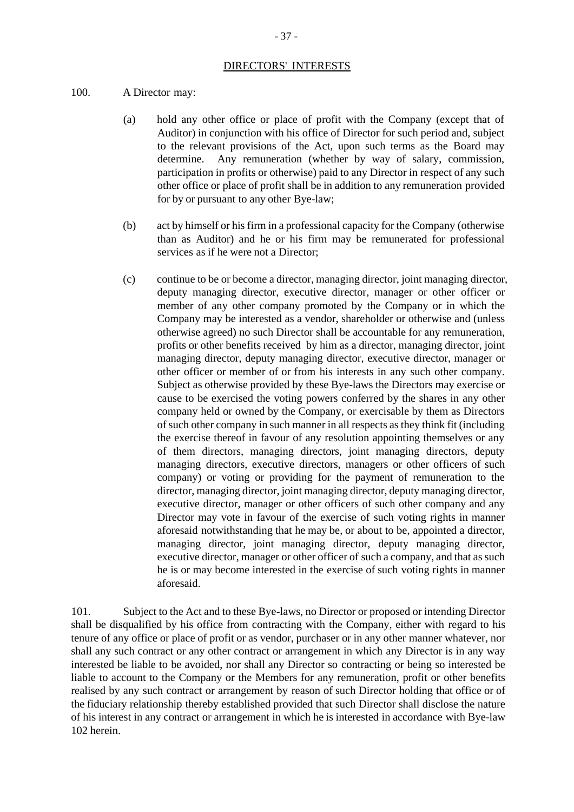#### DIRECTORS' INTERESTS

#### 100. A Director may:

- (a) hold any other office or place of profit with the Company (except that of Auditor) in conjunction with his office of Director for such period and, subject to the relevant provisions of the Act, upon such terms as the Board may determine. Any remuneration (whether by way of salary, commission, participation in profits or otherwise) paid to any Director in respect of any such other office or place of profit shall be in addition to any remuneration provided for by or pursuant to any other Bye-law;
- (b) act by himself or his firm in a professional capacity for the Company (otherwise than as Auditor) and he or his firm may be remunerated for professional services as if he were not a Director;
- (c) continue to be or become a director, managing director, joint managing director, deputy managing director, executive director, manager or other officer or member of any other company promoted by the Company or in which the Company may be interested as a vendor, shareholder or otherwise and (unless otherwise agreed) no such Director shall be accountable for any remuneration, profits or other benefits received by him as a director, managing director, joint managing director, deputy managing director, executive director, manager or other officer or member of or from his interests in any such other company. Subject as otherwise provided by these Bye-laws the Directors may exercise or cause to be exercised the voting powers conferred by the shares in any other company held or owned by the Company, or exercisable by them as Directors of such other company in such manner in all respects as they think fit (including the exercise thereof in favour of any resolution appointing themselves or any of them directors, managing directors, joint managing directors, deputy managing directors, executive directors, managers or other officers of such company) or voting or providing for the payment of remuneration to the director, managing director, joint managing director, deputy managing director, executive director, manager or other officers of such other company and any Director may vote in favour of the exercise of such voting rights in manner aforesaid notwithstanding that he may be, or about to be, appointed a director, managing director, joint managing director, deputy managing director, executive director, manager or other officer of such a company, and that as such he is or may become interested in the exercise of such voting rights in manner aforesaid.

101. Subject to the Act and to these Bye-laws, no Director or proposed or intending Director shall be disqualified by his office from contracting with the Company, either with regard to his tenure of any office or place of profit or as vendor, purchaser or in any other manner whatever, nor shall any such contract or any other contract or arrangement in which any Director is in any way interested be liable to be avoided, nor shall any Director so contracting or being so interested be liable to account to the Company or the Members for any remuneration, profit or other benefits realised by any such contract or arrangement by reason of such Director holding that office or of the fiduciary relationship thereby established provided that such Director shall disclose the nature of his interest in any contract or arrangement in which he is interested in accordance with Bye-law 102 herein.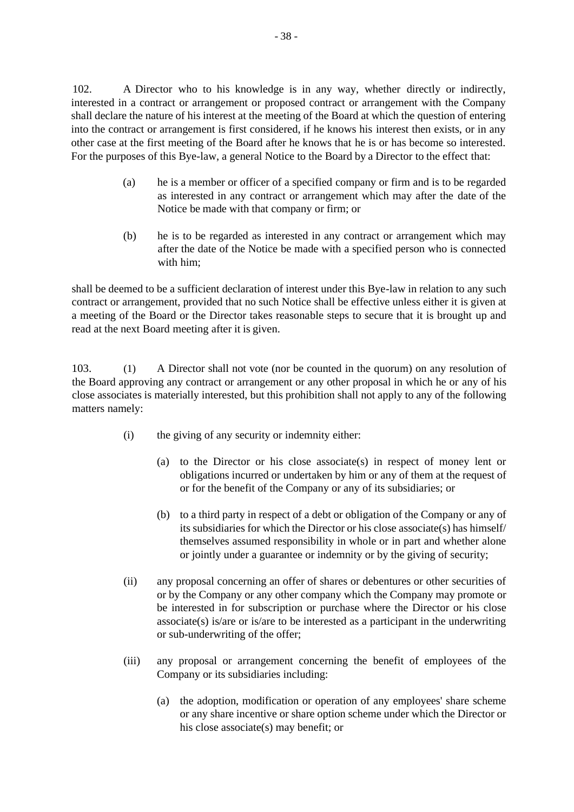102. A Director who to his knowledge is in any way, whether directly or indirectly, interested in a contract or arrangement or proposed contract or arrangement with the Company shall declare the nature of his interest at the meeting of the Board at which the question of entering into the contract or arrangement is first considered, if he knows his interest then exists, or in any other case at the first meeting of the Board after he knows that he is or has become so interested. For the purposes of this Bye-law, a general Notice to the Board by a Director to the effect that:

- (a) he is a member or officer of a specified company or firm and is to be regarded as interested in any contract or arrangement which may after the date of the Notice be made with that company or firm; or
- (b) he is to be regarded as interested in any contract or arrangement which may after the date of the Notice be made with a specified person who is connected with him;

shall be deemed to be a sufficient declaration of interest under this Bye-law in relation to any such contract or arrangement, provided that no such Notice shall be effective unless either it is given at a meeting of the Board or the Director takes reasonable steps to secure that it is brought up and read at the next Board meeting after it is given.

103. (1) A Director shall not vote (nor be counted in the quorum) on any resolution of the Board approving any contract or arrangement or any other proposal in which he or any of his close associates is materially interested, but this prohibition shall not apply to any of the following matters namely:

- (i) the giving of any security or indemnity either:
	- (a) to the Director or his close associate(s) in respect of money lent or obligations incurred or undertaken by him or any of them at the request of or for the benefit of the Company or any of its subsidiaries; or
	- (b) to a third party in respect of a debt or obligation of the Company or any of its subsidiaries for which the Director or his close associate(s) has himself/ themselves assumed responsibility in whole or in part and whether alone or jointly under a guarantee or indemnity or by the giving of security;
- (ii) any proposal concerning an offer of shares or debentures or other securities of or by the Company or any other company which the Company may promote or be interested in for subscription or purchase where the Director or his close associate(s) is/are or is/are to be interested as a participant in the underwriting or sub-underwriting of the offer;
- (iii) any proposal or arrangement concerning the benefit of employees of the Company or its subsidiaries including:
	- (a) the adoption, modification or operation of any employees' share scheme or any share incentive or share option scheme under which the Director or his close associate(s) may benefit; or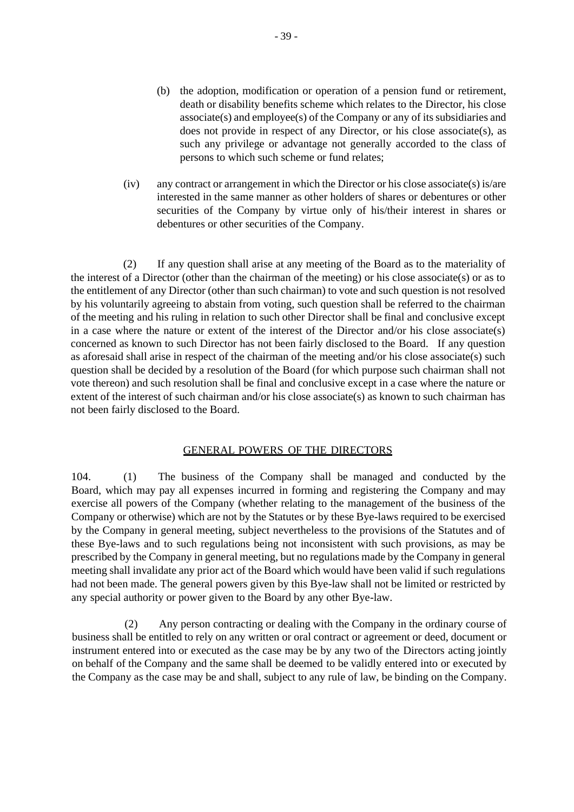- (b) the adoption, modification or operation of a pension fund or retirement, death or disability benefits scheme which relates to the Director, his close associate(s) and employee(s) of the Company or any of its subsidiaries and does not provide in respect of any Director, or his close associate(s), as such any privilege or advantage not generally accorded to the class of persons to which such scheme or fund relates;
- (iv) any contract or arrangement in which the Director or his close associate(s) is/are interested in the same manner as other holders of shares or debentures or other securities of the Company by virtue only of his/their interest in shares or debentures or other securities of the Company.

(2) If any question shall arise at any meeting of the Board as to the materiality of the interest of a Director (other than the chairman of the meeting) or his close associate(s) or as to the entitlement of any Director (other than such chairman) to vote and such question is not resolved by his voluntarily agreeing to abstain from voting, such question shall be referred to the chairman of the meeting and his ruling in relation to such other Director shall be final and conclusive except in a case where the nature or extent of the interest of the Director and/or his close associate(s) concerned as known to such Director has not been fairly disclosed to the Board. If any question as aforesaid shall arise in respect of the chairman of the meeting and/or his close associate(s) such question shall be decided by a resolution of the Board (for which purpose such chairman shall not vote thereon) and such resolution shall be final and conclusive except in a case where the nature or extent of the interest of such chairman and/or his close associate(s) as known to such chairman has not been fairly disclosed to the Board.

## GENERAL POWERS OF THE DIRECTORS

104. (1) The business of the Company shall be managed and conducted by the Board, which may pay all expenses incurred in forming and registering the Company and may exercise all powers of the Company (whether relating to the management of the business of the Company or otherwise) which are not by the Statutes or by these Bye-laws required to be exercised by the Company in general meeting, subject nevertheless to the provisions of the Statutes and of these Bye-laws and to such regulations being not inconsistent with such provisions, as may be prescribed by the Company in general meeting, but no regulations made by the Company in general meeting shall invalidate any prior act of the Board which would have been valid if such regulations had not been made. The general powers given by this Bye-law shall not be limited or restricted by any special authority or power given to the Board by any other Bye-law.

(2) Any person contracting or dealing with the Company in the ordinary course of business shall be entitled to rely on any written or oral contract or agreement or deed, document or instrument entered into or executed as the case may be by any two of the Directors acting jointly on behalf of the Company and the same shall be deemed to be validly entered into or executed by the Company as the case may be and shall, subject to any rule of law, be binding on the Company.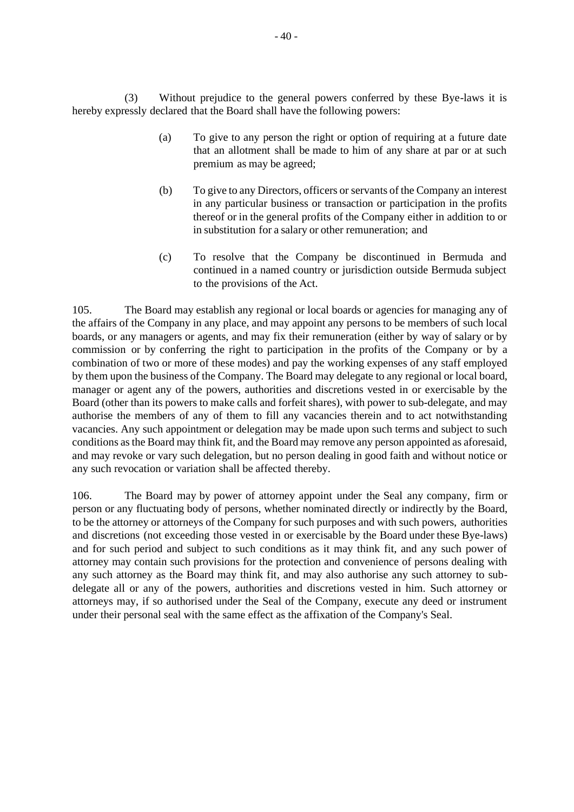(3) Without prejudice to the general powers conferred by these Bye-laws it is hereby expressly declared that the Board shall have the following powers:

- (a) To give to any person the right or option of requiring at a future date that an allotment shall be made to him of any share at par or at such premium as may be agreed;
- (b) To give to any Directors, officers or servants of the Company an interest in any particular business or transaction or participation in the profits thereof or in the general profits of the Company either in addition to or in substitution for a salary or other remuneration; and
- (c) To resolve that the Company be discontinued in Bermuda and continued in a named country or jurisdiction outside Bermuda subject to the provisions of the Act.

105. The Board may establish any regional or local boards or agencies for managing any of the affairs of the Company in any place, and may appoint any persons to be members of such local boards, or any managers or agents, and may fix their remuneration (either by way of salary or by commission or by conferring the right to participation in the profits of the Company or by a combination of two or more of these modes) and pay the working expenses of any staff employed by them upon the business of the Company. The Board may delegate to any regional or local board, manager or agent any of the powers, authorities and discretions vested in or exercisable by the Board (other than its powers to make calls and forfeit shares), with power to sub-delegate, and may authorise the members of any of them to fill any vacancies therein and to act notwithstanding vacancies. Any such appointment or delegation may be made upon such terms and subject to such conditions as the Board may think fit, and the Board may remove any person appointed as aforesaid, and may revoke or vary such delegation, but no person dealing in good faith and without notice or any such revocation or variation shall be affected thereby.

106. The Board may by power of attorney appoint under the Seal any company, firm or person or any fluctuating body of persons, whether nominated directly or indirectly by the Board, to be the attorney or attorneys of the Company for such purposes and with such powers, authorities and discretions (not exceeding those vested in or exercisable by the Board under these Bye-laws) and for such period and subject to such conditions as it may think fit, and any such power of attorney may contain such provisions for the protection and convenience of persons dealing with any such attorney as the Board may think fit, and may also authorise any such attorney to subdelegate all or any of the powers, authorities and discretions vested in him. Such attorney or attorneys may, if so authorised under the Seal of the Company, execute any deed or instrument under their personal seal with the same effect as the affixation of the Company's Seal.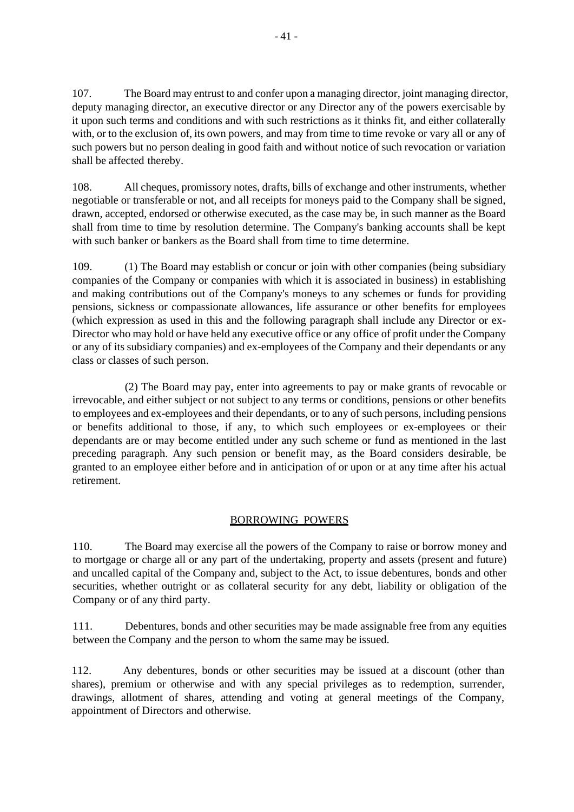107. The Board may entrust to and confer upon a managing director, joint managing director, deputy managing director, an executive director or any Director any of the powers exercisable by it upon such terms and conditions and with such restrictions as it thinks fit, and either collaterally with, or to the exclusion of, its own powers, and may from time to time revoke or vary all or any of such powers but no person dealing in good faith and without notice of such revocation or variation shall be affected thereby.

108. All cheques, promissory notes, drafts, bills of exchange and other instruments, whether negotiable or transferable or not, and all receipts for moneys paid to the Company shall be signed, drawn, accepted, endorsed or otherwise executed, as the case may be, in such manner as the Board shall from time to time by resolution determine. The Company's banking accounts shall be kept with such banker or bankers as the Board shall from time to time determine.

109. (1) The Board may establish or concur or join with other companies (being subsidiary companies of the Company or companies with which it is associated in business) in establishing and making contributions out of the Company's moneys to any schemes or funds for providing pensions, sickness or compassionate allowances, life assurance or other benefits for employees (which expression as used in this and the following paragraph shall include any Director or ex-Director who may hold or have held any executive office or any office of profit under the Company or any of its subsidiary companies) and ex-employees of the Company and their dependants or any class or classes of such person.

(2) The Board may pay, enter into agreements to pay or make grants of revocable or irrevocable, and either subject or not subject to any terms or conditions, pensions or other benefits to employees and ex-employees and their dependants, or to any of such persons, including pensions or benefits additional to those, if any, to which such employees or ex-employees or their dependants are or may become entitled under any such scheme or fund as mentioned in the last preceding paragraph. Any such pension or benefit may, as the Board considers desirable, be granted to an employee either before and in anticipation of or upon or at any time after his actual retirement.

# BORROWING POWERS

110. The Board may exercise all the powers of the Company to raise or borrow money and to mortgage or charge all or any part of the undertaking, property and assets (present and future) and uncalled capital of the Company and, subject to the Act, to issue debentures, bonds and other securities, whether outright or as collateral security for any debt, liability or obligation of the Company or of any third party.

111. Debentures, bonds and other securities may be made assignable free from any equities between the Company and the person to whom the same may be issued.

112. Any debentures, bonds or other securities may be issued at a discount (other than shares), premium or otherwise and with any special privileges as to redemption, surrender, drawings, allotment of shares, attending and voting at general meetings of the Company, appointment of Directors and otherwise.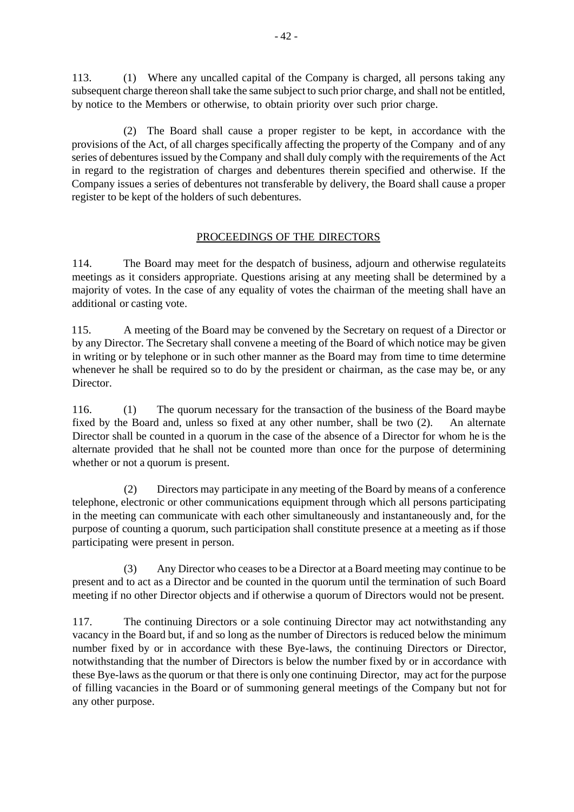113. (1) Where any uncalled capital of the Company is charged, all persons taking any subsequent charge thereon shall take the same subject to such prior charge, and shall not be entitled, by notice to the Members or otherwise, to obtain priority over such prior charge.

(2) The Board shall cause a proper register to be kept, in accordance with the provisions of the Act, of all charges specifically affecting the property of the Company and of any series of debentures issued by the Company and shall duly comply with the requirements of the Act in regard to the registration of charges and debentures therein specified and otherwise. If the Company issues a series of debentures not transferable by delivery, the Board shall cause a proper register to be kept of the holders of such debentures.

# PROCEEDINGS OF THE DIRECTORS

114. The Board may meet for the despatch of business, adjourn and otherwise regulateits meetings as it considers appropriate. Questions arising at any meeting shall be determined by a majority of votes. In the case of any equality of votes the chairman of the meeting shall have an additional or casting vote.

115. A meeting of the Board may be convened by the Secretary on request of a Director or by any Director. The Secretary shall convene a meeting of the Board of which notice may be given in writing or by telephone or in such other manner as the Board may from time to time determine whenever he shall be required so to do by the president or chairman, as the case may be, or any Director.

116. (1) The quorum necessary for the transaction of the business of the Board maybe fixed by the Board and, unless so fixed at any other number, shall be two (2). An alternate Director shall be counted in a quorum in the case of the absence of a Director for whom he is the alternate provided that he shall not be counted more than once for the purpose of determining whether or not a quorum is present.

(2) Directors may participate in any meeting of the Board by means of a conference telephone, electronic or other communications equipment through which all persons participating in the meeting can communicate with each other simultaneously and instantaneously and, for the purpose of counting a quorum, such participation shall constitute presence at a meeting as if those participating were present in person.

(3) Any Director who ceases to be a Director at a Board meeting may continue to be present and to act as a Director and be counted in the quorum until the termination of such Board meeting if no other Director objects and if otherwise a quorum of Directors would not be present.

117. The continuing Directors or a sole continuing Director may act notwithstanding any vacancy in the Board but, if and so long as the number of Directors is reduced below the minimum number fixed by or in accordance with these Bye-laws, the continuing Directors or Director, notwithstanding that the number of Directors is below the number fixed by or in accordance with these Bye-laws asthe quorum or that there is only one continuing Director, may act for the purpose of filling vacancies in the Board or of summoning general meetings of the Company but not for any other purpose.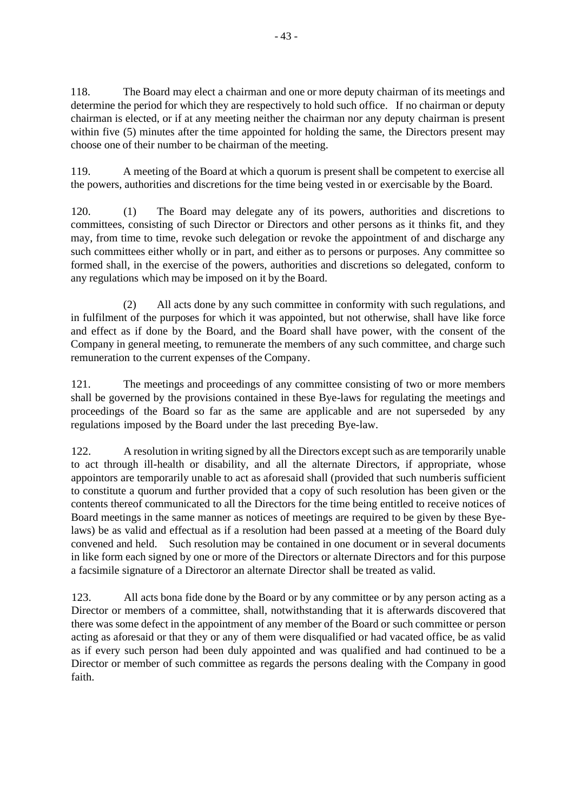118. The Board may elect a chairman and one or more deputy chairman of its meetings and determine the period for which they are respectively to hold such office. If no chairman or deputy chairman is elected, or if at any meeting neither the chairman nor any deputy chairman is present within five (5) minutes after the time appointed for holding the same, the Directors present may choose one of their number to be chairman of the meeting.

119. A meeting of the Board at which a quorum is present shall be competent to exercise all the powers, authorities and discretions for the time being vested in or exercisable by the Board.

120. (1) The Board may delegate any of its powers, authorities and discretions to committees, consisting of such Director or Directors and other persons as it thinks fit, and they may, from time to time, revoke such delegation or revoke the appointment of and discharge any such committees either wholly or in part, and either as to persons or purposes. Any committee so formed shall, in the exercise of the powers, authorities and discretions so delegated, conform to any regulations which may be imposed on it by the Board.

(2) All acts done by any such committee in conformity with such regulations, and in fulfilment of the purposes for which it was appointed, but not otherwise, shall have like force and effect as if done by the Board, and the Board shall have power, with the consent of the Company in general meeting, to remunerate the members of any such committee, and charge such remuneration to the current expenses of the Company.

121. The meetings and proceedings of any committee consisting of two or more members shall be governed by the provisions contained in these Bye-laws for regulating the meetings and proceedings of the Board so far as the same are applicable and are not superseded by any regulations imposed by the Board under the last preceding Bye-law.

122. A resolution in writing signed by all the Directors except such as are temporarily unable to act through ill-health or disability, and all the alternate Directors, if appropriate, whose appointors are temporarily unable to act as aforesaid shall (provided that such numberis sufficient to constitute a quorum and further provided that a copy of such resolution has been given or the contents thereof communicated to all the Directors for the time being entitled to receive notices of Board meetings in the same manner as notices of meetings are required to be given by these Byelaws) be as valid and effectual as if a resolution had been passed at a meeting of the Board duly convened and held. Such resolution may be contained in one document or in several documents in like form each signed by one or more of the Directors or alternate Directors and for this purpose a facsimile signature of a Directoror an alternate Director shall be treated as valid.

123. All acts bona fide done by the Board or by any committee or by any person acting as a Director or members of a committee, shall, notwithstanding that it is afterwards discovered that there was some defect in the appointment of any member of the Board or such committee or person acting as aforesaid or that they or any of them were disqualified or had vacated office, be as valid as if every such person had been duly appointed and was qualified and had continued to be a Director or member of such committee as regards the persons dealing with the Company in good faith.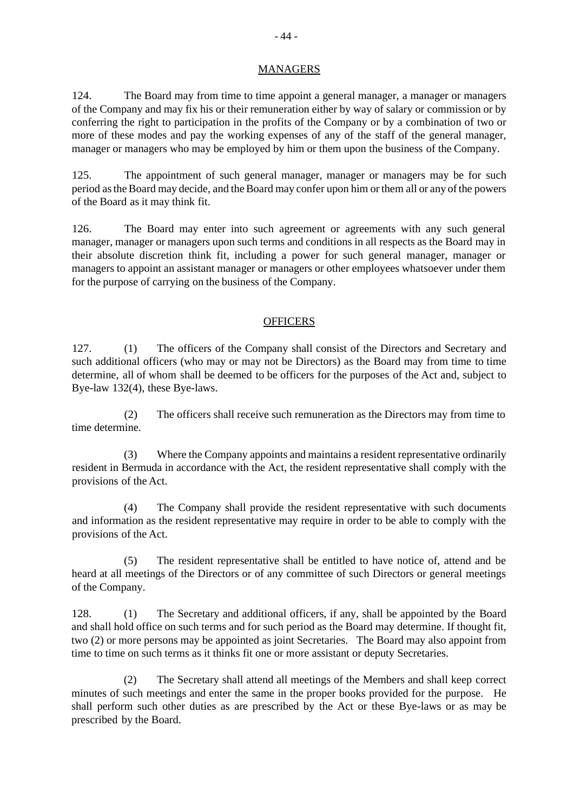### **MANAGERS**

124. The Board may from time to time appoint a general manager, a manager or managers of the Company and may fix his or their remuneration either by way of salary or commission or by conferring the right to participation in the profits of the Company or by a combination of two or more of these modes and pay the working expenses of any of the staff of the general manager, manager or managers who may be employed by him or them upon the business of the Company.

125. The appointment of such general manager, manager or managers may be for such period as the Board may decide, and the Board may confer upon him or them all or any of the powers of the Board as it may think fit.

126. The Board may enter into such agreement or agreements with any such general manager, manager or managers upon such terms and conditions in all respects as the Board may in their absolute discretion think fit, including a power for such general manager, manager or managers to appoint an assistant manager or managers or other employees whatsoever under them for the purpose of carrying on the business of the Company.

### **OFFICERS**

127. (1) The officers of the Company shall consist of the Directors and Secretary and such additional officers (who may or may not be Directors) as the Board may from time to time determine, all of whom shall be deemed to be officers for the purposes of the Act and, subject to Bye-law 132(4), these Bye-laws.

(2) The officers shall receive such remuneration as the Directors may from time to time determine.

(3) Where the Company appoints and maintains a resident representative ordinarily resident in Bermuda in accordance with the Act, the resident representative shall comply with the provisions of the Act.

(4) The Company shall provide the resident representative with such documents and information as the resident representative may require in order to be able to comply with the provisions of the Act.

(5) The resident representative shall be entitled to have notice of, attend and be heard at all meetings of the Directors or of any committee of such Directors or general meetings of the Company.

128. (1) The Secretary and additional officers, if any, shall be appointed by the Board and shall hold office on such terms and for such period as the Board may determine. If thought fit, two (2) or more persons may be appointed as joint Secretaries. The Board may also appoint from time to time on such terms as it thinks fit one or more assistant or deputy Secretaries.

(2) The Secretary shall attend all meetings of the Members and shall keep correct minutes of such meetings and enter the same in the proper books provided for the purpose. He shall perform such other duties as are prescribed by the Act or these Bye-laws or as may be prescribed by the Board.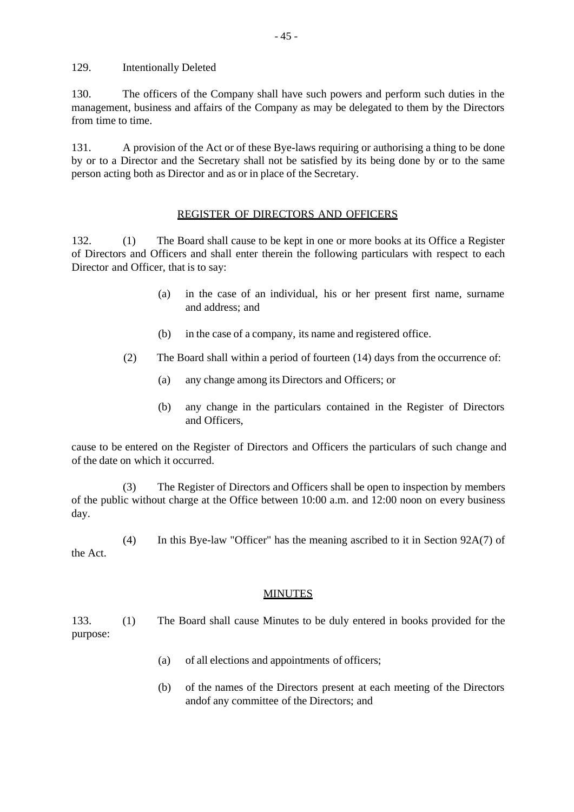129. Intentionally Deleted

130. The officers of the Company shall have such powers and perform such duties in the management, business and affairs of the Company as may be delegated to them by the Directors from time to time.

131. A provision of the Act or of these Bye-laws requiring or authorising a thing to be done by or to a Director and the Secretary shall not be satisfied by its being done by or to the same person acting both as Director and as or in place of the Secretary.

# REGISTER OF DIRECTORS AND OFFICERS

132. (1) The Board shall cause to be kept in one or more books at its Office a Register of Directors and Officers and shall enter therein the following particulars with respect to each Director and Officer, that is to say:

- (a) in the case of an individual, his or her present first name, surname and address; and
- (b) in the case of a company, its name and registered office.
- (2) The Board shall within a period of fourteen (14) days from the occurrence of:
	- (a) any change among its Directors and Officers; or
	- (b) any change in the particulars contained in the Register of Directors and Officers,

cause to be entered on the Register of Directors and Officers the particulars of such change and of the date on which it occurred.

(3) The Register of Directors and Officers shall be open to inspection by members of the public without charge at the Office between 10:00 a.m. and 12:00 noon on every business day.

(4) In this Bye-law "Officer" has the meaning ascribed to it in Section 92A(7) of the Act.

# **MINUTES**

133. (1) The Board shall cause Minutes to be duly entered in books provided for the purpose:

- (a) of all elections and appointments of officers;
- (b) of the names of the Directors present at each meeting of the Directors andof any committee of the Directors; and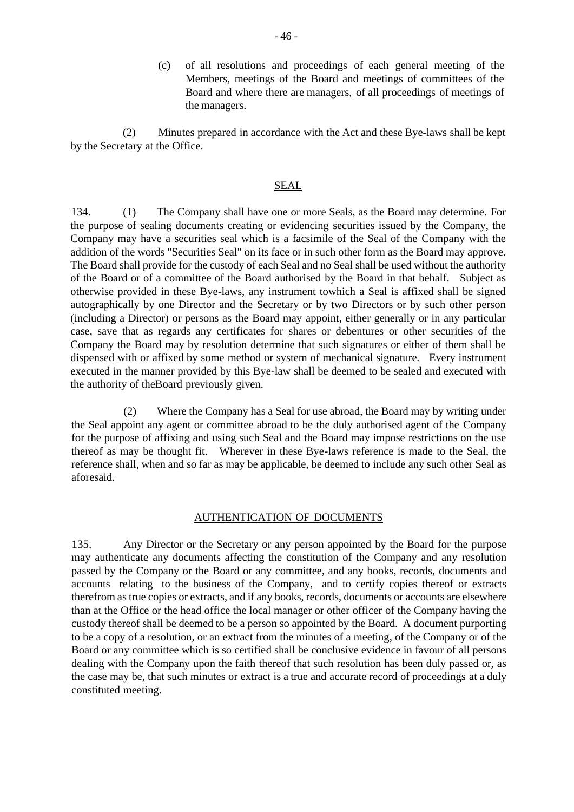(c) of all resolutions and proceedings of each general meeting of the Members, meetings of the Board and meetings of committees of the Board and where there are managers, of all proceedings of meetings of the managers.

(2) Minutes prepared in accordance with the Act and these Bye-laws shall be kept by the Secretary at the Office.

### SEAL

134. (1) The Company shall have one or more Seals, as the Board may determine. For the purpose of sealing documents creating or evidencing securities issued by the Company, the Company may have a securities seal which is a facsimile of the Seal of the Company with the addition of the words "Securities Seal" on its face or in such other form as the Board may approve. The Board shall provide for the custody of each Seal and no Seal shall be used without the authority of the Board or of a committee of the Board authorised by the Board in that behalf. Subject as otherwise provided in these Bye-laws, any instrument towhich a Seal is affixed shall be signed autographically by one Director and the Secretary or by two Directors or by such other person (including a Director) or persons as the Board may appoint, either generally or in any particular case, save that as regards any certificates for shares or debentures or other securities of the Company the Board may by resolution determine that such signatures or either of them shall be dispensed with or affixed by some method or system of mechanical signature. Every instrument executed in the manner provided by this Bye-law shall be deemed to be sealed and executed with the authority of theBoard previously given.

(2) Where the Company has a Seal for use abroad, the Board may by writing under the Seal appoint any agent or committee abroad to be the duly authorised agent of the Company for the purpose of affixing and using such Seal and the Board may impose restrictions on the use thereof as may be thought fit. Wherever in these Bye-laws reference is made to the Seal, the reference shall, when and so far as may be applicable, be deemed to include any such other Seal as aforesaid.

## AUTHENTICATION OF DOCUMENTS

135. Any Director or the Secretary or any person appointed by the Board for the purpose may authenticate any documents affecting the constitution of the Company and any resolution passed by the Company or the Board or any committee, and any books, records, documents and accounts relating to the business of the Company, and to certify copies thereof or extracts therefrom as true copies or extracts, and if any books, records, documents or accounts are elsewhere than at the Office or the head office the local manager or other officer of the Company having the custody thereof shall be deemed to be a person so appointed by the Board. A document purporting to be a copy of a resolution, or an extract from the minutes of a meeting, of the Company or of the Board or any committee which is so certified shall be conclusive evidence in favour of all persons dealing with the Company upon the faith thereof that such resolution has been duly passed or, as the case may be, that such minutes or extract is a true and accurate record of proceedings at a duly constituted meeting.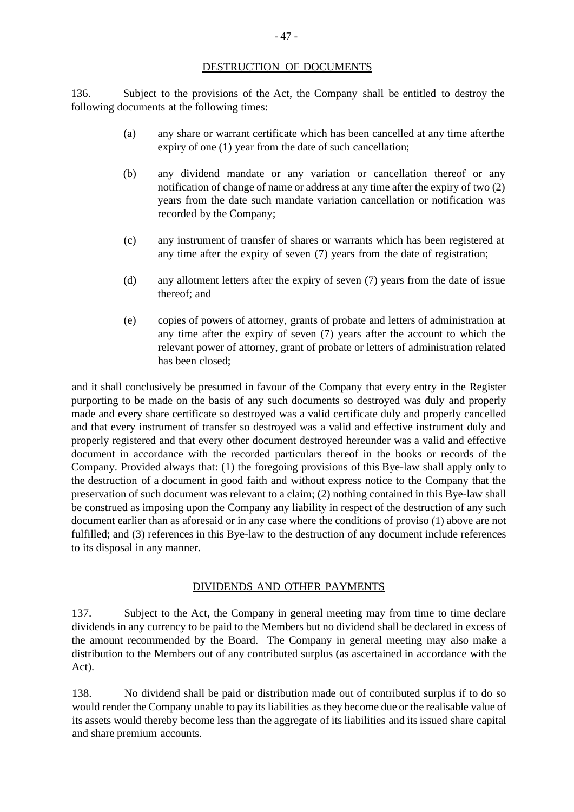#### DESTRUCTION OF DOCUMENTS

136. Subject to the provisions of the Act, the Company shall be entitled to destroy the following documents at the following times:

- (a) any share or warrant certificate which has been cancelled at any time afterthe expiry of one (1) year from the date of such cancellation;
- (b) any dividend mandate or any variation or cancellation thereof or any notification of change of name or address at any time after the expiry of two (2) years from the date such mandate variation cancellation or notification was recorded by the Company;
- (c) any instrument of transfer of shares or warrants which has been registered at any time after the expiry of seven (7) years from the date of registration;
- (d) any allotment letters after the expiry of seven (7) years from the date of issue thereof; and
- (e) copies of powers of attorney, grants of probate and letters of administration at any time after the expiry of seven (7) years after the account to which the relevant power of attorney, grant of probate or letters of administration related has been closed;

and it shall conclusively be presumed in favour of the Company that every entry in the Register purporting to be made on the basis of any such documents so destroyed was duly and properly made and every share certificate so destroyed was a valid certificate duly and properly cancelled and that every instrument of transfer so destroyed was a valid and effective instrument duly and properly registered and that every other document destroyed hereunder was a valid and effective document in accordance with the recorded particulars thereof in the books or records of the Company. Provided always that: (1) the foregoing provisions of this Bye-law shall apply only to the destruction of a document in good faith and without express notice to the Company that the preservation of such document was relevant to a claim; (2) nothing contained in this Bye-law shall be construed as imposing upon the Company any liability in respect of the destruction of any such document earlier than as aforesaid or in any case where the conditions of proviso (1) above are not fulfilled; and (3) references in this Bye-law to the destruction of any document include references to its disposal in any manner.

### DIVIDENDS AND OTHER PAYMENTS

137. Subject to the Act, the Company in general meeting may from time to time declare dividends in any currency to be paid to the Members but no dividend shall be declared in excess of the amount recommended by the Board. The Company in general meeting may also make a distribution to the Members out of any contributed surplus (as ascertained in accordance with the Act).

138. No dividend shall be paid or distribution made out of contributed surplus if to do so would render the Company unable to pay its liabilities as they become due or the realisable value of its assets would thereby become less than the aggregate of its liabilities and its issued share capital and share premium accounts.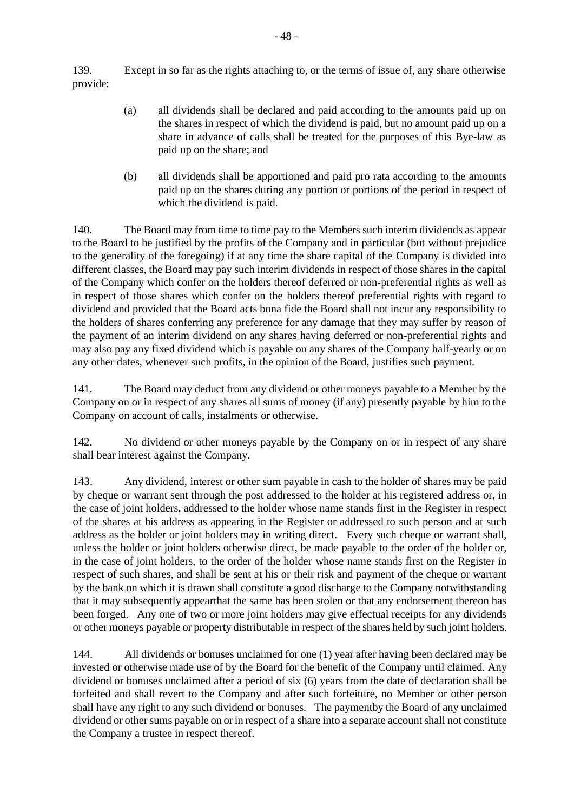139. Except in so far as the rights attaching to, or the terms of issue of, any share otherwise provide:

- (a) all dividends shall be declared and paid according to the amounts paid up on the shares in respect of which the dividend is paid, but no amount paid up on a share in advance of calls shall be treated for the purposes of this Bye-law as paid up on the share; and
- (b) all dividends shall be apportioned and paid pro rata according to the amounts paid up on the shares during any portion or portions of the period in respect of which the dividend is paid.

140. The Board may from time to time pay to the Members such interim dividends as appear to the Board to be justified by the profits of the Company and in particular (but without prejudice to the generality of the foregoing) if at any time the share capital of the Company is divided into different classes, the Board may pay such interim dividends in respect of those shares in the capital of the Company which confer on the holders thereof deferred or non-preferential rights as well as in respect of those shares which confer on the holders thereof preferential rights with regard to dividend and provided that the Board acts bona fide the Board shall not incur any responsibility to the holders of shares conferring any preference for any damage that they may suffer by reason of the payment of an interim dividend on any shares having deferred or non-preferential rights and may also pay any fixed dividend which is payable on any shares of the Company half-yearly or on any other dates, whenever such profits, in the opinion of the Board, justifies such payment.

141. The Board may deduct from any dividend or other moneys payable to a Member by the Company on or in respect of any shares all sums of money (if any) presently payable by him to the Company on account of calls, instalments or otherwise.

142. No dividend or other moneys payable by the Company on or in respect of any share shall bear interest against the Company.

143. Any dividend, interest or other sum payable in cash to the holder of shares may be paid by cheque or warrant sent through the post addressed to the holder at his registered address or, in the case of joint holders, addressed to the holder whose name stands first in the Register in respect of the shares at his address as appearing in the Register or addressed to such person and at such address as the holder or joint holders may in writing direct. Every such cheque or warrant shall, unless the holder or joint holders otherwise direct, be made payable to the order of the holder or, in the case of joint holders, to the order of the holder whose name stands first on the Register in respect of such shares, and shall be sent at his or their risk and payment of the cheque or warrant by the bank on which it is drawn shall constitute a good discharge to the Company notwithstanding that it may subsequently appearthat the same has been stolen or that any endorsement thereon has been forged. Any one of two or more joint holders may give effectual receipts for any dividends or other moneys payable or property distributable in respect of the shares held by such joint holders.

144. All dividends or bonuses unclaimed for one (1) year after having been declared may be invested or otherwise made use of by the Board for the benefit of the Company until claimed. Any dividend or bonuses unclaimed after a period of six (6) years from the date of declaration shall be forfeited and shall revert to the Company and after such forfeiture, no Member or other person shall have any right to any such dividend or bonuses. The paymentby the Board of any unclaimed dividend or other sums payable on or in respect of a share into a separate account shall not constitute the Company a trustee in respect thereof.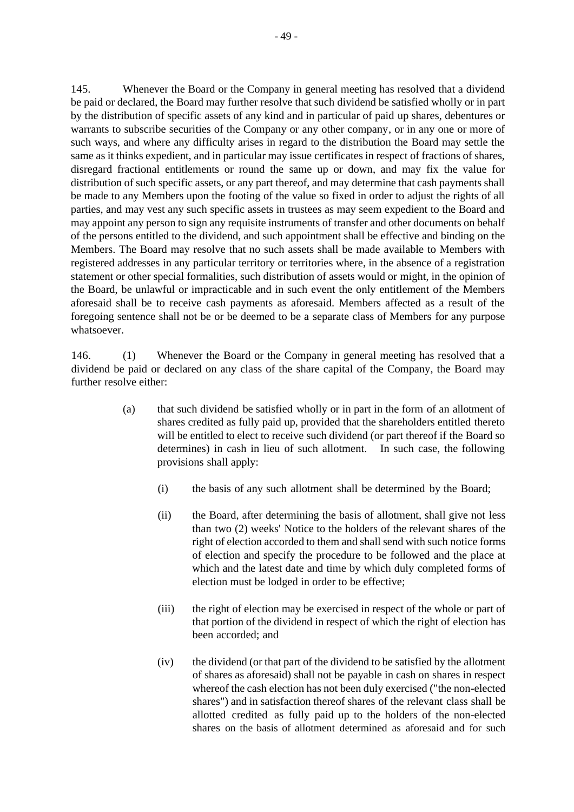145. Whenever the Board or the Company in general meeting has resolved that a dividend be paid or declared, the Board may further resolve that such dividend be satisfied wholly or in part by the distribution of specific assets of any kind and in particular of paid up shares, debentures or warrants to subscribe securities of the Company or any other company, or in any one or more of such ways, and where any difficulty arises in regard to the distribution the Board may settle the same as it thinks expedient, and in particular may issue certificates in respect of fractions of shares, disregard fractional entitlements or round the same up or down, and may fix the value for distribution of such specific assets, or any part thereof, and may determine that cash payments shall be made to any Members upon the footing of the value so fixed in order to adjust the rights of all parties, and may vest any such specific assets in trustees as may seem expedient to the Board and may appoint any person to sign any requisite instruments of transfer and other documents on behalf of the persons entitled to the dividend, and such appointment shall be effective and binding on the Members. The Board may resolve that no such assets shall be made available to Members with registered addresses in any particular territory or territories where, in the absence of a registration statement or other special formalities, such distribution of assets would or might, in the opinion of the Board, be unlawful or impracticable and in such event the only entitlement of the Members aforesaid shall be to receive cash payments as aforesaid. Members affected as a result of the foregoing sentence shall not be or be deemed to be a separate class of Members for any purpose

146. (1) Whenever the Board or the Company in general meeting has resolved that a dividend be paid or declared on any class of the share capital of the Company, the Board may further resolve either:

whatsoever.

- (a) that such dividend be satisfied wholly or in part in the form of an allotment of shares credited as fully paid up, provided that the shareholders entitled thereto will be entitled to elect to receive such dividend (or part thereof if the Board so determines) in cash in lieu of such allotment. In such case, the following provisions shall apply:
	- (i) the basis of any such allotment shall be determined by the Board;
	- (ii) the Board, after determining the basis of allotment, shall give not less than two (2) weeks' Notice to the holders of the relevant shares of the right of election accorded to them and shall send with such notice forms of election and specify the procedure to be followed and the place at which and the latest date and time by which duly completed forms of election must be lodged in order to be effective;
	- (iii) the right of election may be exercised in respect of the whole or part of that portion of the dividend in respect of which the right of election has been accorded; and
	- (iv) the dividend (or that part of the dividend to be satisfied by the allotment of shares as aforesaid) shall not be payable in cash on shares in respect whereof the cash election has not been duly exercised ("the non-elected shares") and in satisfaction thereof shares of the relevant class shall be allotted credited as fully paid up to the holders of the non-elected shares on the basis of allotment determined as aforesaid and for such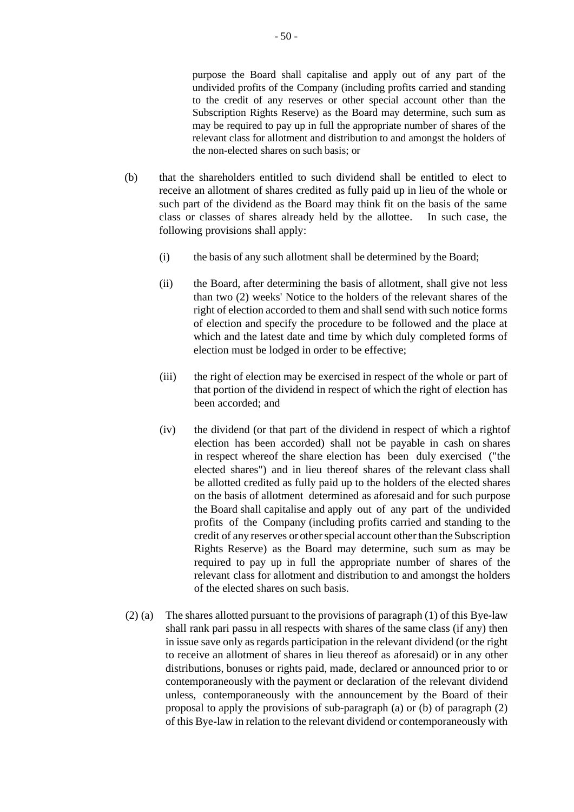purpose the Board shall capitalise and apply out of any part of the undivided profits of the Company (including profits carried and standing to the credit of any reserves or other special account other than the Subscription Rights Reserve) as the Board may determine, such sum as may be required to pay up in full the appropriate number of shares of the relevant class for allotment and distribution to and amongst the holders of the non-elected shares on such basis; or

- (b) that the shareholders entitled to such dividend shall be entitled to elect to receive an allotment of shares credited as fully paid up in lieu of the whole or such part of the dividend as the Board may think fit on the basis of the same class or classes of shares already held by the allottee. In such case, the following provisions shall apply:
	- (i) the basis of any such allotment shall be determined by the Board;
	- (ii) the Board, after determining the basis of allotment, shall give not less than two (2) weeks' Notice to the holders of the relevant shares of the right of election accorded to them and shall send with such notice forms of election and specify the procedure to be followed and the place at which and the latest date and time by which duly completed forms of election must be lodged in order to be effective;
	- (iii) the right of election may be exercised in respect of the whole or part of that portion of the dividend in respect of which the right of election has been accorded; and
	- (iv) the dividend (or that part of the dividend in respect of which a rightof election has been accorded) shall not be payable in cash on shares in respect whereof the share election has been duly exercised ("the elected shares") and in lieu thereof shares of the relevant class shall be allotted credited as fully paid up to the holders of the elected shares on the basis of allotment determined as aforesaid and for such purpose the Board shall capitalise and apply out of any part of the undivided profits of the Company (including profits carried and standing to the credit of any reserves or other special account other than the Subscription Rights Reserve) as the Board may determine, such sum as may be required to pay up in full the appropriate number of shares of the relevant class for allotment and distribution to and amongst the holders of the elected shares on such basis.
- (2) (a) The shares allotted pursuant to the provisions of paragraph (1) of this Bye-law shall rank pari passu in all respects with shares of the same class (if any) then in issue save only as regards participation in the relevant dividend (or the right to receive an allotment of shares in lieu thereof as aforesaid) or in any other distributions, bonuses or rights paid, made, declared or announced prior to or contemporaneously with the payment or declaration of the relevant dividend unless, contemporaneously with the announcement by the Board of their proposal to apply the provisions of sub-paragraph (a) or (b) of paragraph (2) of this Bye-law in relation to the relevant dividend or contemporaneously with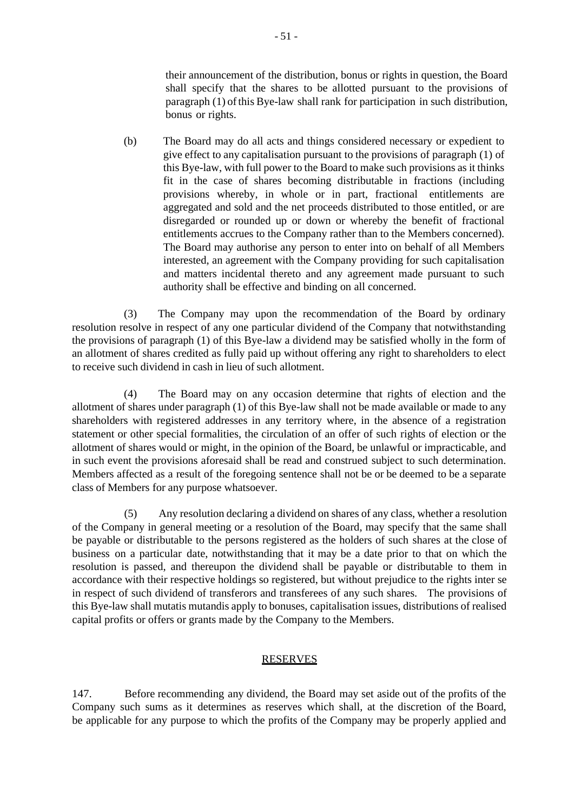their announcement of the distribution, bonus or rights in question, the Board shall specify that the shares to be allotted pursuant to the provisions of paragraph (1) ofthis Bye-law shall rank for participation in such distribution, bonus or rights.

(b) The Board may do all acts and things considered necessary or expedient to give effect to any capitalisation pursuant to the provisions of paragraph (1) of this Bye-law, with full power to the Board to make such provisions as it thinks fit in the case of shares becoming distributable in fractions (including provisions whereby, in whole or in part, fractional entitlements are aggregated and sold and the net proceeds distributed to those entitled, or are disregarded or rounded up or down or whereby the benefit of fractional entitlements accrues to the Company rather than to the Members concerned). The Board may authorise any person to enter into on behalf of all Members interested, an agreement with the Company providing for such capitalisation and matters incidental thereto and any agreement made pursuant to such authority shall be effective and binding on all concerned.

(3) The Company may upon the recommendation of the Board by ordinary resolution resolve in respect of any one particular dividend of the Company that notwithstanding the provisions of paragraph (1) of this Bye-law a dividend may be satisfied wholly in the form of an allotment of shares credited as fully paid up without offering any right to shareholders to elect to receive such dividend in cash in lieu of such allotment.

(4) The Board may on any occasion determine that rights of election and the allotment of shares under paragraph (1) of this Bye-law shall not be made available or made to any shareholders with registered addresses in any territory where, in the absence of a registration statement or other special formalities, the circulation of an offer of such rights of election or the allotment of shares would or might, in the opinion of the Board, be unlawful or impracticable, and in such event the provisions aforesaid shall be read and construed subject to such determination. Members affected as a result of the foregoing sentence shall not be or be deemed to be a separate class of Members for any purpose whatsoever.

(5) Any resolution declaring a dividend on shares of any class, whether a resolution of the Company in general meeting or a resolution of the Board, may specify that the same shall be payable or distributable to the persons registered as the holders of such shares at the close of business on a particular date, notwithstanding that it may be a date prior to that on which the resolution is passed, and thereupon the dividend shall be payable or distributable to them in accordance with their respective holdings so registered, but without prejudice to the rights inter se in respect of such dividend of transferors and transferees of any such shares. The provisions of this Bye-law shall mutatis mutandis apply to bonuses, capitalisation issues, distributions of realised capital profits or offers or grants made by the Company to the Members.

### **RESERVES**

147. Before recommending any dividend, the Board may set aside out of the profits of the Company such sums as it determines as reserves which shall, at the discretion of the Board, be applicable for any purpose to which the profits of the Company may be properly applied and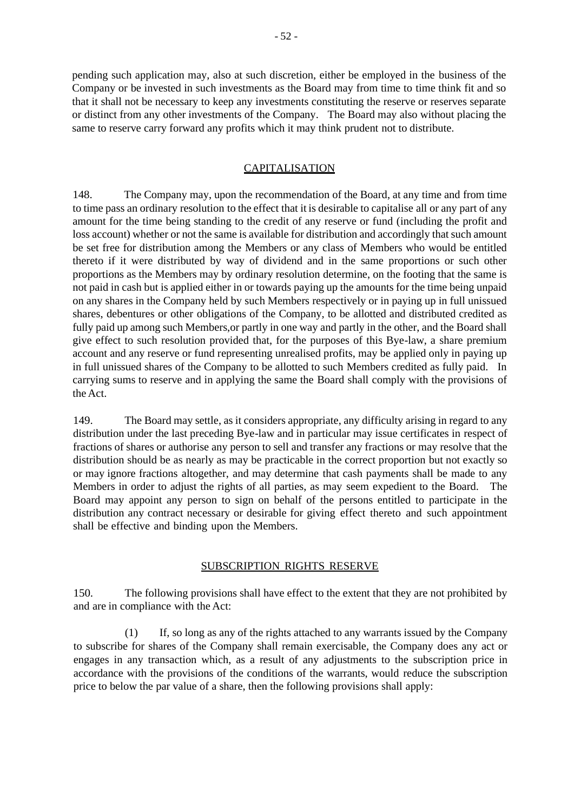pending such application may, also at such discretion, either be employed in the business of the Company or be invested in such investments as the Board may from time to time think fit and so that it shall not be necessary to keep any investments constituting the reserve or reserves separate or distinct from any other investments of the Company. The Board may also without placing the same to reserve carry forward any profits which it may think prudent not to distribute.

### **CAPITALISATION**

148. The Company may, upon the recommendation of the Board, at any time and from time to time pass an ordinary resolution to the effect that it is desirable to capitalise all or any part of any amount for the time being standing to the credit of any reserve or fund (including the profit and loss account) whether or not the same is available for distribution and accordingly that such amount be set free for distribution among the Members or any class of Members who would be entitled thereto if it were distributed by way of dividend and in the same proportions or such other proportions as the Members may by ordinary resolution determine, on the footing that the same is not paid in cash but is applied either in or towards paying up the amounts for the time being unpaid on any shares in the Company held by such Members respectively or in paying up in full unissued shares, debentures or other obligations of the Company, to be allotted and distributed credited as fully paid up among such Members,or partly in one way and partly in the other, and the Board shall give effect to such resolution provided that, for the purposes of this Bye-law, a share premium account and any reserve or fund representing unrealised profits, may be applied only in paying up in full unissued shares of the Company to be allotted to such Members credited as fully paid. In carrying sums to reserve and in applying the same the Board shall comply with the provisions of the Act.

149. The Board may settle, as it considers appropriate, any difficulty arising in regard to any distribution under the last preceding Bye-law and in particular may issue certificates in respect of fractions of shares or authorise any person to sell and transfer any fractions or may resolve that the distribution should be as nearly as may be practicable in the correct proportion but not exactly so or may ignore fractions altogether, and may determine that cash payments shall be made to any Members in order to adjust the rights of all parties, as may seem expedient to the Board. The Board may appoint any person to sign on behalf of the persons entitled to participate in the distribution any contract necessary or desirable for giving effect thereto and such appointment shall be effective and binding upon the Members.

## SUBSCRIPTION RIGHTS RESERVE

150. The following provisions shall have effect to the extent that they are not prohibited by and are in compliance with the Act:

(1) If, so long as any of the rights attached to any warrants issued by the Company to subscribe for shares of the Company shall remain exercisable, the Company does any act or engages in any transaction which, as a result of any adjustments to the subscription price in accordance with the provisions of the conditions of the warrants, would reduce the subscription price to below the par value of a share, then the following provisions shall apply: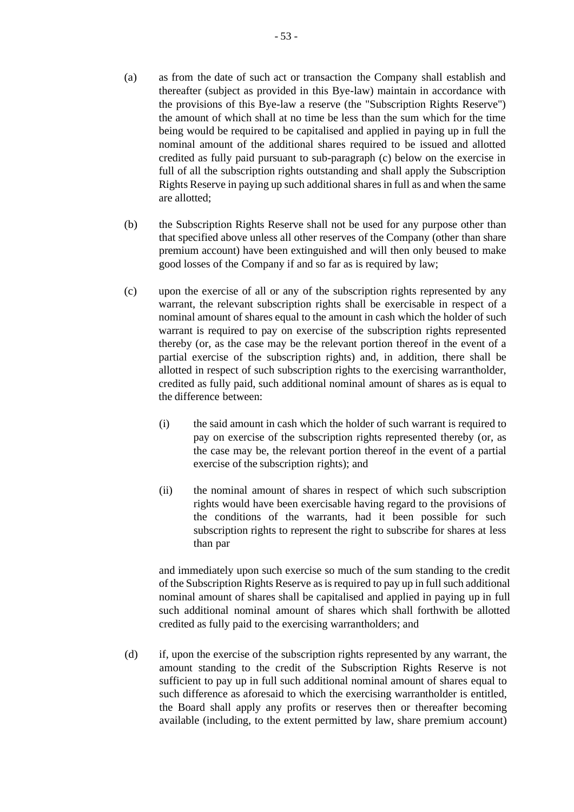- (a) as from the date of such act or transaction the Company shall establish and thereafter (subject as provided in this Bye-law) maintain in accordance with the provisions of this Bye-law a reserve (the "Subscription Rights Reserve") the amount of which shall at no time be less than the sum which for the time being would be required to be capitalised and applied in paying up in full the nominal amount of the additional shares required to be issued and allotted credited as fully paid pursuant to sub-paragraph (c) below on the exercise in full of all the subscription rights outstanding and shall apply the Subscription Rights Reserve in paying up such additional sharesin full as and when the same are allotted;
- (b) the Subscription Rights Reserve shall not be used for any purpose other than that specified above unless all other reserves of the Company (other than share premium account) have been extinguished and will then only beused to make good losses of the Company if and so far as is required by law;
- (c) upon the exercise of all or any of the subscription rights represented by any warrant, the relevant subscription rights shall be exercisable in respect of a nominal amount of shares equal to the amount in cash which the holder of such warrant is required to pay on exercise of the subscription rights represented thereby (or, as the case may be the relevant portion thereof in the event of a partial exercise of the subscription rights) and, in addition, there shall be allotted in respect of such subscription rights to the exercising warrantholder, credited as fully paid, such additional nominal amount of shares as is equal to the difference between:
	- (i) the said amount in cash which the holder of such warrant is required to pay on exercise of the subscription rights represented thereby (or, as the case may be, the relevant portion thereof in the event of a partial exercise of the subscription rights); and
	- (ii) the nominal amount of shares in respect of which such subscription rights would have been exercisable having regard to the provisions of the conditions of the warrants, had it been possible for such subscription rights to represent the right to subscribe for shares at less than par

and immediately upon such exercise so much of the sum standing to the credit of the Subscription Rights Reserve as is required to pay up in full such additional nominal amount of shares shall be capitalised and applied in paying up in full such additional nominal amount of shares which shall forthwith be allotted credited as fully paid to the exercising warrantholders; and

(d) if, upon the exercise of the subscription rights represented by any warrant, the amount standing to the credit of the Subscription Rights Reserve is not sufficient to pay up in full such additional nominal amount of shares equal to such difference as aforesaid to which the exercising warrantholder is entitled, the Board shall apply any profits or reserves then or thereafter becoming available (including, to the extent permitted by law, share premium account)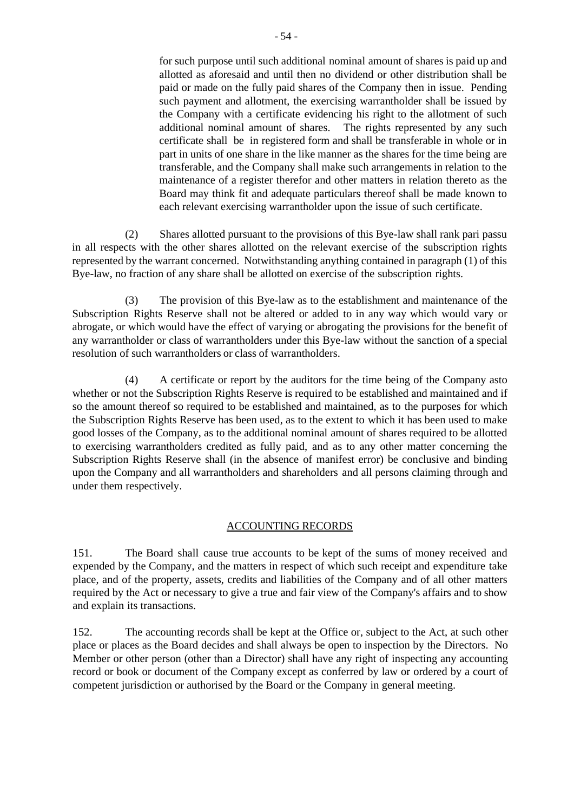for such purpose until such additional nominal amount of shares is paid up and allotted as aforesaid and until then no dividend or other distribution shall be paid or made on the fully paid shares of the Company then in issue. Pending such payment and allotment, the exercising warrantholder shall be issued by the Company with a certificate evidencing his right to the allotment of such additional nominal amount of shares. The rights represented by any such certificate shall be in registered form and shall be transferable in whole or in part in units of one share in the like manner as the shares for the time being are transferable, and the Company shall make such arrangements in relation to the maintenance of a register therefor and other matters in relation thereto as the Board may think fit and adequate particulars thereof shall be made known to each relevant exercising warrantholder upon the issue of such certificate.

(2) Shares allotted pursuant to the provisions of this Bye-law shall rank pari passu in all respects with the other shares allotted on the relevant exercise of the subscription rights represented by the warrant concerned. Notwithstanding anything contained in paragraph (1) of this Bye-law, no fraction of any share shall be allotted on exercise of the subscription rights.

(3) The provision of this Bye-law as to the establishment and maintenance of the Subscription Rights Reserve shall not be altered or added to in any way which would vary or abrogate, or which would have the effect of varying or abrogating the provisions for the benefit of any warrantholder or class of warrantholders under this Bye-law without the sanction of a special resolution of such warrantholders or class of warrantholders.

(4) A certificate or report by the auditors for the time being of the Company asto whether or not the Subscription Rights Reserve is required to be established and maintained and if so the amount thereof so required to be established and maintained, as to the purposes for which the Subscription Rights Reserve has been used, as to the extent to which it has been used to make good losses of the Company, as to the additional nominal amount of shares required to be allotted to exercising warrantholders credited as fully paid, and as to any other matter concerning the Subscription Rights Reserve shall (in the absence of manifest error) be conclusive and binding upon the Company and all warrantholders and shareholders and all persons claiming through and under them respectively.

## ACCOUNTING RECORDS

151. The Board shall cause true accounts to be kept of the sums of money received and expended by the Company, and the matters in respect of which such receipt and expenditure take place, and of the property, assets, credits and liabilities of the Company and of all other matters required by the Act or necessary to give a true and fair view of the Company's affairs and to show and explain its transactions.

152. The accounting records shall be kept at the Office or, subject to the Act, at such other place or places as the Board decides and shall always be open to inspection by the Directors. No Member or other person (other than a Director) shall have any right of inspecting any accounting record or book or document of the Company except as conferred by law or ordered by a court of competent jurisdiction or authorised by the Board or the Company in general meeting.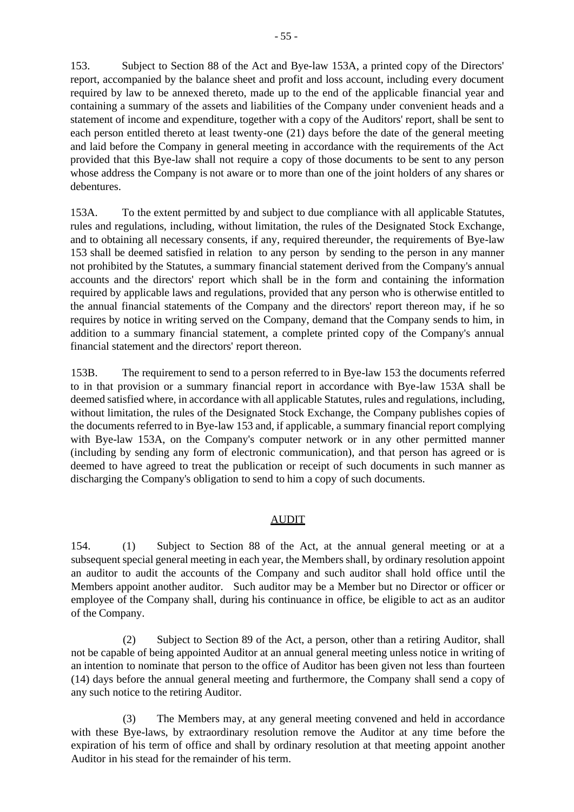- 55 -

153. Subject to Section 88 of the Act and Bye-law 153A, a printed copy of the Directors' report, accompanied by the balance sheet and profit and loss account, including every document required by law to be annexed thereto, made up to the end of the applicable financial year and containing a summary of the assets and liabilities of the Company under convenient heads and a statement of income and expenditure, together with a copy of the Auditors' report, shall be sent to each person entitled thereto at least twenty-one (21) days before the date of the general meeting and laid before the Company in general meeting in accordance with the requirements of the Act provided that this Bye-law shall not require a copy of those documents to be sent to any person whose address the Company is not aware or to more than one of the joint holders of any shares or debentures.

153A. To the extent permitted by and subject to due compliance with all applicable Statutes, rules and regulations, including, without limitation, the rules of the Designated Stock Exchange, and to obtaining all necessary consents, if any, required thereunder, the requirements of Bye-law 153 shall be deemed satisfied in relation to any person by sending to the person in any manner not prohibited by the Statutes, a summary financial statement derived from the Company's annual accounts and the directors' report which shall be in the form and containing the information required by applicable laws and regulations, provided that any person who is otherwise entitled to the annual financial statements of the Company and the directors' report thereon may, if he so requires by notice in writing served on the Company, demand that the Company sends to him, in addition to a summary financial statement, a complete printed copy of the Company's annual financial statement and the directors' report thereon.

153B. The requirement to send to a person referred to in Bye-law 153 the documents referred to in that provision or a summary financial report in accordance with Bye-law 153A shall be deemed satisfied where, in accordance with all applicable Statutes, rules and regulations, including, without limitation, the rules of the Designated Stock Exchange, the Company publishes copies of the documents referred to in Bye-law 153 and, if applicable, a summary financial report complying with Bye-law 153A, on the Company's computer network or in any other permitted manner (including by sending any form of electronic communication), and that person has agreed or is deemed to have agreed to treat the publication or receipt of such documents in such manner as discharging the Company's obligation to send to him a copy of such documents.

# AUDIT

154. (1) Subject to Section 88 of the Act, at the annual general meeting or at a subsequent special general meeting in each year, the Members shall, by ordinary resolution appoint an auditor to audit the accounts of the Company and such auditor shall hold office until the Members appoint another auditor. Such auditor may be a Member but no Director or officer or employee of the Company shall, during his continuance in office, be eligible to act as an auditor of the Company.

(2) Subject to Section 89 of the Act, a person, other than a retiring Auditor, shall not be capable of being appointed Auditor at an annual general meeting unless notice in writing of an intention to nominate that person to the office of Auditor has been given not less than fourteen (14) days before the annual general meeting and furthermore, the Company shall send a copy of any such notice to the retiring Auditor.

(3) The Members may, at any general meeting convened and held in accordance with these Bye-laws, by extraordinary resolution remove the Auditor at any time before the expiration of his term of office and shall by ordinary resolution at that meeting appoint another Auditor in his stead for the remainder of his term.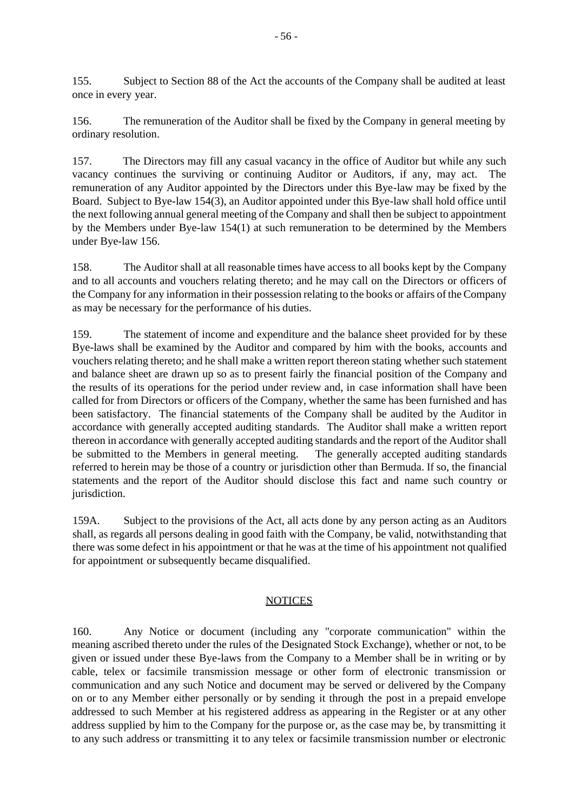155. Subject to Section 88 of the Act the accounts of the Company shall be audited at least once in every year.

156. The remuneration of the Auditor shall be fixed by the Company in general meeting by ordinary resolution.

157. The Directors may fill any casual vacancy in the office of Auditor but while any such vacancy continues the surviving or continuing Auditor or Auditors, if any, may act. The remuneration of any Auditor appointed by the Directors under this Bye-law may be fixed by the Board. Subject to Bye-law 154(3), an Auditor appointed under this Bye-law shall hold office until the next following annual general meeting of the Company and shall then be subject to appointment by the Members under Bye-law 154(1) at such remuneration to be determined by the Members under Bye-law 156.

158. The Auditor shall at all reasonable times have access to all books kept by the Company and to all accounts and vouchers relating thereto; and he may call on the Directors or officers of the Company for any information in their possession relating to the books or affairs of the Company as may be necessary for the performance of his duties.

159. The statement of income and expenditure and the balance sheet provided for by these Bye-laws shall be examined by the Auditor and compared by him with the books, accounts and vouchers relating thereto; and he shall make a written report thereon stating whether such statement and balance sheet are drawn up so as to present fairly the financial position of the Company and the results of its operations for the period under review and, in case information shall have been called for from Directors or officers of the Company, whether the same has been furnished and has been satisfactory. The financial statements of the Company shall be audited by the Auditor in accordance with generally accepted auditing standards. The Auditor shall make a written report thereon in accordance with generally accepted auditing standards and the report of the Auditor shall be submitted to the Members in general meeting. The generally accepted auditing standards referred to herein may be those of a country or jurisdiction other than Bermuda. If so, the financial statements and the report of the Auditor should disclose this fact and name such country or jurisdiction.

159A. Subject to the provisions of the Act, all acts done by any person acting as an Auditors shall, as regards all persons dealing in good faith with the Company, be valid, notwithstanding that there was some defect in his appointment or that he was at the time of his appointment not qualified for appointment or subsequently became disqualified.

## NOTICES

160. Any Notice or document (including any "corporate communication" within the meaning ascribed thereto under the rules of the Designated Stock Exchange), whether or not, to be given or issued under these Bye-laws from the Company to a Member shall be in writing or by cable, telex or facsimile transmission message or other form of electronic transmission or communication and any such Notice and document may be served or delivered by the Company on or to any Member either personally or by sending it through the post in a prepaid envelope addressed to such Member at his registered address as appearing in the Register or at any other address supplied by him to the Company for the purpose or, as the case may be, by transmitting it to any such address or transmitting it to any telex or facsimile transmission number or electronic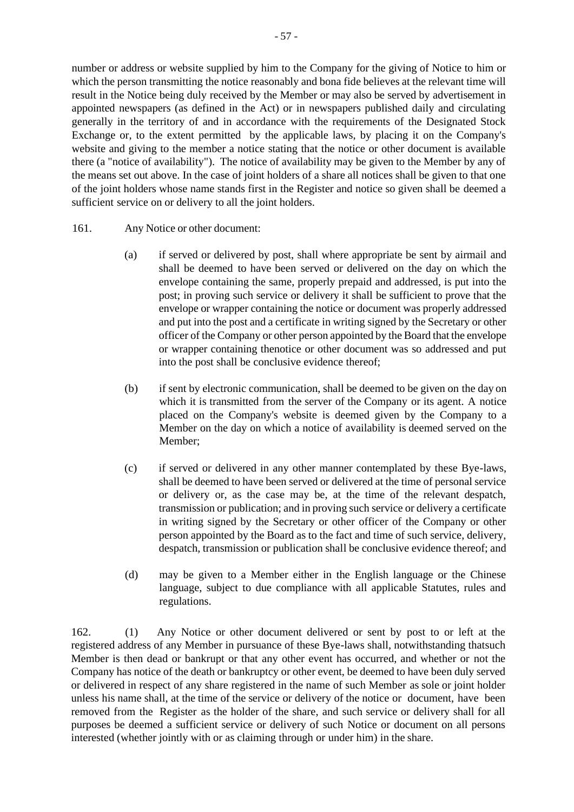number or address or website supplied by him to the Company for the giving of Notice to him or which the person transmitting the notice reasonably and bona fide believes at the relevant time will result in the Notice being duly received by the Member or may also be served by advertisement in appointed newspapers (as defined in the Act) or in newspapers published daily and circulating generally in the territory of and in accordance with the requirements of the Designated Stock Exchange or, to the extent permitted by the applicable laws, by placing it on the Company's website and giving to the member a notice stating that the notice or other document is available there (a "notice of availability"). The notice of availability may be given to the Member by any of the means set out above. In the case of joint holders of a share all notices shall be given to that one of the joint holders whose name stands first in the Register and notice so given shall be deemed a sufficient service on or delivery to all the joint holders.

- 161. Any Notice or other document:
	- (a) if served or delivered by post, shall where appropriate be sent by airmail and shall be deemed to have been served or delivered on the day on which the envelope containing the same, properly prepaid and addressed, is put into the post; in proving such service or delivery it shall be sufficient to prove that the envelope or wrapper containing the notice or document was properly addressed and put into the post and a certificate in writing signed by the Secretary or other officer of the Company or other person appointed by the Board that the envelope or wrapper containing thenotice or other document was so addressed and put into the post shall be conclusive evidence thereof;
	- (b) if sent by electronic communication, shall be deemed to be given on the day on which it is transmitted from the server of the Company or its agent. A notice placed on the Company's website is deemed given by the Company to a Member on the day on which a notice of availability is deemed served on the Member;
	- (c) if served or delivered in any other manner contemplated by these Bye-laws, shall be deemed to have been served or delivered at the time of personal service or delivery or, as the case may be, at the time of the relevant despatch, transmission or publication; and in proving such service or delivery a certificate in writing signed by the Secretary or other officer of the Company or other person appointed by the Board as to the fact and time of such service, delivery, despatch, transmission or publication shall be conclusive evidence thereof; and
	- (d) may be given to a Member either in the English language or the Chinese language, subject to due compliance with all applicable Statutes, rules and regulations.

162. (1) Any Notice or other document delivered or sent by post to or left at the registered address of any Member in pursuance of these Bye-laws shall, notwithstanding thatsuch Member is then dead or bankrupt or that any other event has occurred, and whether or not the Company has notice of the death or bankruptcy or other event, be deemed to have been duly served or delivered in respect of any share registered in the name of such Member as sole or joint holder unless his name shall, at the time of the service or delivery of the notice or document, have been removed from the Register as the holder of the share, and such service or delivery shall for all purposes be deemed a sufficient service or delivery of such Notice or document on all persons interested (whether jointly with or as claiming through or under him) in the share.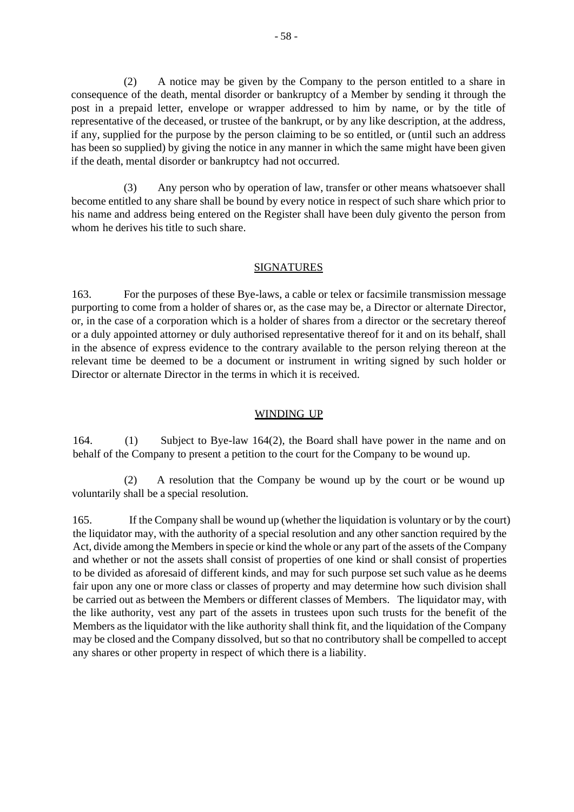(2) A notice may be given by the Company to the person entitled to a share in consequence of the death, mental disorder or bankruptcy of a Member by sending it through the post in a prepaid letter, envelope or wrapper addressed to him by name, or by the title of representative of the deceased, or trustee of the bankrupt, or by any like description, at the address, if any, supplied for the purpose by the person claiming to be so entitled, or (until such an address has been so supplied) by giving the notice in any manner in which the same might have been given if the death, mental disorder or bankruptcy had not occurred.

(3) Any person who by operation of law, transfer or other means whatsoever shall become entitled to any share shall be bound by every notice in respect of such share which prior to his name and address being entered on the Register shall have been duly givento the person from whom he derives his title to such share.

#### **SIGNATURES**

163. For the purposes of these Bye-laws, a cable or telex or facsimile transmission message purporting to come from a holder of shares or, as the case may be, a Director or alternate Director, or, in the case of a corporation which is a holder of shares from a director or the secretary thereof or a duly appointed attorney or duly authorised representative thereof for it and on its behalf, shall in the absence of express evidence to the contrary available to the person relying thereon at the relevant time be deemed to be a document or instrument in writing signed by such holder or Director or alternate Director in the terms in which it is received.

#### WINDING UP

164. (1) Subject to Bye-law 164(2), the Board shall have power in the name and on behalf of the Company to present a petition to the court for the Company to be wound up.

(2) A resolution that the Company be wound up by the court or be wound up voluntarily shall be a special resolution.

165. If the Company shall be wound up (whether the liquidation is voluntary or by the court) the liquidator may, with the authority of a special resolution and any other sanction required by the Act, divide among the Members in specie or kind the whole or any part of the assets of the Company and whether or not the assets shall consist of properties of one kind or shall consist of properties to be divided as aforesaid of different kinds, and may for such purpose set such value as he deems fair upon any one or more class or classes of property and may determine how such division shall be carried out as between the Members or different classes of Members. The liquidator may, with the like authority, vest any part of the assets in trustees upon such trusts for the benefit of the Members as the liquidator with the like authority shall think fit, and the liquidation of the Company may be closed and the Company dissolved, but so that no contributory shall be compelled to accept any shares or other property in respect of which there is a liability.